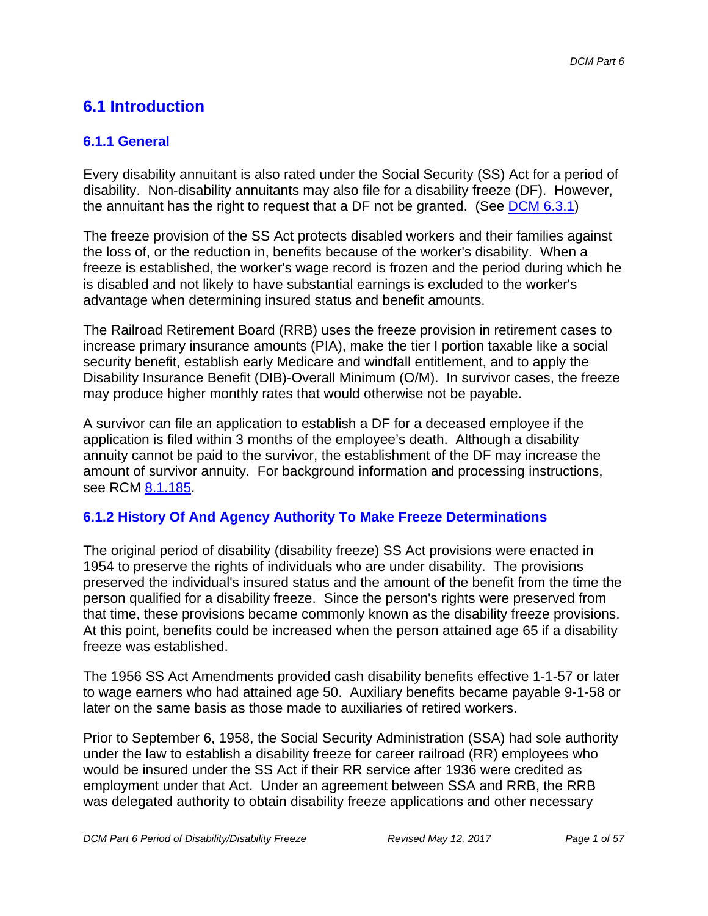## **6.1 Introduction**

### **6.1.1 General**

Every disability annuitant is also rated under the Social Security (SS) Act for a period of disability. Non-disability annuitants may also file for a disability freeze (DF). However, the annuitant has the right to request that a DF not be granted. (See DCM 6.3.1)

The freeze provision of the SS Act protects disabled workers and their families against the loss of, or the reduction in, benefits because of the worker's disability. When a freeze is established, the worker's wage record is frozen and the period during which he is disabled and not likely to have substantial earnings is excluded to the worker's advantage when determining insured status and benefit amounts.

The Railroad Retirement Board (RRB) uses the freeze provision in retirement cases to increase primary insurance amounts (PIA), make the tier I portion taxable like a social security benefit, establish early Medicare and windfall entitlement, and to apply the Disability Insurance Benefit (DIB)-Overall Minimum (O/M). In survivor cases, the freeze may produce higher monthly rates that would otherwise not be payable.

A survivor can file an application to establish a DF for a deceased employee if the application is filed within 3 months of the employee's death. Although a disability annuity cannot be paid to the survivor, the establishment of the DF may increase the amount of survivor annuity. For background information and processing instructions, see RCM 8.1.185.

### **6.1.2 History Of And Agency Authority To Make Freeze Determinations**

The original period of disability (disability freeze) SS Act provisions were enacted in 1954 to preserve the rights of individuals who are under disability. The provisions preserved the individual's insured status and the amount of the benefit from the time the person qualified for a disability freeze. Since the person's rights were preserved from that time, these provisions became commonly known as the disability freeze provisions. At this point, benefits could be increased when the person attained age 65 if a disability freeze was established.

The 1956 SS Act Amendments provided cash disability benefits effective 1-1-57 or later to wage earners who had attained age 50. Auxiliary benefits became payable 9-1-58 or later on the same basis as those made to auxiliaries of retired workers.

Prior to September 6, 1958, the Social Security Administration (SSA) had sole authority under the law to establish a disability freeze for career railroad (RR) employees who would be insured under the SS Act if their RR service after 1936 were credited as employment under that Act. Under an agreement between SSA and RRB, the RRB was delegated authority to obtain disability freeze applications and other necessary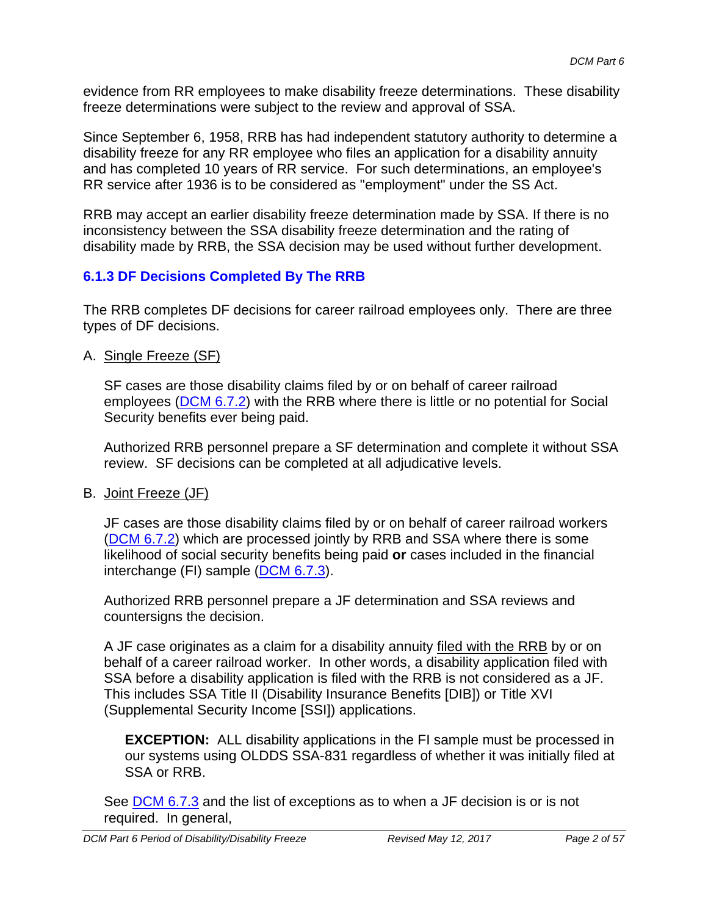evidence from RR employees to make disability freeze determinations. These disability freeze determinations were subject to the review and approval of SSA.

Since September 6, 1958, RRB has had independent statutory authority to determine a disability freeze for any RR employee who files an application for a disability annuity and has completed 10 years of RR service. For such determinations, an employee's RR service after 1936 is to be considered as "employment" under the SS Act.

RRB may accept an earlier disability freeze determination made by SSA. If there is no inconsistency between the SSA disability freeze determination and the rating of disability made by RRB, the SSA decision may be used without further development.

### **6.1.3 DF Decisions Completed By The RRB**

The RRB completes DF decisions for career railroad employees only. There are three types of DF decisions.

A. Single Freeze (SF)

SF cases are those disability claims filed by or on behalf of career railroad employees (DCM 6.7.2) with the RRB where there is little or no potential for Social Security benefits ever being paid.

Authorized RRB personnel prepare a SF determination and complete it without SSA review. SF decisions can be completed at all adjudicative levels.

B. Joint Freeze (JF)

JF cases are those disability claims filed by or on behalf of career railroad workers (DCM 6.7.2) which are processed jointly by RRB and SSA where there is some likelihood of social security benefits being paid **or** cases included in the financial interchange (FI) sample (DCM 6.7.3).

Authorized RRB personnel prepare a JF determination and SSA reviews and countersigns the decision.

A JF case originates as a claim for a disability annuity filed with the RRB by or on behalf of a career railroad worker. In other words, a disability application filed with SSA before a disability application is filed with the RRB is not considered as a JF. This includes SSA Title II (Disability Insurance Benefits [DIB]) or Title XVI (Supplemental Security Income [SSI]) applications.

**EXCEPTION:** ALL disability applications in the FI sample must be processed in our systems using OLDDS SSA-831 regardless of whether it was initially filed at SSA or RRB.

See DCM 6.7.3 and the list of exceptions as to when a JF decision is or is not required. In general,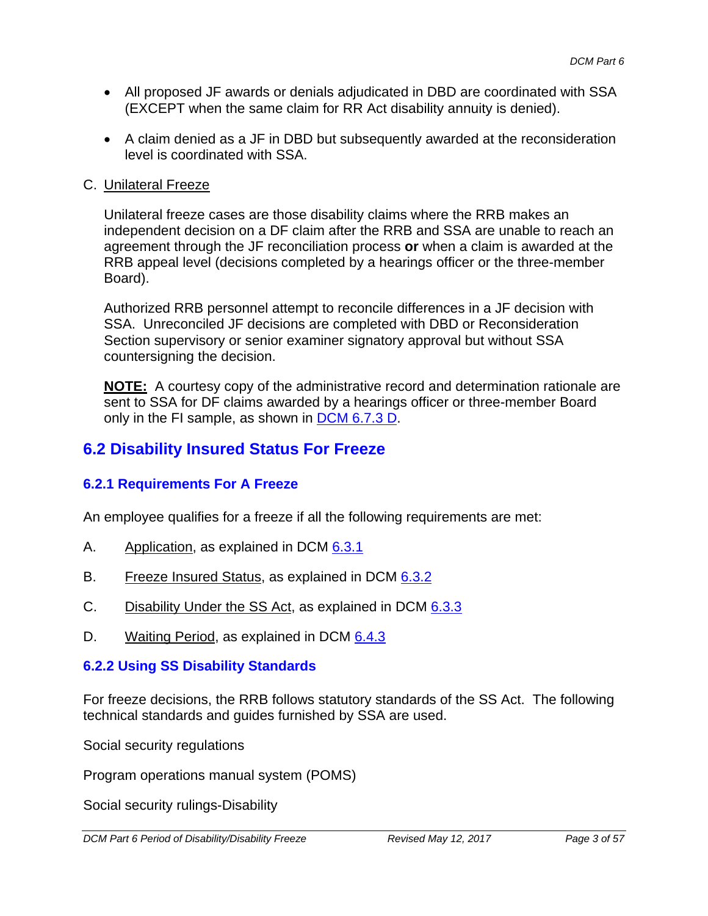- All proposed JF awards or denials adjudicated in DBD are coordinated with SSA (EXCEPT when the same claim for RR Act disability annuity is denied).
- A claim denied as a JF in DBD but subsequently awarded at the reconsideration level is coordinated with SSA.

#### C. Unilateral Freeze

Unilateral freeze cases are those disability claims where the RRB makes an independent decision on a DF claim after the RRB and SSA are unable to reach an agreement through the JF reconciliation process **or** when a claim is awarded at the RRB appeal level (decisions completed by a hearings officer or the three-member Board).

Authorized RRB personnel attempt to reconcile differences in a JF decision with SSA. Unreconciled JF decisions are completed with DBD or Reconsideration Section supervisory or senior examiner signatory approval but without SSA countersigning the decision.

**NOTE:** A courtesy copy of the administrative record and determination rationale are sent to SSA for DF claims awarded by a hearings officer or three-member Board only in the FI sample, as shown in DCM 6.7.3 D.

### **6.2 Disability Insured Status For Freeze**

#### **6.2.1 Requirements For A Freeze**

An employee qualifies for a freeze if all the following requirements are met:

- A. Application, as explained in DCM 6.3.1
- B. Freeze Insured Status, as explained in DCM 6.3.2
- C. Disability Under the SS Act, as explained in DCM 6.3.3
- D. Waiting Period, as explained in DCM 6.4.3

#### **6.2.2 Using SS Disability Standards**

For freeze decisions, the RRB follows statutory standards of the SS Act. The following technical standards and guides furnished by SSA are used.

Social security regulations

Program operations manual system (POMS)

Social security rulings-Disability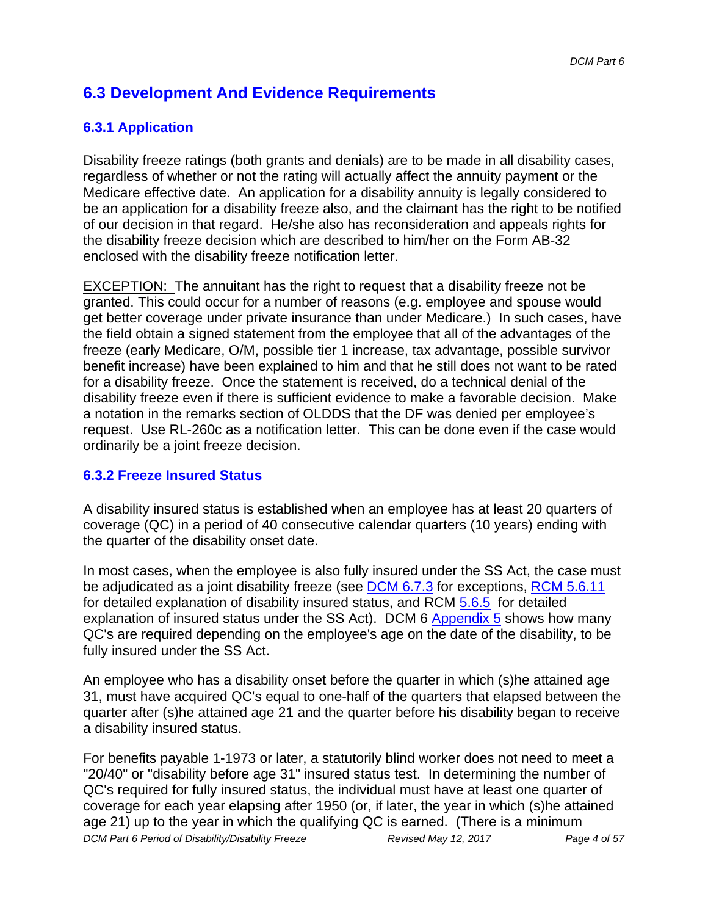## **6.3 Development And Evidence Requirements**

### **6.3.1 Application**

Disability freeze ratings (both grants and denials) are to be made in all disability cases, regardless of whether or not the rating will actually affect the annuity payment or the Medicare effective date. An application for a disability annuity is legally considered to be an application for a disability freeze also, and the claimant has the right to be notified of our decision in that regard. He/she also has reconsideration and appeals rights for the disability freeze decision which are described to him/her on the Form AB-32 enclosed with the disability freeze notification letter.

EXCEPTION: The annuitant has the right to request that a disability freeze not be granted. This could occur for a number of reasons (e.g. employee and spouse would get better coverage under private insurance than under Medicare.) In such cases, have the field obtain a signed statement from the employee that all of the advantages of the freeze (early Medicare, O/M, possible tier 1 increase, tax advantage, possible survivor benefit increase) have been explained to him and that he still does not want to be rated for a disability freeze. Once the statement is received, do a technical denial of the disability freeze even if there is sufficient evidence to make a favorable decision. Make a notation in the remarks section of OLDDS that the DF was denied per employee's request. Use RL-260c as a notification letter. This can be done even if the case would ordinarily be a joint freeze decision.

#### **6.3.2 Freeze Insured Status**

A disability insured status is established when an employee has at least 20 quarters of coverage (QC) in a period of 40 consecutive calendar quarters (10 years) ending with the quarter of the disability onset date.

In most cases, when the employee is also fully insured under the SS Act, the case must be adjudicated as a joint disability freeze (see DCM 6.7.3 for exceptions, RCM 5.6.11 for detailed explanation of disability insured status, and RCM 5.6.5 for detailed explanation of insured status under the SS Act). DCM 6 Appendix 5 shows how many QC's are required depending on the employee's age on the date of the disability, to be fully insured under the SS Act.

An employee who has a disability onset before the quarter in which (s)he attained age 31, must have acquired QC's equal to one-half of the quarters that elapsed between the quarter after (s)he attained age 21 and the quarter before his disability began to receive a disability insured status.

For benefits payable 1-1973 or later, a statutorily blind worker does not need to meet a "20/40" or "disability before age 31" insured status test. In determining the number of QC's required for fully insured status, the individual must have at least one quarter of coverage for each year elapsing after 1950 (or, if later, the year in which (s)he attained age 21) up to the year in which the qualifying QC is earned. (There is a minimum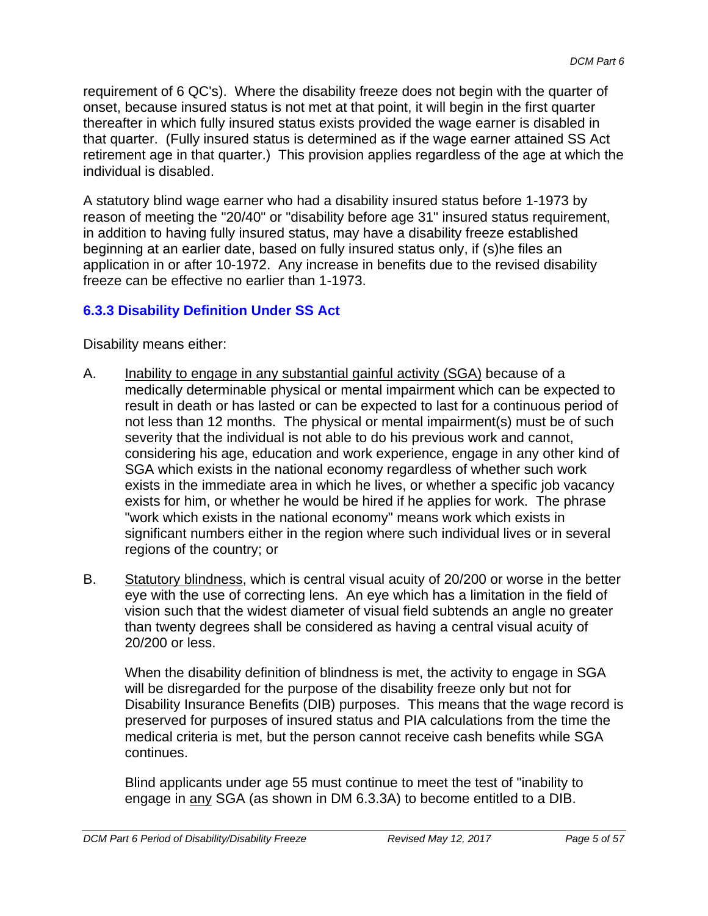requirement of 6 QC's). Where the disability freeze does not begin with the quarter of onset, because insured status is not met at that point, it will begin in the first quarter thereafter in which fully insured status exists provided the wage earner is disabled in that quarter. (Fully insured status is determined as if the wage earner attained SS Act retirement age in that quarter.) This provision applies regardless of the age at which the individual is disabled.

A statutory blind wage earner who had a disability insured status before 1-1973 by reason of meeting the "20/40" or "disability before age 31" insured status requirement, in addition to having fully insured status, may have a disability freeze established beginning at an earlier date, based on fully insured status only, if (s)he files an application in or after 10-1972. Any increase in benefits due to the revised disability freeze can be effective no earlier than 1-1973.

### **6.3.3 Disability Definition Under SS Act**

Disability means either:

- A. Inability to engage in any substantial gainful activity (SGA) because of a medically determinable physical or mental impairment which can be expected to result in death or has lasted or can be expected to last for a continuous period of not less than 12 months. The physical or mental impairment(s) must be of such severity that the individual is not able to do his previous work and cannot, considering his age, education and work experience, engage in any other kind of SGA which exists in the national economy regardless of whether such work exists in the immediate area in which he lives, or whether a specific job vacancy exists for him, or whether he would be hired if he applies for work. The phrase "work which exists in the national economy" means work which exists in significant numbers either in the region where such individual lives or in several regions of the country; or
- B. Statutory blindness, which is central visual acuity of 20/200 or worse in the better eye with the use of correcting lens. An eye which has a limitation in the field of vision such that the widest diameter of visual field subtends an angle no greater than twenty degrees shall be considered as having a central visual acuity of 20/200 or less.

When the disability definition of blindness is met, the activity to engage in SGA will be disregarded for the purpose of the disability freeze only but not for Disability Insurance Benefits (DIB) purposes. This means that the wage record is preserved for purposes of insured status and PIA calculations from the time the medical criteria is met, but the person cannot receive cash benefits while SGA continues.

Blind applicants under age 55 must continue to meet the test of "inability to engage in any SGA (as shown in DM 6.3.3A) to become entitled to a DIB.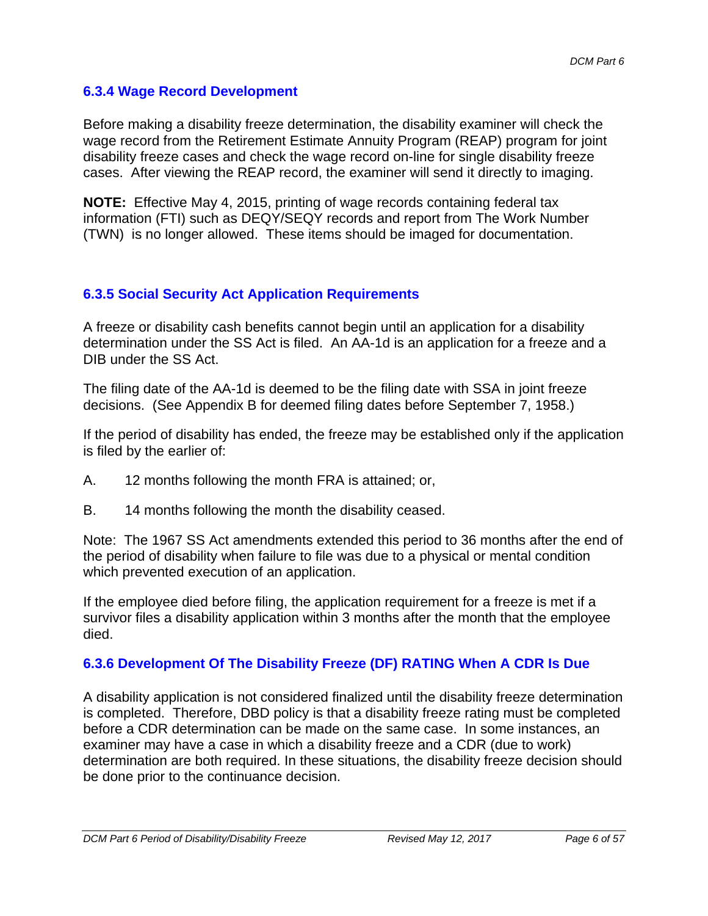#### **6.3.4 Wage Record Development**

Before making a disability freeze determination, the disability examiner will check the wage record from the Retirement Estimate Annuity Program (REAP) program for joint disability freeze cases and check the wage record on-line for single disability freeze cases. After viewing the REAP record, the examiner will send it directly to imaging.

**NOTE:** Effective May 4, 2015, printing of wage records containing federal tax information (FTI) such as DEQY/SEQY records and report from The Work Number (TWN) is no longer allowed. These items should be imaged for documentation.

#### **6.3.5 Social Security Act Application Requirements**

A freeze or disability cash benefits cannot begin until an application for a disability determination under the SS Act is filed. An AA-1d is an application for a freeze and a DIB under the SS Act.

The filing date of the AA-1d is deemed to be the filing date with SSA in joint freeze decisions. (See Appendix B for deemed filing dates before September 7, 1958.)

If the period of disability has ended, the freeze may be established only if the application is filed by the earlier of:

- A. 12 months following the month FRA is attained; or,
- B. 14 months following the month the disability ceased.

Note: The 1967 SS Act amendments extended this period to 36 months after the end of the period of disability when failure to file was due to a physical or mental condition which prevented execution of an application.

If the employee died before filing, the application requirement for a freeze is met if a survivor files a disability application within 3 months after the month that the employee died.

### **6.3.6 Development Of The Disability Freeze (DF) RATING When A CDR Is Due**

A disability application is not considered finalized until the disability freeze determination is completed. Therefore, DBD policy is that a disability freeze rating must be completed before a CDR determination can be made on the same case. In some instances, an examiner may have a case in which a disability freeze and a CDR (due to work) determination are both required. In these situations, the disability freeze decision should be done prior to the continuance decision.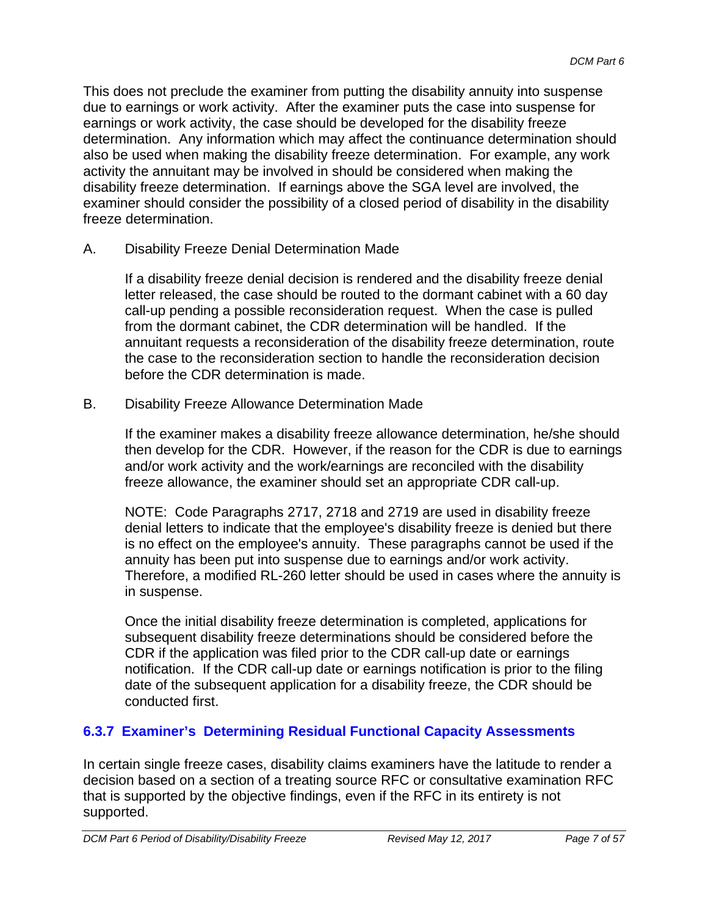This does not preclude the examiner from putting the disability annuity into suspense due to earnings or work activity. After the examiner puts the case into suspense for earnings or work activity, the case should be developed for the disability freeze determination. Any information which may affect the continuance determination should also be used when making the disability freeze determination. For example, any work activity the annuitant may be involved in should be considered when making the disability freeze determination. If earnings above the SGA level are involved, the examiner should consider the possibility of a closed period of disability in the disability freeze determination.

A. Disability Freeze Denial Determination Made

If a disability freeze denial decision is rendered and the disability freeze denial letter released, the case should be routed to the dormant cabinet with a 60 day call-up pending a possible reconsideration request. When the case is pulled from the dormant cabinet, the CDR determination will be handled. If the annuitant requests a reconsideration of the disability freeze determination, route the case to the reconsideration section to handle the reconsideration decision before the CDR determination is made.

B. Disability Freeze Allowance Determination Made

If the examiner makes a disability freeze allowance determination, he/she should then develop for the CDR. However, if the reason for the CDR is due to earnings and/or work activity and the work/earnings are reconciled with the disability freeze allowance, the examiner should set an appropriate CDR call-up.

NOTE: Code Paragraphs 2717, 2718 and 2719 are used in disability freeze denial letters to indicate that the employee's disability freeze is denied but there is no effect on the employee's annuity. These paragraphs cannot be used if the annuity has been put into suspense due to earnings and/or work activity. Therefore, a modified RL-260 letter should be used in cases where the annuity is in suspense.

Once the initial disability freeze determination is completed, applications for subsequent disability freeze determinations should be considered before the CDR if the application was filed prior to the CDR call-up date or earnings notification. If the CDR call-up date or earnings notification is prior to the filing date of the subsequent application for a disability freeze, the CDR should be conducted first.

### **6.3.7 Examiner's Determining Residual Functional Capacity Assessments**

In certain single freeze cases, disability claims examiners have the latitude to render a decision based on a section of a treating source RFC or consultative examination RFC that is supported by the objective findings, even if the RFC in its entirety is not supported.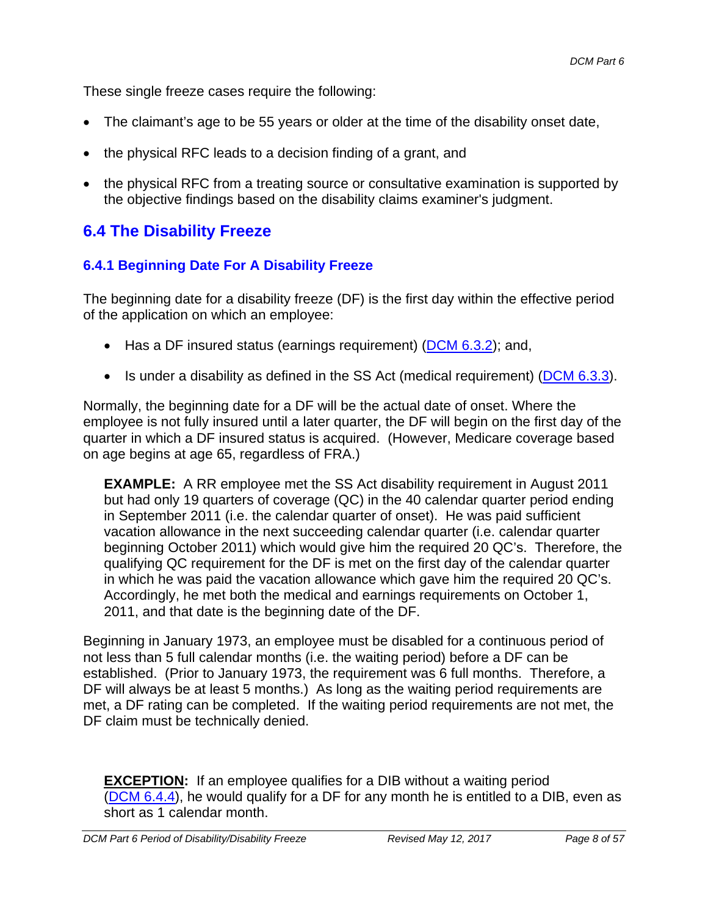These single freeze cases require the following:

- The claimant's age to be 55 years or older at the time of the disability onset date,
- the physical RFC leads to a decision finding of a grant, and
- the physical RFC from a treating source or consultative examination is supported by the objective findings based on the disability claims examiner's judgment.

## **6.4 The Disability Freeze**

### **6.4.1 Beginning Date For A Disability Freeze**

The beginning date for a disability freeze (DF) is the first day within the effective period of the application on which an employee:

- $\bullet$  Has a DF insured status (earnings requirement) (DCM 6.3.2); and,
- Is under a disability as defined in the SS Act (medical requirement) (DCM 6.3.3).

Normally, the beginning date for a DF will be the actual date of onset. Where the employee is not fully insured until a later quarter, the DF will begin on the first day of the quarter in which a DF insured status is acquired. (However, Medicare coverage based on age begins at age 65, regardless of FRA.)

**EXAMPLE:** A RR employee met the SS Act disability requirement in August 2011 but had only 19 quarters of coverage (QC) in the 40 calendar quarter period ending in September 2011 (i.e. the calendar quarter of onset). He was paid sufficient vacation allowance in the next succeeding calendar quarter (i.e. calendar quarter beginning October 2011) which would give him the required 20 QC's. Therefore, the qualifying QC requirement for the DF is met on the first day of the calendar quarter in which he was paid the vacation allowance which gave him the required 20 QC's. Accordingly, he met both the medical and earnings requirements on October 1, 2011, and that date is the beginning date of the DF.

Beginning in January 1973, an employee must be disabled for a continuous period of not less than 5 full calendar months (i.e. the waiting period) before a DF can be established. (Prior to January 1973, the requirement was 6 full months. Therefore, a DF will always be at least 5 months.) As long as the waiting period requirements are met, a DF rating can be completed. If the waiting period requirements are not met, the DF claim must be technically denied.

**EXCEPTION:** If an employee qualifies for a DIB without a waiting period (DCM 6.4.4), he would qualify for a DF for any month he is entitled to a DIB, even as short as 1 calendar month.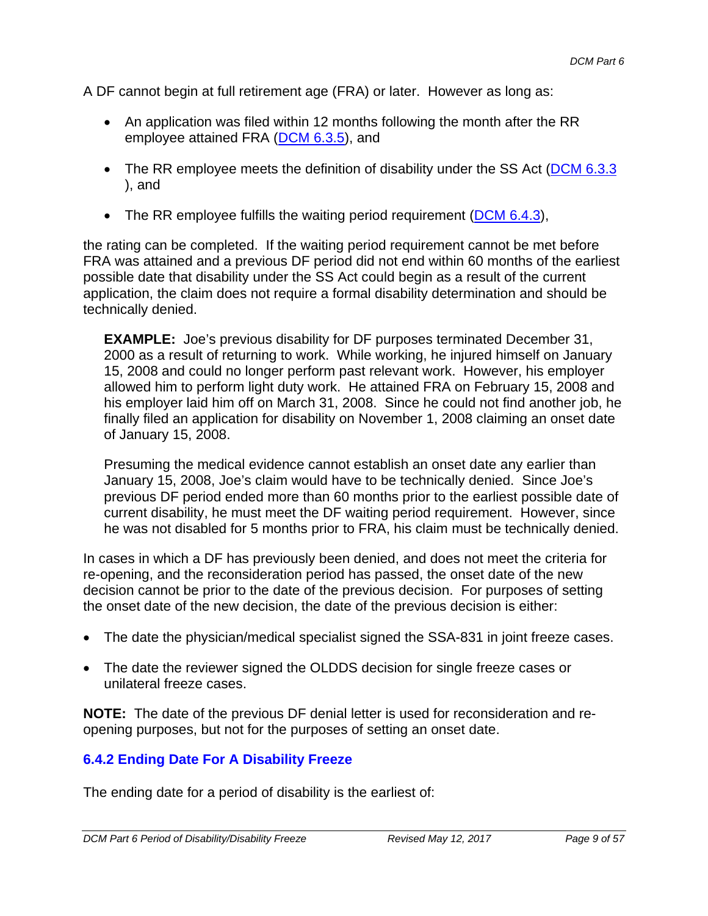A DF cannot begin at full retirement age (FRA) or later. However as long as:

- An application was filed within 12 months following the month after the RR employee attained FRA (DCM 6.3.5), and
- The RR employee meets the definition of disability under the SS Act ( $DCM$  6.3.3 ), and
- The RR employee fulfills the waiting period requirement ( $DCM$  6.4.3),

the rating can be completed. If the waiting period requirement cannot be met before FRA was attained and a previous DF period did not end within 60 months of the earliest possible date that disability under the SS Act could begin as a result of the current application, the claim does not require a formal disability determination and should be technically denied.

**EXAMPLE:** Joe's previous disability for DF purposes terminated December 31, 2000 as a result of returning to work. While working, he injured himself on January 15, 2008 and could no longer perform past relevant work. However, his employer allowed him to perform light duty work. He attained FRA on February 15, 2008 and his employer laid him off on March 31, 2008. Since he could not find another job, he finally filed an application for disability on November 1, 2008 claiming an onset date of January 15, 2008.

Presuming the medical evidence cannot establish an onset date any earlier than January 15, 2008, Joe's claim would have to be technically denied. Since Joe's previous DF period ended more than 60 months prior to the earliest possible date of current disability, he must meet the DF waiting period requirement. However, since he was not disabled for 5 months prior to FRA, his claim must be technically denied.

In cases in which a DF has previously been denied, and does not meet the criteria for re-opening, and the reconsideration period has passed, the onset date of the new decision cannot be prior to the date of the previous decision. For purposes of setting the onset date of the new decision, the date of the previous decision is either:

- The date the physician/medical specialist signed the SSA-831 in joint freeze cases.
- The date the reviewer signed the OLDDS decision for single freeze cases or unilateral freeze cases.

**NOTE:** The date of the previous DF denial letter is used for reconsideration and reopening purposes, but not for the purposes of setting an onset date.

#### **6.4.2 Ending Date For A Disability Freeze**

The ending date for a period of disability is the earliest of: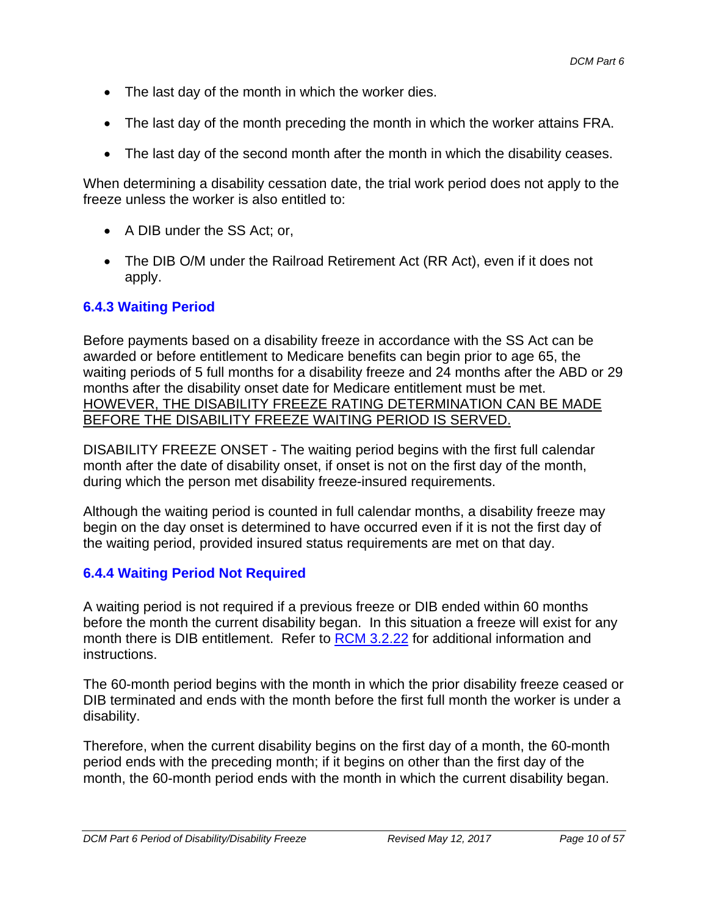- The last day of the month in which the worker dies.
- The last day of the month preceding the month in which the worker attains FRA.
- The last day of the second month after the month in which the disability ceases.

When determining a disability cessation date, the trial work period does not apply to the freeze unless the worker is also entitled to:

- A DIB under the SS Act: or,
- The DIB O/M under the Railroad Retirement Act (RR Act), even if it does not apply.

#### **6.4.3 Waiting Period**

Before payments based on a disability freeze in accordance with the SS Act can be awarded or before entitlement to Medicare benefits can begin prior to age 65, the waiting periods of 5 full months for a disability freeze and 24 months after the ABD or 29 months after the disability onset date for Medicare entitlement must be met. HOWEVER, THE DISABILITY FREEZE RATING DETERMINATION CAN BE MADE BEFORE THE DISABILITY FREEZE WAITING PERIOD IS SERVED.

DISABILITY FREEZE ONSET - The waiting period begins with the first full calendar month after the date of disability onset, if onset is not on the first day of the month, during which the person met disability freeze-insured requirements.

Although the waiting period is counted in full calendar months, a disability freeze may begin on the day onset is determined to have occurred even if it is not the first day of the waiting period, provided insured status requirements are met on that day.

#### **6.4.4 Waiting Period Not Required**

A waiting period is not required if a previous freeze or DIB ended within 60 months before the month the current disability began. In this situation a freeze will exist for any month there is DIB entitlement. Refer to RCM 3.2.22 for additional information and instructions.

The 60-month period begins with the month in which the prior disability freeze ceased or DIB terminated and ends with the month before the first full month the worker is under a disability.

Therefore, when the current disability begins on the first day of a month, the 60-month period ends with the preceding month; if it begins on other than the first day of the month, the 60-month period ends with the month in which the current disability began.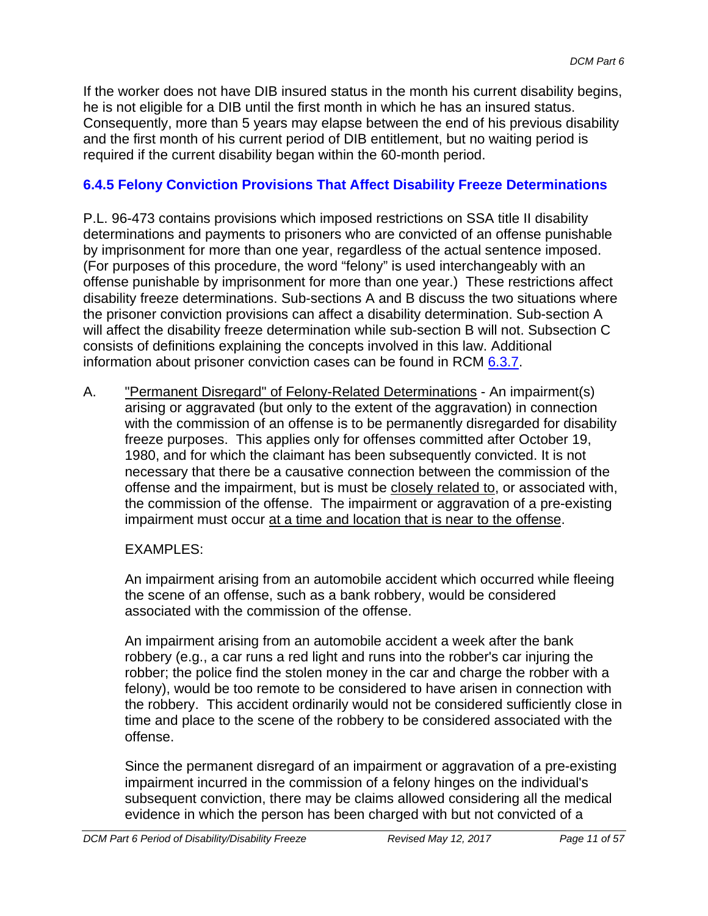If the worker does not have DIB insured status in the month his current disability begins, he is not eligible for a DIB until the first month in which he has an insured status. Consequently, more than 5 years may elapse between the end of his previous disability and the first month of his current period of DIB entitlement, but no waiting period is required if the current disability began within the 60-month period.

### **6.4.5 Felony Conviction Provisions That Affect Disability Freeze Determinations**

P.L. 96-473 contains provisions which imposed restrictions on SSA title II disability determinations and payments to prisoners who are convicted of an offense punishable by imprisonment for more than one year, regardless of the actual sentence imposed. (For purposes of this procedure, the word "felony" is used interchangeably with an offense punishable by imprisonment for more than one year.) These restrictions affect disability freeze determinations. Sub-sections A and B discuss the two situations where the prisoner conviction provisions can affect a disability determination. Sub-section A will affect the disability freeze determination while sub-section B will not. Subsection C consists of definitions explaining the concepts involved in this law. Additional information about prisoner conviction cases can be found in RCM 6.3.7.

A. **The Termanent Disregard**" of Felony-Related Determinations - An impairment(s) arising or aggravated (but only to the extent of the aggravation) in connection with the commission of an offense is to be permanently disregarded for disability freeze purposes. This applies only for offenses committed after October 19, 1980, and for which the claimant has been subsequently convicted. It is not necessary that there be a causative connection between the commission of the offense and the impairment, but is must be closely related to, or associated with, the commission of the offense. The impairment or aggravation of a pre-existing impairment must occur at a time and location that is near to the offense.

#### EXAMPLES:

An impairment arising from an automobile accident which occurred while fleeing the scene of an offense, such as a bank robbery, would be considered associated with the commission of the offense.

An impairment arising from an automobile accident a week after the bank robbery (e.g., a car runs a red light and runs into the robber's car injuring the robber; the police find the stolen money in the car and charge the robber with a felony), would be too remote to be considered to have arisen in connection with the robbery. This accident ordinarily would not be considered sufficiently close in time and place to the scene of the robbery to be considered associated with the offense.

Since the permanent disregard of an impairment or aggravation of a pre-existing impairment incurred in the commission of a felony hinges on the individual's subsequent conviction, there may be claims allowed considering all the medical evidence in which the person has been charged with but not convicted of a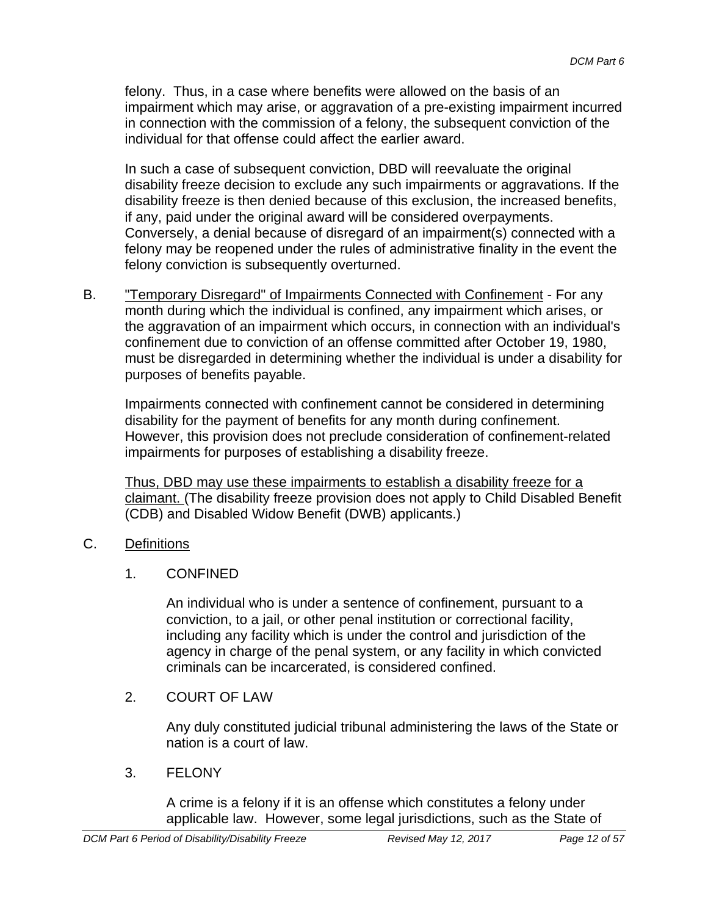felony. Thus, in a case where benefits were allowed on the basis of an impairment which may arise, or aggravation of a pre-existing impairment incurred in connection with the commission of a felony, the subsequent conviction of the individual for that offense could affect the earlier award.

In such a case of subsequent conviction, DBD will reevaluate the original disability freeze decision to exclude any such impairments or aggravations. If the disability freeze is then denied because of this exclusion, the increased benefits, if any, paid under the original award will be considered overpayments. Conversely, a denial because of disregard of an impairment(s) connected with a felony may be reopened under the rules of administrative finality in the event the felony conviction is subsequently overturned.

B. "Temporary Disregard" of Impairments Connected with Confinement - For any month during which the individual is confined, any impairment which arises, or the aggravation of an impairment which occurs, in connection with an individual's confinement due to conviction of an offense committed after October 19, 1980, must be disregarded in determining whether the individual is under a disability for purposes of benefits payable.

Impairments connected with confinement cannot be considered in determining disability for the payment of benefits for any month during confinement. However, this provision does not preclude consideration of confinement-related impairments for purposes of establishing a disability freeze.

Thus, DBD may use these impairments to establish a disability freeze for a claimant. (The disability freeze provision does not apply to Child Disabled Benefit (CDB) and Disabled Widow Benefit (DWB) applicants.)

- C. Definitions
	- 1. CONFINED

An individual who is under a sentence of confinement, pursuant to a conviction, to a jail, or other penal institution or correctional facility, including any facility which is under the control and jurisdiction of the agency in charge of the penal system, or any facility in which convicted criminals can be incarcerated, is considered confined.

2. COURT OF LAW

Any duly constituted judicial tribunal administering the laws of the State or nation is a court of law.

3. FELONY

A crime is a felony if it is an offense which constitutes a felony under applicable law. However, some legal jurisdictions, such as the State of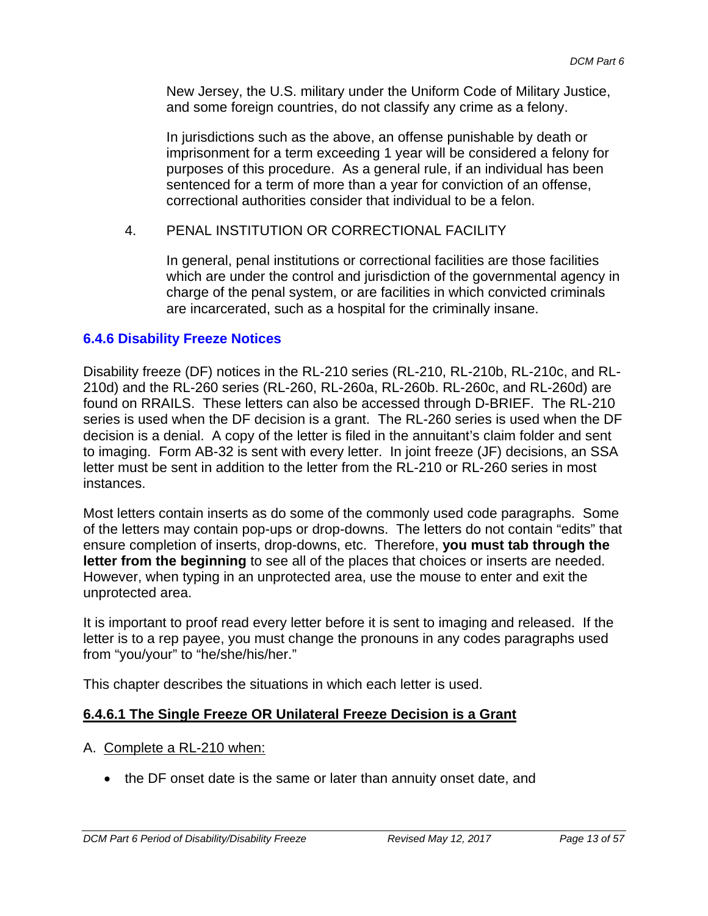New Jersey, the U.S. military under the Uniform Code of Military Justice, and some foreign countries, do not classify any crime as a felony.

In jurisdictions such as the above, an offense punishable by death or imprisonment for a term exceeding 1 year will be considered a felony for purposes of this procedure. As a general rule, if an individual has been sentenced for a term of more than a year for conviction of an offense, correctional authorities consider that individual to be a felon.

#### 4. PENAL INSTITUTION OR CORRECTIONAL FACILITY

In general, penal institutions or correctional facilities are those facilities which are under the control and jurisdiction of the governmental agency in charge of the penal system, or are facilities in which convicted criminals are incarcerated, such as a hospital for the criminally insane.

#### **6.4.6 Disability Freeze Notices**

Disability freeze (DF) notices in the RL-210 series (RL-210, RL-210b, RL-210c, and RL-210d) and the RL-260 series (RL-260, RL-260a, RL-260b. RL-260c, and RL-260d) are found on RRAILS. These letters can also be accessed through D-BRIEF. The RL-210 series is used when the DF decision is a grant. The RL-260 series is used when the DF decision is a denial. A copy of the letter is filed in the annuitant's claim folder and sent to imaging. Form AB-32 is sent with every letter. In joint freeze (JF) decisions, an SSA letter must be sent in addition to the letter from the RL-210 or RL-260 series in most instances.

Most letters contain inserts as do some of the commonly used code paragraphs. Some of the letters may contain pop-ups or drop-downs. The letters do not contain "edits" that ensure completion of inserts, drop-downs, etc. Therefore, **you must tab through the letter from the beginning** to see all of the places that choices or inserts are needed. However, when typing in an unprotected area, use the mouse to enter and exit the unprotected area.

It is important to proof read every letter before it is sent to imaging and released. If the letter is to a rep payee, you must change the pronouns in any codes paragraphs used from "you/your" to "he/she/his/her."

This chapter describes the situations in which each letter is used.

#### **6.4.6.1 The Single Freeze OR Unilateral Freeze Decision is a Grant**

#### A. Complete a RL-210 when:

• the DF onset date is the same or later than annuity onset date, and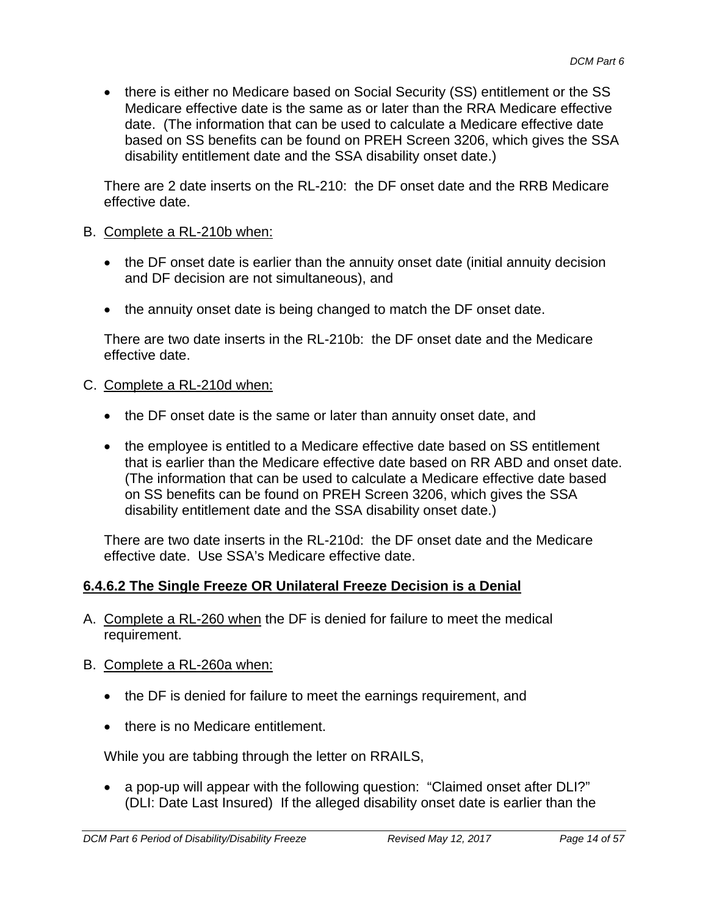• there is either no Medicare based on Social Security (SS) entitlement or the SS Medicare effective date is the same as or later than the RRA Medicare effective date. (The information that can be used to calculate a Medicare effective date based on SS benefits can be found on PREH Screen 3206, which gives the SSA disability entitlement date and the SSA disability onset date.)

There are 2 date inserts on the RL-210: the DF onset date and the RRB Medicare effective date.

#### B. Complete a RL-210b when:

- the DF onset date is earlier than the annuity onset date (initial annuity decision and DF decision are not simultaneous), and
- the annuity onset date is being changed to match the DF onset date.

There are two date inserts in the RL-210b: the DF onset date and the Medicare effective date.

#### C. Complete a RL-210d when:

- the DF onset date is the same or later than annuity onset date, and
- the employee is entitled to a Medicare effective date based on SS entitlement that is earlier than the Medicare effective date based on RR ABD and onset date. (The information that can be used to calculate a Medicare effective date based on SS benefits can be found on PREH Screen 3206, which gives the SSA disability entitlement date and the SSA disability onset date.)

There are two date inserts in the RL-210d: the DF onset date and the Medicare effective date. Use SSA's Medicare effective date.

### **6.4.6.2 The Single Freeze OR Unilateral Freeze Decision is a Denial**

- A. Complete a RL-260 when the DF is denied for failure to meet the medical requirement.
- B. Complete a RL-260a when:
	- the DF is denied for failure to meet the earnings requirement, and
	- there is no Medicare entitlement.

While you are tabbing through the letter on RRAILS,

• a pop-up will appear with the following question: "Claimed onset after DLI?" (DLI: Date Last Insured) If the alleged disability onset date is earlier than the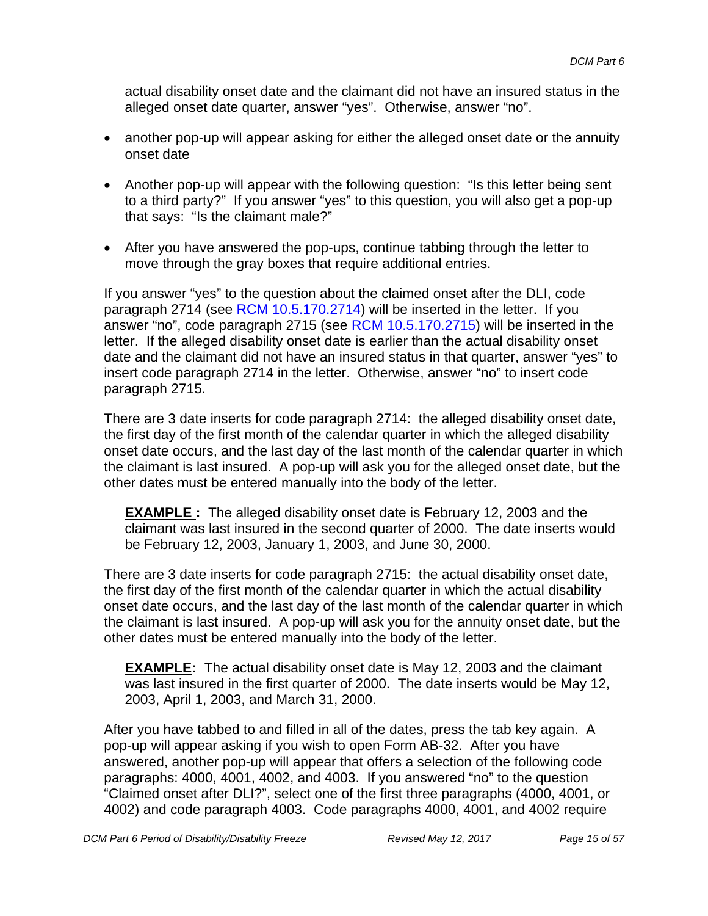actual disability onset date and the claimant did not have an insured status in the alleged onset date quarter, answer "yes". Otherwise, answer "no".

- another pop-up will appear asking for either the alleged onset date or the annuity onset date
- Another pop-up will appear with the following question: "Is this letter being sent to a third party?" If you answer "yes" to this question, you will also get a pop-up that says: "Is the claimant male?"
- After you have answered the pop-ups, continue tabbing through the letter to move through the gray boxes that require additional entries.

If you answer "yes" to the question about the claimed onset after the DLI, code paragraph 2714 (see RCM 10.5.170.2714) will be inserted in the letter. If you answer "no", code paragraph 2715 (see RCM 10.5.170.2715) will be inserted in the letter. If the alleged disability onset date is earlier than the actual disability onset date and the claimant did not have an insured status in that quarter, answer "yes" to insert code paragraph 2714 in the letter. Otherwise, answer "no" to insert code paragraph 2715.

There are 3 date inserts for code paragraph 2714: the alleged disability onset date, the first day of the first month of the calendar quarter in which the alleged disability onset date occurs, and the last day of the last month of the calendar quarter in which the claimant is last insured. A pop-up will ask you for the alleged onset date, but the other dates must be entered manually into the body of the letter.

**EXAMPLE :** The alleged disability onset date is February 12, 2003 and the claimant was last insured in the second quarter of 2000. The date inserts would be February 12, 2003, January 1, 2003, and June 30, 2000.

There are 3 date inserts for code paragraph 2715: the actual disability onset date, the first day of the first month of the calendar quarter in which the actual disability onset date occurs, and the last day of the last month of the calendar quarter in which the claimant is last insured. A pop-up will ask you for the annuity onset date, but the other dates must be entered manually into the body of the letter.

**EXAMPLE:** The actual disability onset date is May 12, 2003 and the claimant was last insured in the first quarter of 2000. The date inserts would be May 12, 2003, April 1, 2003, and March 31, 2000.

After you have tabbed to and filled in all of the dates, press the tab key again. A pop-up will appear asking if you wish to open Form AB-32. After you have answered, another pop-up will appear that offers a selection of the following code paragraphs: 4000, 4001, 4002, and 4003. If you answered "no" to the question "Claimed onset after DLI?", select one of the first three paragraphs (4000, 4001, or 4002) and code paragraph 4003. Code paragraphs 4000, 4001, and 4002 require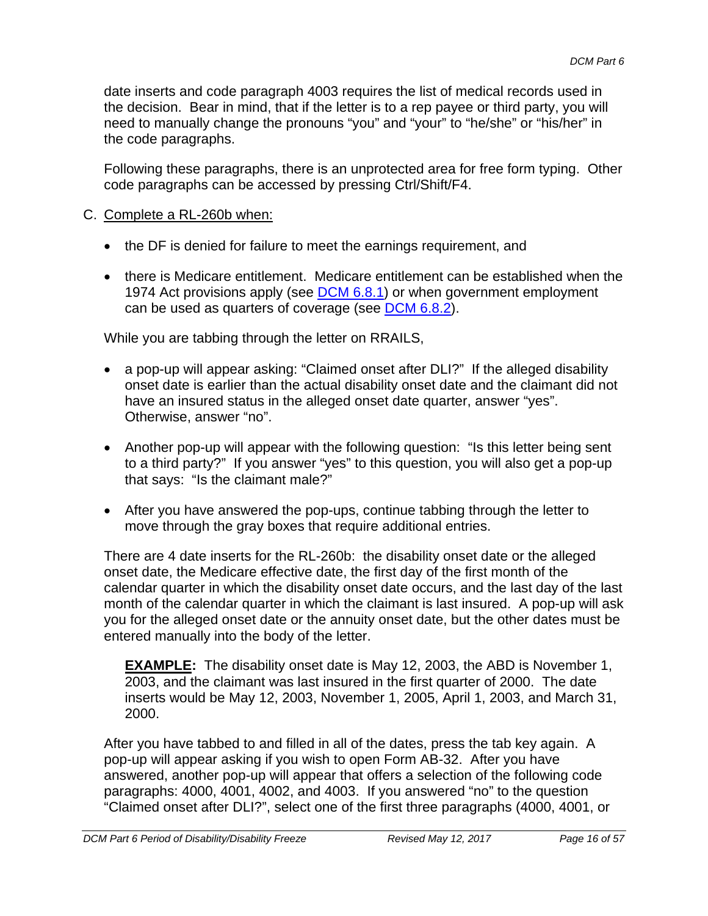date inserts and code paragraph 4003 requires the list of medical records used in the decision. Bear in mind, that if the letter is to a rep payee or third party, you will need to manually change the pronouns "you" and "your" to "he/she" or "his/her" in the code paragraphs.

Following these paragraphs, there is an unprotected area for free form typing. Other code paragraphs can be accessed by pressing Ctrl/Shift/F4.

- C. Complete a RL-260b when:
	- the DF is denied for failure to meet the earnings requirement, and
	- there is Medicare entitlement. Medicare entitlement can be established when the 1974 Act provisions apply (see DCM 6.8.1) or when government employment can be used as quarters of coverage (see DCM 6.8.2).

While you are tabbing through the letter on RRAILS,

- a pop-up will appear asking: "Claimed onset after DLI?" If the alleged disability onset date is earlier than the actual disability onset date and the claimant did not have an insured status in the alleged onset date quarter, answer "yes". Otherwise, answer "no".
- Another pop-up will appear with the following question: "Is this letter being sent to a third party?" If you answer "yes" to this question, you will also get a pop-up that says: "Is the claimant male?"
- After you have answered the pop-ups, continue tabbing through the letter to move through the gray boxes that require additional entries.

There are 4 date inserts for the RL-260b: the disability onset date or the alleged onset date, the Medicare effective date, the first day of the first month of the calendar quarter in which the disability onset date occurs, and the last day of the last month of the calendar quarter in which the claimant is last insured. A pop-up will ask you for the alleged onset date or the annuity onset date, but the other dates must be entered manually into the body of the letter.

**EXAMPLE:** The disability onset date is May 12, 2003, the ABD is November 1, 2003, and the claimant was last insured in the first quarter of 2000. The date inserts would be May 12, 2003, November 1, 2005, April 1, 2003, and March 31, 2000.

After you have tabbed to and filled in all of the dates, press the tab key again. A pop-up will appear asking if you wish to open Form AB-32. After you have answered, another pop-up will appear that offers a selection of the following code paragraphs: 4000, 4001, 4002, and 4003. If you answered "no" to the question "Claimed onset after DLI?", select one of the first three paragraphs (4000, 4001, or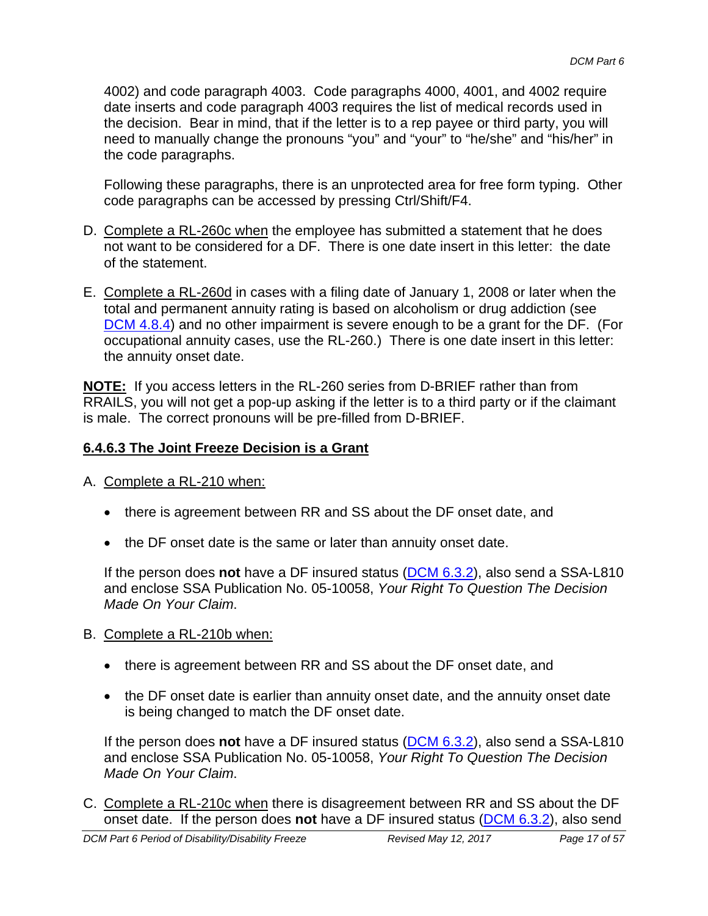4002) and code paragraph 4003. Code paragraphs 4000, 4001, and 4002 require date inserts and code paragraph 4003 requires the list of medical records used in the decision. Bear in mind, that if the letter is to a rep payee or third party, you will need to manually change the pronouns "you" and "your" to "he/she" and "his/her" in the code paragraphs.

Following these paragraphs, there is an unprotected area for free form typing. Other code paragraphs can be accessed by pressing Ctrl/Shift/F4.

- D. Complete a RL-260c when the employee has submitted a statement that he does not want to be considered for a DF. There is one date insert in this letter: the date of the statement.
- E. Complete a RL-260d in cases with a filing date of January 1, 2008 or later when the total and permanent annuity rating is based on alcoholism or drug addiction (see DCM 4.8.4) and no other impairment is severe enough to be a grant for the DF. (For occupational annuity cases, use the RL-260.) There is one date insert in this letter: the annuity onset date.

**NOTE:** If you access letters in the RL-260 series from D-BRIEF rather than from RRAILS, you will not get a pop-up asking if the letter is to a third party or if the claimant is male. The correct pronouns will be pre-filled from D-BRIEF.

#### **6.4.6.3 The Joint Freeze Decision is a Grant**

- A. Complete a RL-210 when:
	- there is agreement between RR and SS about the DF onset date, and
	- the DF onset date is the same or later than annuity onset date.

If the person does **not** have a DF insured status (DCM 6.3.2), also send a SSA-L810 and enclose SSA Publication No. 05-10058, *Your Right To Question The Decision Made On Your Claim*.

- B. Complete a RL-210b when:
	- there is agreement between RR and SS about the DF onset date, and
	- the DF onset date is earlier than annuity onset date, and the annuity onset date is being changed to match the DF onset date.

If the person does **not** have a DF insured status (DCM 6.3.2), also send a SSA-L810 and enclose SSA Publication No. 05-10058, *Your Right To Question The Decision Made On Your Claim*.

C. Complete a RL-210c when there is disagreement between RR and SS about the DF onset date. If the person does **not** have a DF insured status (DCM 6.3.2), also send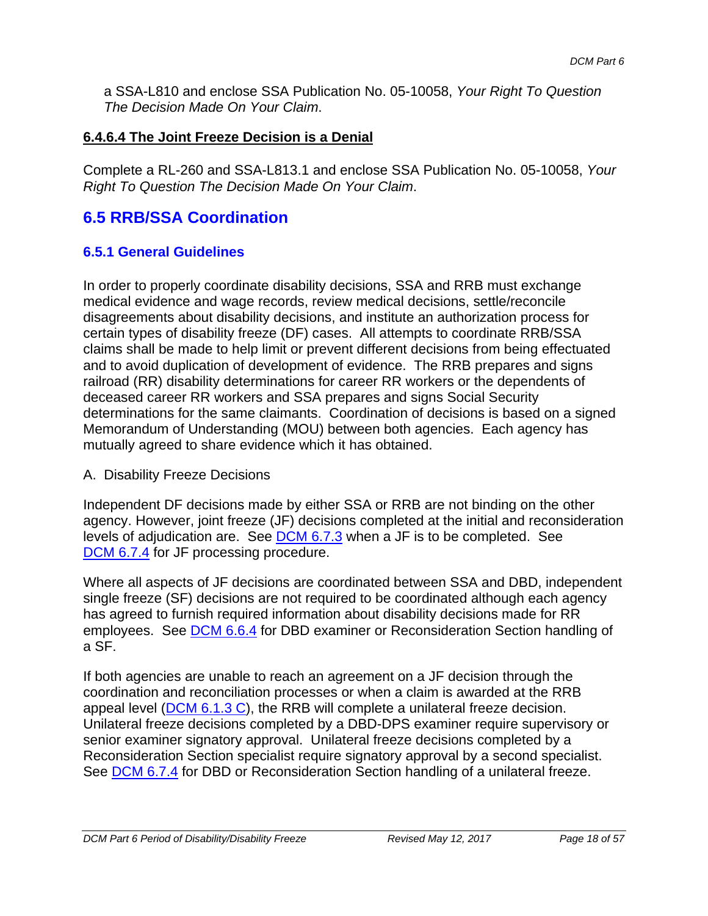a SSA-L810 and enclose SSA Publication No. 05-10058, *Your Right To Question The Decision Made On Your Claim*.

#### **6.4.6.4 The Joint Freeze Decision is a Denial**

Complete a RL-260 and SSA-L813.1 and enclose SSA Publication No. 05-10058, *Your Right To Question The Decision Made On Your Claim*.

## **6.5 RRB/SSA Coordination**

#### **6.5.1 General Guidelines**

In order to properly coordinate disability decisions, SSA and RRB must exchange medical evidence and wage records, review medical decisions, settle/reconcile disagreements about disability decisions, and institute an authorization process for certain types of disability freeze (DF) cases. All attempts to coordinate RRB/SSA claims shall be made to help limit or prevent different decisions from being effectuated and to avoid duplication of development of evidence. The RRB prepares and signs railroad (RR) disability determinations for career RR workers or the dependents of deceased career RR workers and SSA prepares and signs Social Security determinations for the same claimants. Coordination of decisions is based on a signed Memorandum of Understanding (MOU) between both agencies. Each agency has mutually agreed to share evidence which it has obtained.

#### A. Disability Freeze Decisions

Independent DF decisions made by either SSA or RRB are not binding on the other agency. However, joint freeze (JF) decisions completed at the initial and reconsideration levels of adjudication are. See DCM 6.7.3 when a JF is to be completed. See DCM 6.7.4 for JF processing procedure.

Where all aspects of JF decisions are coordinated between SSA and DBD, independent single freeze (SF) decisions are not required to be coordinated although each agency has agreed to furnish required information about disability decisions made for RR employees. See DCM 6.6.4 for DBD examiner or Reconsideration Section handling of a SF.

If both agencies are unable to reach an agreement on a JF decision through the coordination and reconciliation processes or when a claim is awarded at the RRB appeal level ( $DCM$  6.1.3 C), the RRB will complete a unilateral freeze decision. Unilateral freeze decisions completed by a DBD-DPS examiner require supervisory or senior examiner signatory approval. Unilateral freeze decisions completed by a Reconsideration Section specialist require signatory approval by a second specialist. See DCM 6.7.4 for DBD or Reconsideration Section handling of a unilateral freeze.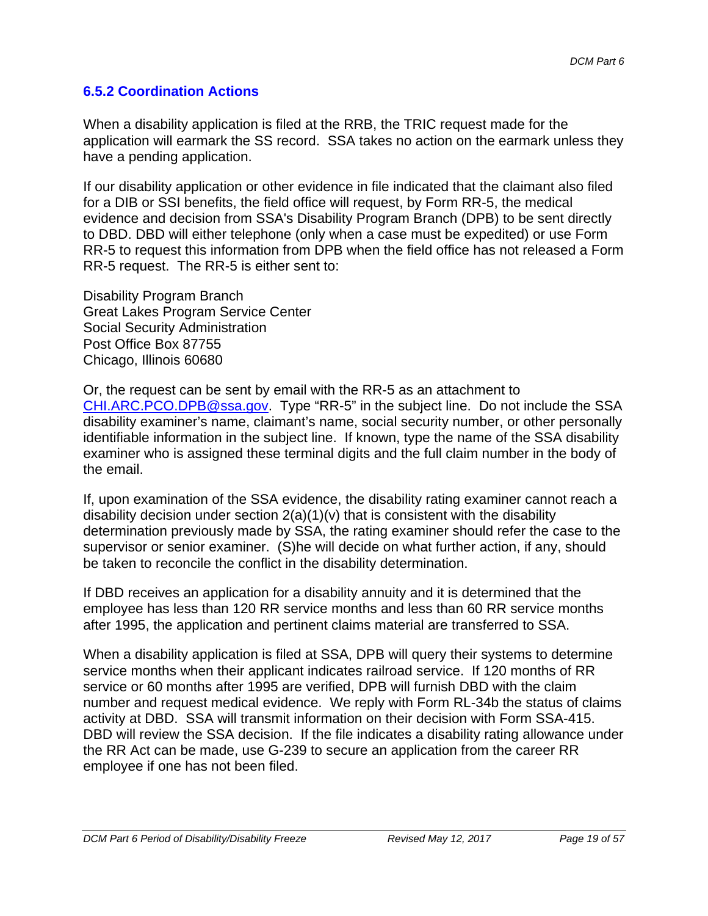#### **6.5.2 Coordination Actions**

When a disability application is filed at the RRB, the TRIC request made for the application will earmark the SS record. SSA takes no action on the earmark unless they have a pending application.

If our disability application or other evidence in file indicated that the claimant also filed for a DIB or SSI benefits, the field office will request, by Form RR-5, the medical evidence and decision from SSA's Disability Program Branch (DPB) to be sent directly to DBD. DBD will either telephone (only when a case must be expedited) or use Form RR-5 to request this information from DPB when the field office has not released a Form RR-5 request. The RR-5 is either sent to:

Disability Program Branch Great Lakes Program Service Center Social Security Administration Post Office Box 87755 Chicago, Illinois 60680

Or, the request can be sent by email with the RR-5 as an attachment to CHI.ARC.PCO.DPB@ssa.gov. Type "RR-5" in the subject line. Do not include the SSA disability examiner's name, claimant's name, social security number, or other personally identifiable information in the subject line. If known, type the name of the SSA disability examiner who is assigned these terminal digits and the full claim number in the body of the email.

If, upon examination of the SSA evidence, the disability rating examiner cannot reach a disability decision under section  $2(a)(1)(v)$  that is consistent with the disability determination previously made by SSA, the rating examiner should refer the case to the supervisor or senior examiner. (S)he will decide on what further action, if any, should be taken to reconcile the conflict in the disability determination.

If DBD receives an application for a disability annuity and it is determined that the employee has less than 120 RR service months and less than 60 RR service months after 1995, the application and pertinent claims material are transferred to SSA.

When a disability application is filed at SSA, DPB will query their systems to determine service months when their applicant indicates railroad service. If 120 months of RR service or 60 months after 1995 are verified, DPB will furnish DBD with the claim number and request medical evidence. We reply with Form RL-34b the status of claims activity at DBD. SSA will transmit information on their decision with Form SSA-415. DBD will review the SSA decision. If the file indicates a disability rating allowance under the RR Act can be made, use G-239 to secure an application from the career RR employee if one has not been filed.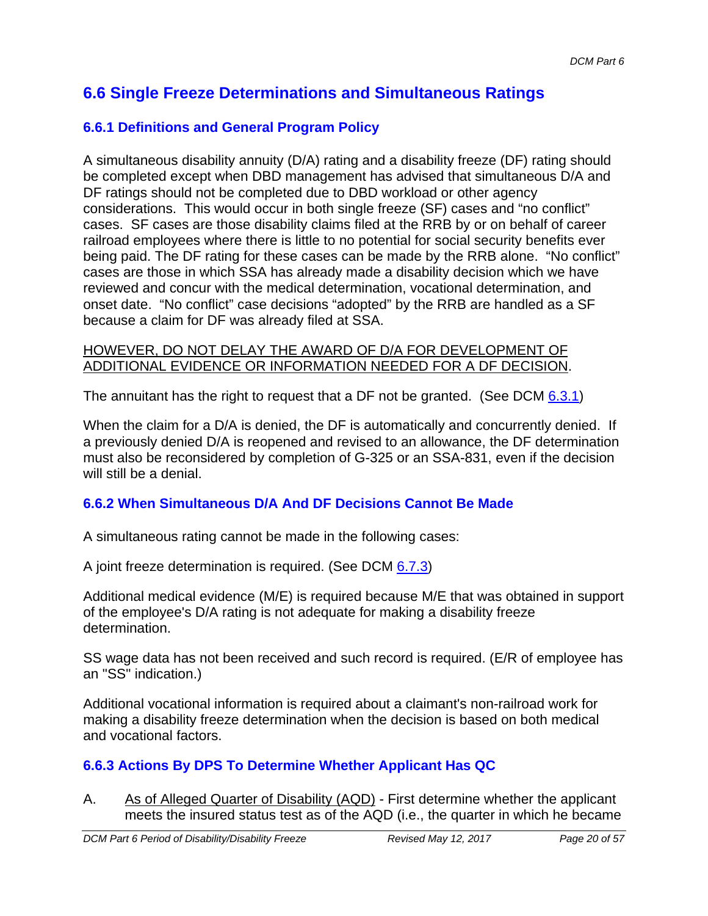## **6.6 Single Freeze Determinations and Simultaneous Ratings**

### **6.6.1 Definitions and General Program Policy**

A simultaneous disability annuity (D/A) rating and a disability freeze (DF) rating should be completed except when DBD management has advised that simultaneous D/A and DF ratings should not be completed due to DBD workload or other agency considerations. This would occur in both single freeze (SF) cases and "no conflict" cases. SF cases are those disability claims filed at the RRB by or on behalf of career railroad employees where there is little to no potential for social security benefits ever being paid. The DF rating for these cases can be made by the RRB alone. "No conflict" cases are those in which SSA has already made a disability decision which we have reviewed and concur with the medical determination, vocational determination, and onset date. "No conflict" case decisions "adopted" by the RRB are handled as a SF because a claim for DF was already filed at SSA.

#### HOWEVER, DO NOT DELAY THE AWARD OF D/A FOR DEVELOPMENT OF ADDITIONAL EVIDENCE OR INFORMATION NEEDED FOR A DF DECISION.

The annuitant has the right to request that a DF not be granted. (See DCM  $6.3.1$ )

When the claim for a D/A is denied, the DF is automatically and concurrently denied. If a previously denied D/A is reopened and revised to an allowance, the DF determination must also be reconsidered by completion of G-325 or an SSA-831, even if the decision will still be a denial.

### **6.6.2 When Simultaneous D/A And DF Decisions Cannot Be Made**

A simultaneous rating cannot be made in the following cases:

A joint freeze determination is required. (See DCM 6.7.3)

Additional medical evidence (M/E) is required because M/E that was obtained in support of the employee's D/A rating is not adequate for making a disability freeze determination.

SS wage data has not been received and such record is required. (E/R of employee has an "SS" indication.)

Additional vocational information is required about a claimant's non-railroad work for making a disability freeze determination when the decision is based on both medical and vocational factors.

### **6.6.3 Actions By DPS To Determine Whether Applicant Has QC**

A. As of Alleged Quarter of Disability (AQD) - First determine whether the applicant meets the insured status test as of the AQD (i.e., the quarter in which he became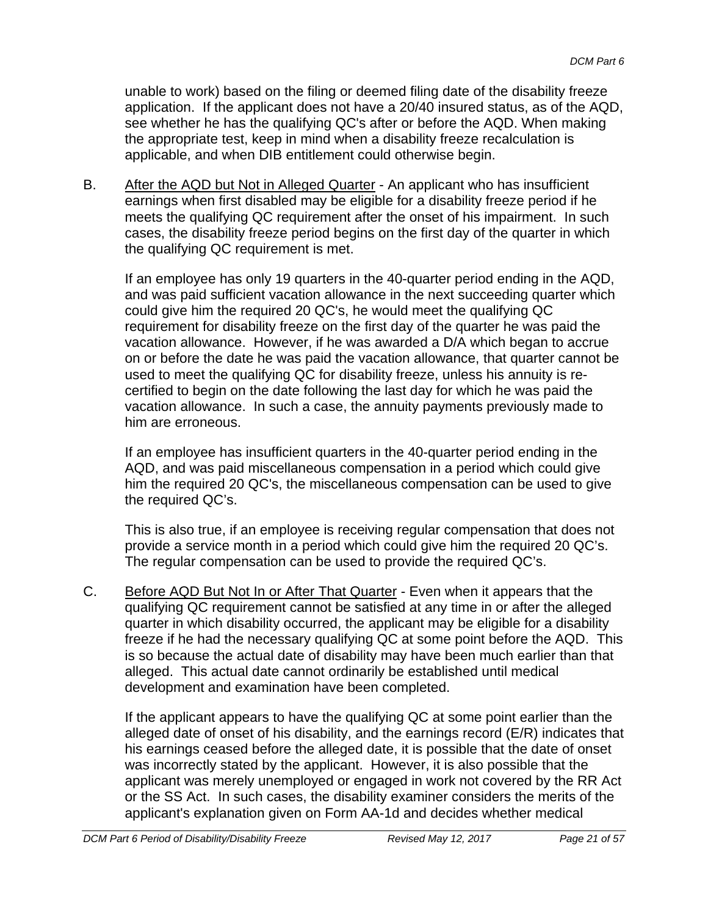unable to work) based on the filing or deemed filing date of the disability freeze application. If the applicant does not have a 20/40 insured status, as of the AQD, see whether he has the qualifying QC's after or before the AQD. When making the appropriate test, keep in mind when a disability freeze recalculation is applicable, and when DIB entitlement could otherwise begin.

B. After the AQD but Not in Alleged Quarter - An applicant who has insufficient earnings when first disabled may be eligible for a disability freeze period if he meets the qualifying QC requirement after the onset of his impairment. In such cases, the disability freeze period begins on the first day of the quarter in which the qualifying QC requirement is met.

If an employee has only 19 quarters in the 40-quarter period ending in the AQD, and was paid sufficient vacation allowance in the next succeeding quarter which could give him the required 20 QC's, he would meet the qualifying QC requirement for disability freeze on the first day of the quarter he was paid the vacation allowance. However, if he was awarded a D/A which began to accrue on or before the date he was paid the vacation allowance, that quarter cannot be used to meet the qualifying QC for disability freeze, unless his annuity is recertified to begin on the date following the last day for which he was paid the vacation allowance. In such a case, the annuity payments previously made to him are erroneous.

If an employee has insufficient quarters in the 40-quarter period ending in the AQD, and was paid miscellaneous compensation in a period which could give him the required 20 QC's, the miscellaneous compensation can be used to give the required QC's.

This is also true, if an employee is receiving regular compensation that does not provide a service month in a period which could give him the required 20 QC's. The regular compensation can be used to provide the required QC's.

C. Before AQD But Not In or After That Quarter - Even when it appears that the qualifying QC requirement cannot be satisfied at any time in or after the alleged quarter in which disability occurred, the applicant may be eligible for a disability freeze if he had the necessary qualifying QC at some point before the AQD. This is so because the actual date of disability may have been much earlier than that alleged. This actual date cannot ordinarily be established until medical development and examination have been completed.

If the applicant appears to have the qualifying QC at some point earlier than the alleged date of onset of his disability, and the earnings record (E/R) indicates that his earnings ceased before the alleged date, it is possible that the date of onset was incorrectly stated by the applicant. However, it is also possible that the applicant was merely unemployed or engaged in work not covered by the RR Act or the SS Act. In such cases, the disability examiner considers the merits of the applicant's explanation given on Form AA-1d and decides whether medical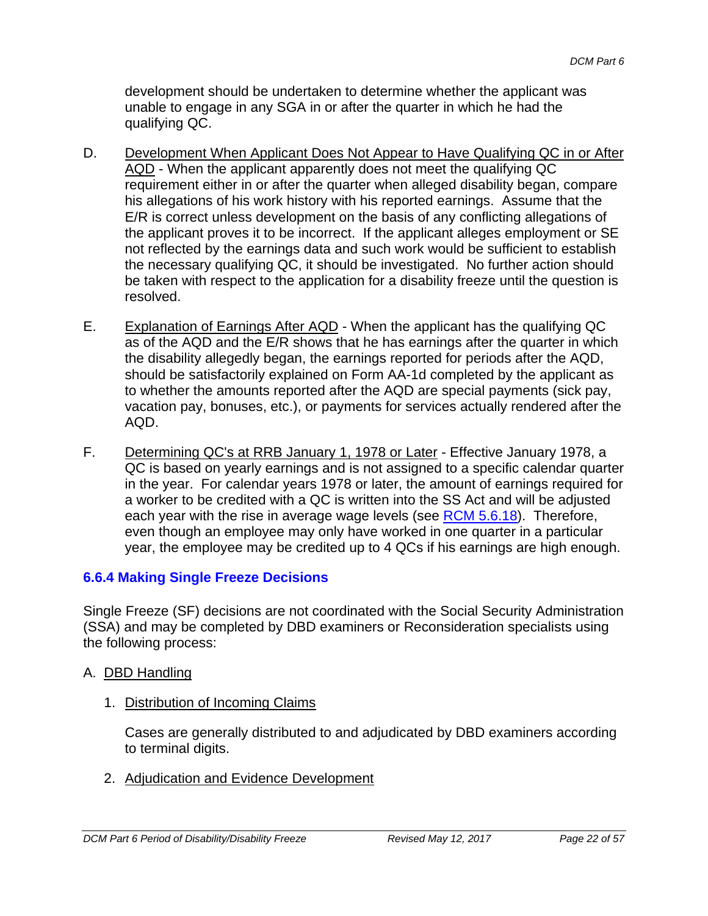development should be undertaken to determine whether the applicant was unable to engage in any SGA in or after the quarter in which he had the qualifying QC.

- D. Development When Applicant Does Not Appear to Have Qualifying QC in or After AQD - When the applicant apparently does not meet the qualifying QC requirement either in or after the quarter when alleged disability began, compare his allegations of his work history with his reported earnings. Assume that the E/R is correct unless development on the basis of any conflicting allegations of the applicant proves it to be incorrect. If the applicant alleges employment or SE not reflected by the earnings data and such work would be sufficient to establish the necessary qualifying QC, it should be investigated. No further action should be taken with respect to the application for a disability freeze until the question is resolved.
- E. Explanation of Earnings After AQD When the applicant has the qualifying QC as of the AQD and the E/R shows that he has earnings after the quarter in which the disability allegedly began, the earnings reported for periods after the AQD, should be satisfactorily explained on Form AA-1d completed by the applicant as to whether the amounts reported after the AQD are special payments (sick pay, vacation pay, bonuses, etc.), or payments for services actually rendered after the AQD.
- F. Determining QC's at RRB January 1, 1978 or Later Effective January 1978, a QC is based on yearly earnings and is not assigned to a specific calendar quarter in the year. For calendar years 1978 or later, the amount of earnings required for a worker to be credited with a QC is written into the SS Act and will be adjusted each year with the rise in average wage levels (see RCM 5.6.18). Therefore, even though an employee may only have worked in one quarter in a particular year, the employee may be credited up to 4 QCs if his earnings are high enough.

### **6.6.4 Making Single Freeze Decisions**

Single Freeze (SF) decisions are not coordinated with the Social Security Administration (SSA) and may be completed by DBD examiners or Reconsideration specialists using the following process:

#### A. DBD Handling

1. Distribution of Incoming Claims

Cases are generally distributed to and adjudicated by DBD examiners according to terminal digits.

2. Adjudication and Evidence Development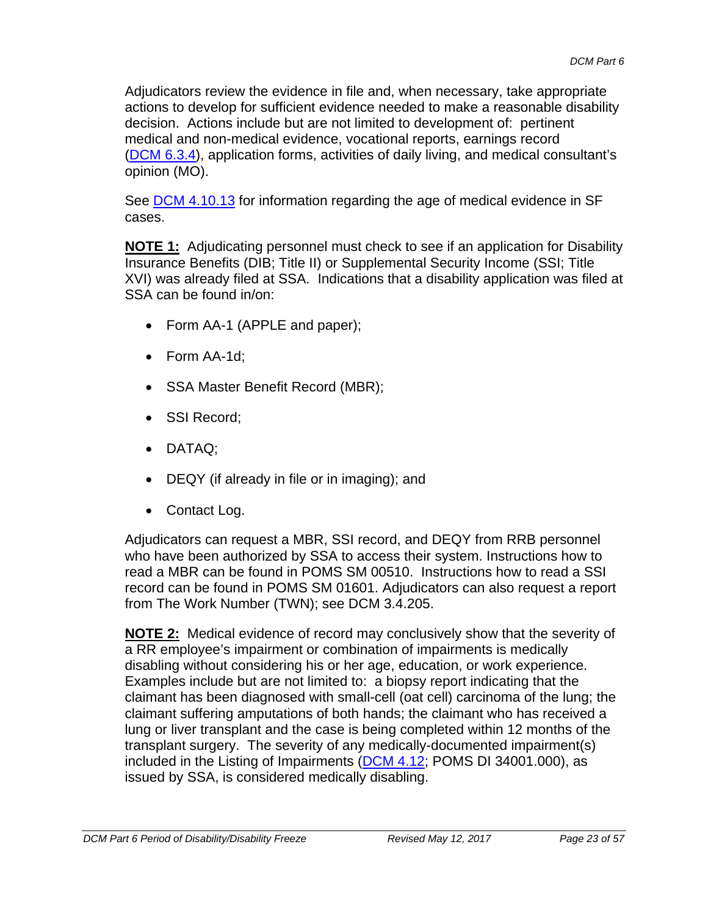Adjudicators review the evidence in file and, when necessary, take appropriate actions to develop for sufficient evidence needed to make a reasonable disability decision. Actions include but are not limited to development of: pertinent medical and non-medical evidence, vocational reports, earnings record (DCM 6.3.4), application forms, activities of daily living, and medical consultant's opinion (MO).

See DCM 4.10.13 for information regarding the age of medical evidence in SF cases.

**NOTE 1:** Adjudicating personnel must check to see if an application for Disability Insurance Benefits (DIB; Title II) or Supplemental Security Income (SSI; Title XVI) was already filed at SSA. Indications that a disability application was filed at SSA can be found in/on:

- Form AA-1 (APPLE and paper);
- Form AA-1d;
- SSA Master Benefit Record (MBR);
- SSI Record:
- DATAQ;
- DEQY (if already in file or in imaging); and
- Contact Log.

Adjudicators can request a MBR, SSI record, and DEQY from RRB personnel who have been authorized by SSA to access their system. Instructions how to read a MBR can be found in POMS SM 00510. Instructions how to read a SSI record can be found in POMS SM 01601. Adjudicators can also request a report from The Work Number (TWN); see DCM 3.4.205.

**NOTE 2:** Medical evidence of record may conclusively show that the severity of a RR employee's impairment or combination of impairments is medically disabling without considering his or her age, education, or work experience. Examples include but are not limited to: a biopsy report indicating that the claimant has been diagnosed with small-cell (oat cell) carcinoma of the lung; the claimant suffering amputations of both hands; the claimant who has received a lung or liver transplant and the case is being completed within 12 months of the transplant surgery. The severity of any medically-documented impairment(s) included in the Listing of Impairments  $(DCM 4.12; POMS D1 34001.000)$ , as issued by SSA, is considered medically disabling.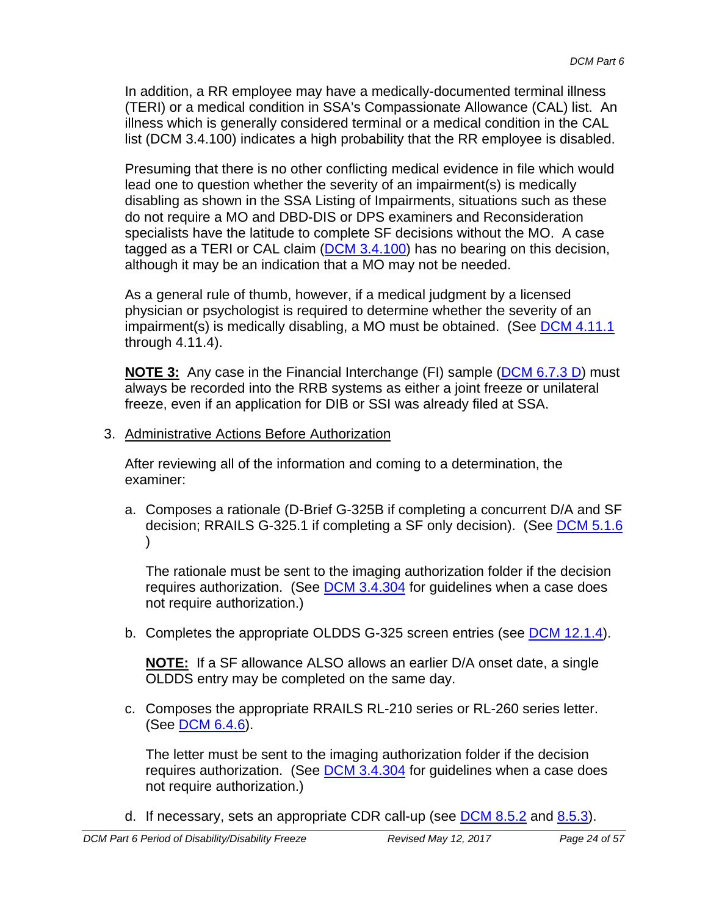In addition, a RR employee may have a medically-documented terminal illness (TERI) or a medical condition in SSA's Compassionate Allowance (CAL) list. An illness which is generally considered terminal or a medical condition in the CAL list (DCM 3.4.100) indicates a high probability that the RR employee is disabled.

Presuming that there is no other conflicting medical evidence in file which would lead one to question whether the severity of an impairment(s) is medically disabling as shown in the SSA Listing of Impairments, situations such as these do not require a MO and DBD-DIS or DPS examiners and Reconsideration specialists have the latitude to complete SF decisions without the MO. A case tagged as a TERI or CAL claim (DCM 3.4.100) has no bearing on this decision, although it may be an indication that a MO may not be needed.

As a general rule of thumb, however, if a medical judgment by a licensed physician or psychologist is required to determine whether the severity of an impairment(s) is medically disabling, a MO must be obtained. (See DCM 4.11.1) through 4.11.4).

**NOTE 3:** Any case in the Financial Interchange (FI) sample (DCM 6.7.3 D) must always be recorded into the RRB systems as either a joint freeze or unilateral freeze, even if an application for DIB or SSI was already filed at SSA.

3. Administrative Actions Before Authorization

After reviewing all of the information and coming to a determination, the examiner:

a. Composes a rationale (D-Brief G-325B if completing a concurrent D/A and SF decision; RRAILS G-325.1 if completing a SF only decision). (See DCM 5.1.6  $\lambda$ 

The rationale must be sent to the imaging authorization folder if the decision requires authorization. (See DCM 3.4.304 for guidelines when a case does not require authorization.)

b. Completes the appropriate OLDDS G-325 screen entries (see **DCM 12.1.4**).

**NOTE:** If a SF allowance ALSO allows an earlier D/A onset date, a single OLDDS entry may be completed on the same day.

c. Composes the appropriate RRAILS RL-210 series or RL-260 series letter. (See **DCM 6.4.6**).

The letter must be sent to the imaging authorization folder if the decision requires authorization. (See DCM 3.4.304 for guidelines when a case does not require authorization.)

d. If necessary, sets an appropriate CDR call-up (see DCM 8.5.2 and 8.5.3).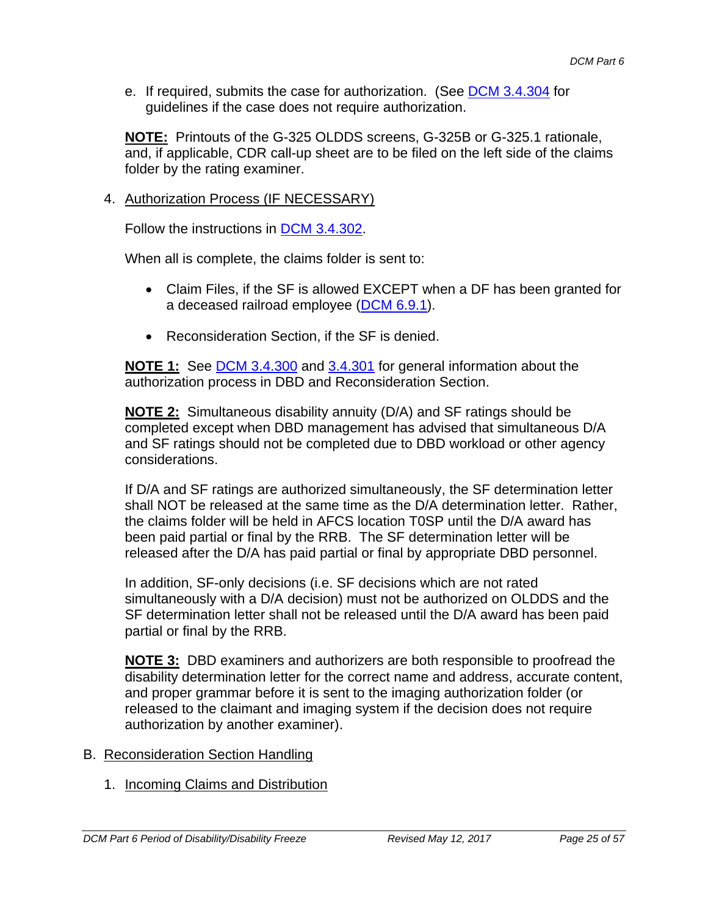e. If required, submits the case for authorization. (See DCM 3.4.304 for guidelines if the case does not require authorization.

**NOTE:** Printouts of the G-325 OLDDS screens, G-325B or G-325.1 rationale, and, if applicable, CDR call-up sheet are to be filed on the left side of the claims folder by the rating examiner.

#### 4. Authorization Process (IF NECESSARY)

Follow the instructions in DCM 3.4.302.

When all is complete, the claims folder is sent to:

- Claim Files, if the SF is allowed EXCEPT when a DF has been granted for a deceased railroad employee (DCM 6.9.1).
- Reconsideration Section, if the SF is denied.

**NOTE 1:** See DCM 3.4.300 and 3.4.301 for general information about the authorization process in DBD and Reconsideration Section.

**NOTE 2:** Simultaneous disability annuity (D/A) and SF ratings should be completed except when DBD management has advised that simultaneous D/A and SF ratings should not be completed due to DBD workload or other agency considerations.

If D/A and SF ratings are authorized simultaneously, the SF determination letter shall NOT be released at the same time as the D/A determination letter. Rather, the claims folder will be held in AFCS location T0SP until the D/A award has been paid partial or final by the RRB. The SF determination letter will be released after the D/A has paid partial or final by appropriate DBD personnel.

In addition, SF-only decisions (i.e. SF decisions which are not rated simultaneously with a D/A decision) must not be authorized on OLDDS and the SF determination letter shall not be released until the D/A award has been paid partial or final by the RRB.

**NOTE 3:** DBD examiners and authorizers are both responsible to proofread the disability determination letter for the correct name and address, accurate content, and proper grammar before it is sent to the imaging authorization folder (or released to the claimant and imaging system if the decision does not require authorization by another examiner).

- B. Reconsideration Section Handling
	- 1. Incoming Claims and Distribution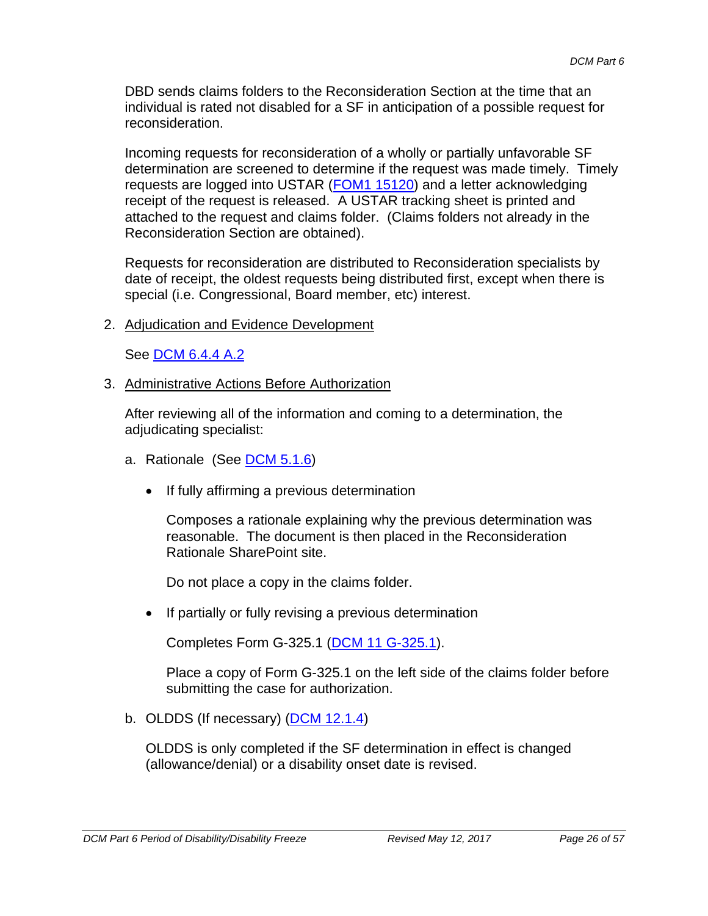DBD sends claims folders to the Reconsideration Section at the time that an individual is rated not disabled for a SF in anticipation of a possible request for reconsideration.

Incoming requests for reconsideration of a wholly or partially unfavorable SF determination are screened to determine if the request was made timely. Timely requests are logged into USTAR (FOM1 15120) and a letter acknowledging receipt of the request is released. A USTAR tracking sheet is printed and attached to the request and claims folder. (Claims folders not already in the Reconsideration Section are obtained).

Requests for reconsideration are distributed to Reconsideration specialists by date of receipt, the oldest requests being distributed first, except when there is special (i.e. Congressional, Board member, etc) interest.

2. Adjudication and Evidence Development

See **DCM 6.4.4 A.2** 

3. Administrative Actions Before Authorization

After reviewing all of the information and coming to a determination, the adjudicating specialist:

- a. Rationale (See DCM 5.1.6)
	- If fully affirming a previous determination

Composes a rationale explaining why the previous determination was reasonable. The document is then placed in the Reconsideration Rationale SharePoint site.

Do not place a copy in the claims folder.

• If partially or fully revising a previous determination

Completes Form G-325.1 (DCM 11 G-325.1).

Place a copy of Form G-325.1 on the left side of the claims folder before submitting the case for authorization.

b. OLDDS (If necessary) (DCM 12.1.4)

OLDDS is only completed if the SF determination in effect is changed (allowance/denial) or a disability onset date is revised.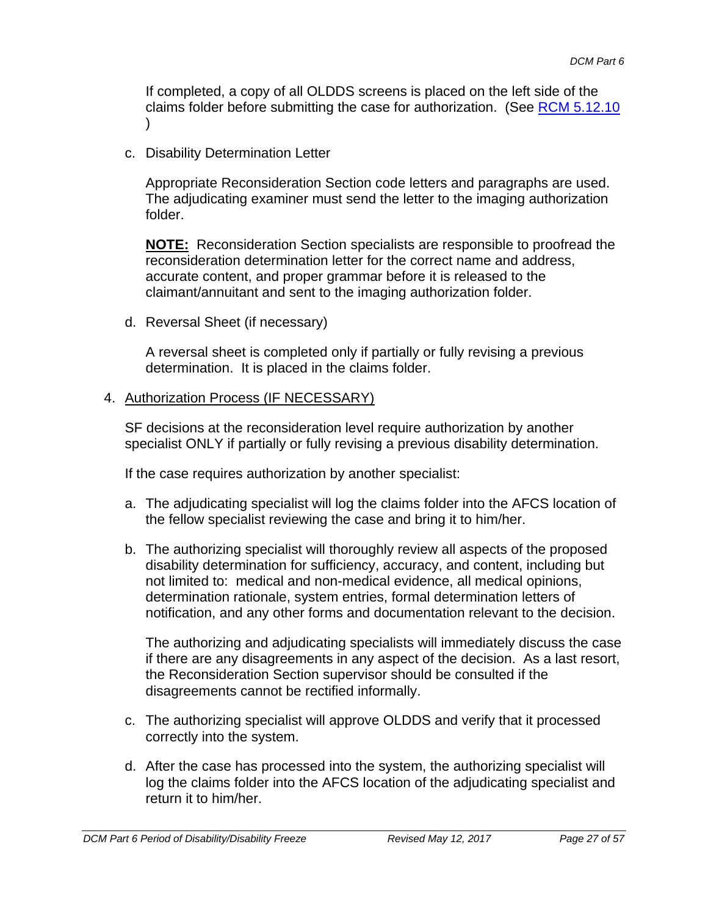If completed, a copy of all OLDDS screens is placed on the left side of the claims folder before submitting the case for authorization. (See RCM 5.12.10 )

c. Disability Determination Letter

Appropriate Reconsideration Section code letters and paragraphs are used. The adjudicating examiner must send the letter to the imaging authorization folder.

**NOTE:** Reconsideration Section specialists are responsible to proofread the reconsideration determination letter for the correct name and address, accurate content, and proper grammar before it is released to the claimant/annuitant and sent to the imaging authorization folder.

d. Reversal Sheet (if necessary)

A reversal sheet is completed only if partially or fully revising a previous determination. It is placed in the claims folder.

#### 4. Authorization Process (IF NECESSARY)

SF decisions at the reconsideration level require authorization by another specialist ONLY if partially or fully revising a previous disability determination.

If the case requires authorization by another specialist:

- a. The adjudicating specialist will log the claims folder into the AFCS location of the fellow specialist reviewing the case and bring it to him/her.
- b. The authorizing specialist will thoroughly review all aspects of the proposed disability determination for sufficiency, accuracy, and content, including but not limited to: medical and non-medical evidence, all medical opinions, determination rationale, system entries, formal determination letters of notification, and any other forms and documentation relevant to the decision.

The authorizing and adjudicating specialists will immediately discuss the case if there are any disagreements in any aspect of the decision. As a last resort, the Reconsideration Section supervisor should be consulted if the disagreements cannot be rectified informally.

- c. The authorizing specialist will approve OLDDS and verify that it processed correctly into the system.
- d. After the case has processed into the system, the authorizing specialist will log the claims folder into the AFCS location of the adjudicating specialist and return it to him/her.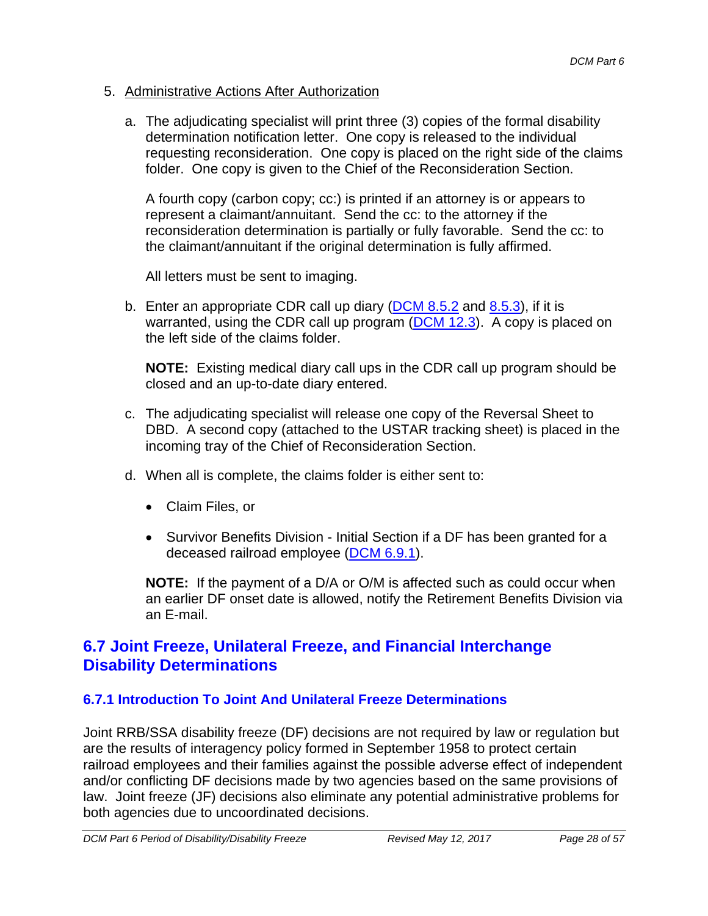#### 5. Administrative Actions After Authorization

a. The adjudicating specialist will print three (3) copies of the formal disability determination notification letter. One copy is released to the individual requesting reconsideration. One copy is placed on the right side of the claims folder. One copy is given to the Chief of the Reconsideration Section.

A fourth copy (carbon copy; cc:) is printed if an attorney is or appears to represent a claimant/annuitant. Send the cc: to the attorney if the reconsideration determination is partially or fully favorable. Send the cc: to the claimant/annuitant if the original determination is fully affirmed.

All letters must be sent to imaging.

b. Enter an appropriate CDR call up diary  $(DCM 8.5.2)$  and  $(8.5.3)$ , if it is warranted, using the CDR call up program  $(DCM 12.3)$ . A copy is placed on the left side of the claims folder.

**NOTE:** Existing medical diary call ups in the CDR call up program should be closed and an up-to-date diary entered.

- c. The adjudicating specialist will release one copy of the Reversal Sheet to DBD. A second copy (attached to the USTAR tracking sheet) is placed in the incoming tray of the Chief of Reconsideration Section.
- d. When all is complete, the claims folder is either sent to:
	- Claim Files, or
	- Survivor Benefits Division Initial Section if a DF has been granted for a deceased railroad employee (DCM 6.9.1).

**NOTE:** If the payment of a D/A or O/M is affected such as could occur when an earlier DF onset date is allowed, notify the Retirement Benefits Division via an E-mail.

### **6.7 Joint Freeze, Unilateral Freeze, and Financial Interchange Disability Determinations**

#### **6.7.1 Introduction To Joint And Unilateral Freeze Determinations**

Joint RRB/SSA disability freeze (DF) decisions are not required by law or regulation but are the results of interagency policy formed in September 1958 to protect certain railroad employees and their families against the possible adverse effect of independent and/or conflicting DF decisions made by two agencies based on the same provisions of law. Joint freeze (JF) decisions also eliminate any potential administrative problems for both agencies due to uncoordinated decisions.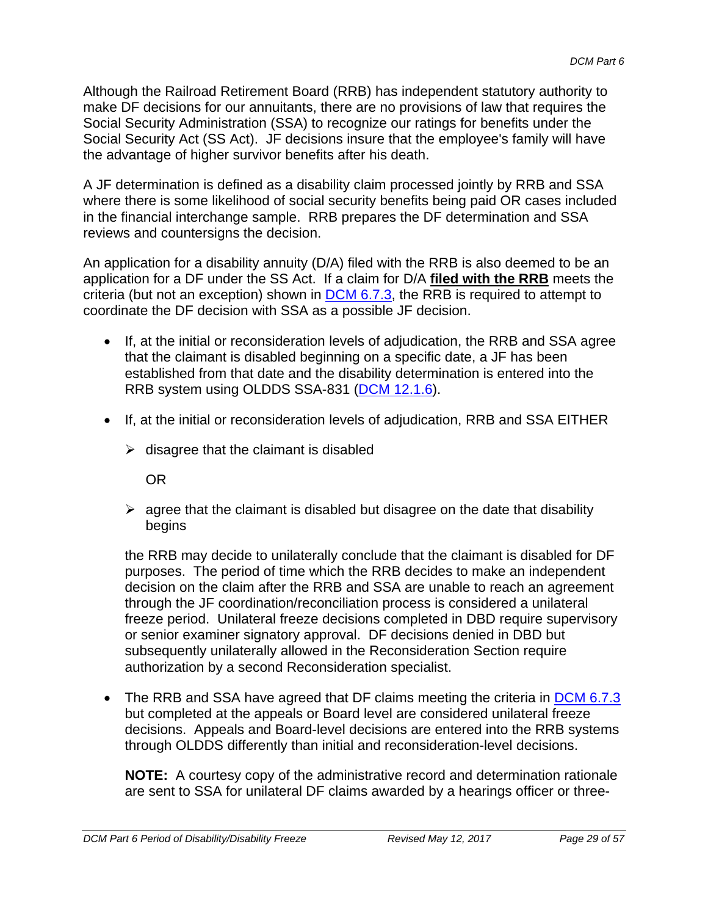Although the Railroad Retirement Board (RRB) has independent statutory authority to make DF decisions for our annuitants, there are no provisions of law that requires the Social Security Administration (SSA) to recognize our ratings for benefits under the Social Security Act (SS Act). JF decisions insure that the employee's family will have the advantage of higher survivor benefits after his death.

A JF determination is defined as a disability claim processed jointly by RRB and SSA where there is some likelihood of social security benefits being paid OR cases included in the financial interchange sample. RRB prepares the DF determination and SSA reviews and countersigns the decision.

An application for a disability annuity (D/A) filed with the RRB is also deemed to be an application for a DF under the SS Act. If a claim for D/A **filed with the RRB** meets the criteria (but not an exception) shown in DCM 6.7.3, the RRB is required to attempt to coordinate the DF decision with SSA as a possible JF decision.

- If, at the initial or reconsideration levels of adjudication, the RRB and SSA agree that the claimant is disabled beginning on a specific date, a JF has been established from that date and the disability determination is entered into the RRB system using OLDDS SSA-831 (DCM 12.1.6).
- If, at the initial or reconsideration levels of adjudication, RRB and SSA EITHER
	- $\triangleright$  disagree that the claimant is disabled

OR

 $\triangleright$  agree that the claimant is disabled but disagree on the date that disability begins

the RRB may decide to unilaterally conclude that the claimant is disabled for DF purposes. The period of time which the RRB decides to make an independent decision on the claim after the RRB and SSA are unable to reach an agreement through the JF coordination/reconciliation process is considered a unilateral freeze period. Unilateral freeze decisions completed in DBD require supervisory or senior examiner signatory approval. DF decisions denied in DBD but subsequently unilaterally allowed in the Reconsideration Section require authorization by a second Reconsideration specialist.

• The RRB and SSA have agreed that DF claims meeting the criteria in DCM 6.7.3 but completed at the appeals or Board level are considered unilateral freeze decisions. Appeals and Board-level decisions are entered into the RRB systems through OLDDS differently than initial and reconsideration-level decisions.

**NOTE:** A courtesy copy of the administrative record and determination rationale are sent to SSA for unilateral DF claims awarded by a hearings officer or three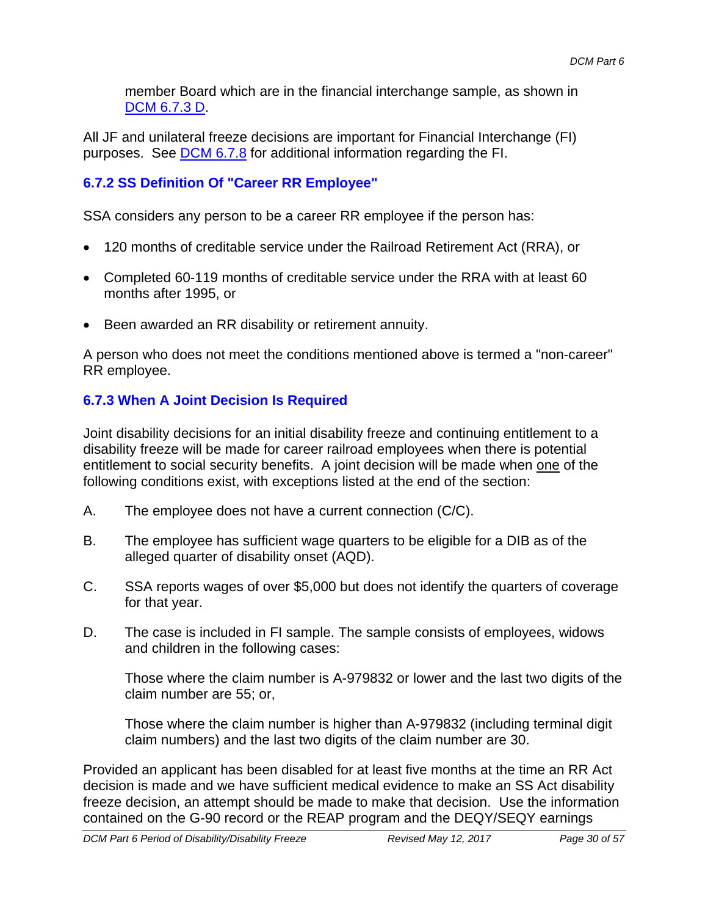member Board which are in the financial interchange sample, as shown in DCM 6.7.3 D.

All JF and unilateral freeze decisions are important for Financial Interchange (FI) purposes. See DCM 6.7.8 for additional information regarding the FI.

### **6.7.2 SS Definition Of "Career RR Employee"**

SSA considers any person to be a career RR employee if the person has:

- 120 months of creditable service under the Railroad Retirement Act (RRA), or
- Completed 60-119 months of creditable service under the RRA with at least 60 months after 1995, or
- Been awarded an RR disability or retirement annuity.

A person who does not meet the conditions mentioned above is termed a "non-career" RR employee.

### **6.7.3 When A Joint Decision Is Required**

Joint disability decisions for an initial disability freeze and continuing entitlement to a disability freeze will be made for career railroad employees when there is potential entitlement to social security benefits. A joint decision will be made when one of the following conditions exist, with exceptions listed at the end of the section:

- A. The employee does not have a current connection (C/C).
- B. The employee has sufficient wage quarters to be eligible for a DIB as of the alleged quarter of disability onset (AQD).
- C. SSA reports wages of over \$5,000 but does not identify the quarters of coverage for that year.
- D. The case is included in FI sample. The sample consists of employees, widows and children in the following cases:

Those where the claim number is A-979832 or lower and the last two digits of the claim number are 55; or,

Those where the claim number is higher than A-979832 (including terminal digit claim numbers) and the last two digits of the claim number are 30.

Provided an applicant has been disabled for at least five months at the time an RR Act decision is made and we have sufficient medical evidence to make an SS Act disability freeze decision, an attempt should be made to make that decision. Use the information contained on the G-90 record or the REAP program and the DEQY/SEQY earnings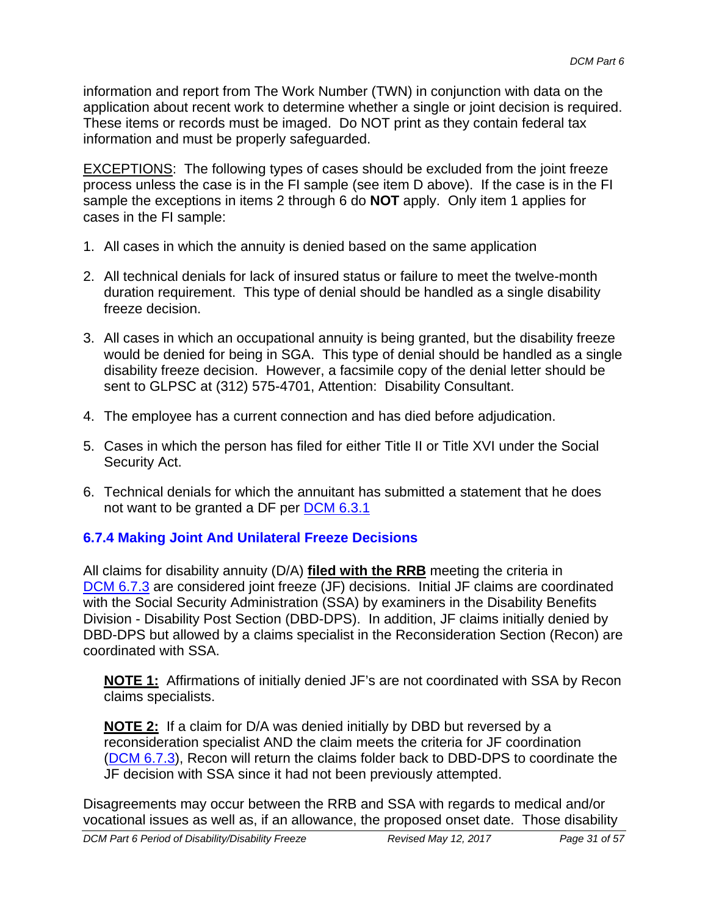information and report from The Work Number (TWN) in conjunction with data on the application about recent work to determine whether a single or joint decision is required. These items or records must be imaged. Do NOT print as they contain federal tax information and must be properly safeguarded.

EXCEPTIONS: The following types of cases should be excluded from the joint freeze process unless the case is in the FI sample (see item D above). If the case is in the FI sample the exceptions in items 2 through 6 do **NOT** apply. Only item 1 applies for cases in the FI sample:

- 1. All cases in which the annuity is denied based on the same application
- 2. All technical denials for lack of insured status or failure to meet the twelve-month duration requirement. This type of denial should be handled as a single disability freeze decision.
- 3. All cases in which an occupational annuity is being granted, but the disability freeze would be denied for being in SGA. This type of denial should be handled as a single disability freeze decision. However, a facsimile copy of the denial letter should be sent to GLPSC at (312) 575-4701, Attention: Disability Consultant.
- 4. The employee has a current connection and has died before adjudication.
- 5. Cases in which the person has filed for either Title II or Title XVI under the Social Security Act.
- 6. Technical denials for which the annuitant has submitted a statement that he does not want to be granted a DF per **DCM 6.3.1**

### **6.7.4 Making Joint And Unilateral Freeze Decisions**

All claims for disability annuity (D/A) **filed with the RRB** meeting the criteria in DCM 6.7.3 are considered joint freeze (JF) decisions. Initial JF claims are coordinated with the Social Security Administration (SSA) by examiners in the Disability Benefits Division - Disability Post Section (DBD-DPS). In addition, JF claims initially denied by DBD-DPS but allowed by a claims specialist in the Reconsideration Section (Recon) are coordinated with SSA.

**NOTE 1:** Affirmations of initially denied JF's are not coordinated with SSA by Recon claims specialists.

**NOTE 2:** If a claim for D/A was denied initially by DBD but reversed by a reconsideration specialist AND the claim meets the criteria for JF coordination (DCM 6.7.3), Recon will return the claims folder back to DBD-DPS to coordinate the JF decision with SSA since it had not been previously attempted.

Disagreements may occur between the RRB and SSA with regards to medical and/or vocational issues as well as, if an allowance, the proposed onset date. Those disability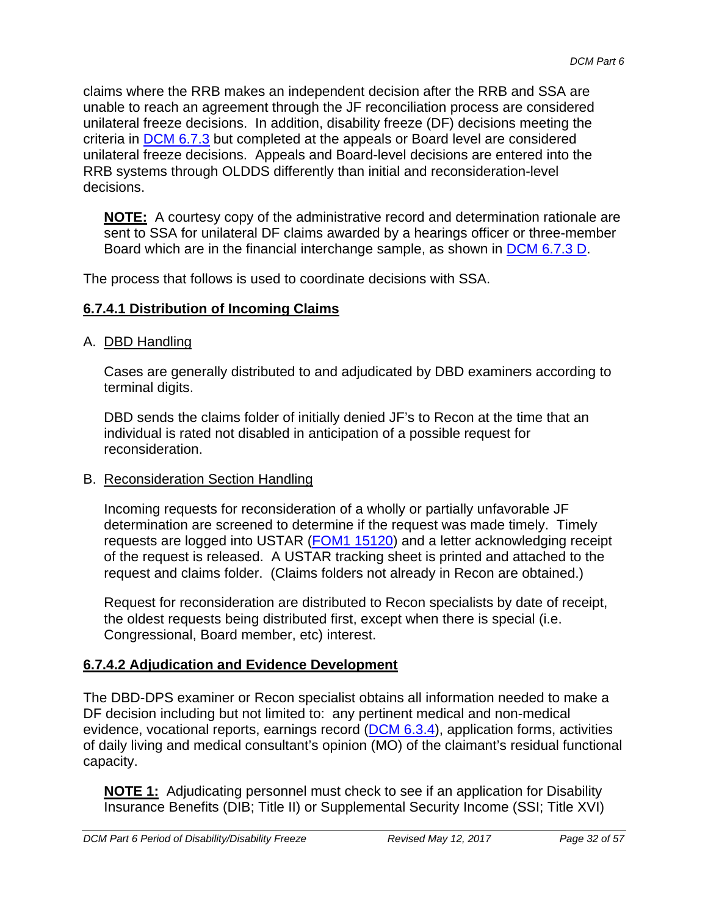claims where the RRB makes an independent decision after the RRB and SSA are unable to reach an agreement through the JF reconciliation process are considered unilateral freeze decisions. In addition, disability freeze (DF) decisions meeting the criteria in DCM 6.7.3 but completed at the appeals or Board level are considered unilateral freeze decisions. Appeals and Board-level decisions are entered into the RRB systems through OLDDS differently than initial and reconsideration-level decisions.

**NOTE:** A courtesy copy of the administrative record and determination rationale are sent to SSA for unilateral DF claims awarded by a hearings officer or three-member Board which are in the financial interchange sample, as shown in DCM 6.7.3 D.

The process that follows is used to coordinate decisions with SSA.

#### **6.7.4.1 Distribution of Incoming Claims**

#### A. DBD Handling

Cases are generally distributed to and adjudicated by DBD examiners according to terminal digits.

DBD sends the claims folder of initially denied JF's to Recon at the time that an individual is rated not disabled in anticipation of a possible request for reconsideration.

#### B. Reconsideration Section Handling

Incoming requests for reconsideration of a wholly or partially unfavorable JF determination are screened to determine if the request was made timely. Timely requests are logged into USTAR (FOM1 15120) and a letter acknowledging receipt of the request is released. A USTAR tracking sheet is printed and attached to the request and claims folder. (Claims folders not already in Recon are obtained.)

Request for reconsideration are distributed to Recon specialists by date of receipt, the oldest requests being distributed first, except when there is special (i.e. Congressional, Board member, etc) interest.

#### **6.7.4.2 Adjudication and Evidence Development**

The DBD-DPS examiner or Recon specialist obtains all information needed to make a DF decision including but not limited to: any pertinent medical and non-medical evidence, vocational reports, earnings record (DCM 6.3.4), application forms, activities of daily living and medical consultant's opinion (MO) of the claimant's residual functional capacity.

**NOTE 1:** Adjudicating personnel must check to see if an application for Disability Insurance Benefits (DIB; Title II) or Supplemental Security Income (SSI; Title XVI)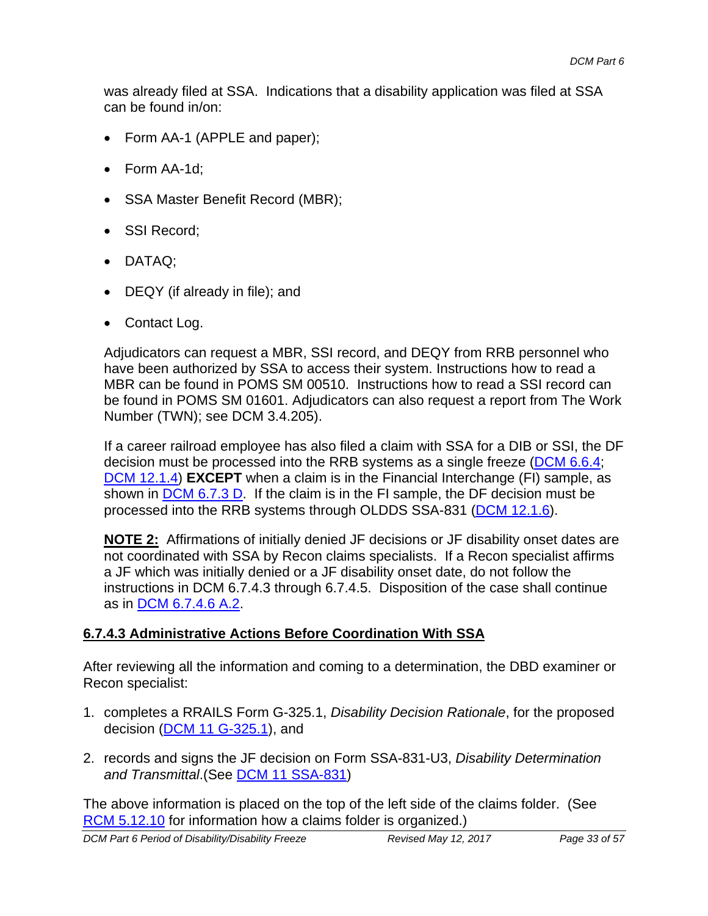was already filed at SSA. Indications that a disability application was filed at SSA can be found in/on:

- Form AA-1 (APPLE and paper);
- Form AA-1d:
- SSA Master Benefit Record (MBR);
- SSI Record:
- DATAQ;
- DEQY (if already in file); and
- Contact Log.

Adjudicators can request a MBR, SSI record, and DEQY from RRB personnel who have been authorized by SSA to access their system. Instructions how to read a MBR can be found in POMS SM 00510. Instructions how to read a SSI record can be found in POMS SM 01601. Adjudicators can also request a report from The Work Number (TWN); see DCM 3.4.205).

If a career railroad employee has also filed a claim with SSA for a DIB or SSI, the DF decision must be processed into the RRB systems as a single freeze (DCM 6.6.4; DCM 12.1.4) **EXCEPT** when a claim is in the Financial Interchange (FI) sample, as shown in  $DCM$  6.7.3 D. If the claim is in the FI sample, the DF decision must be processed into the RRB systems through OLDDS SSA-831 (DCM 12.1.6).

**NOTE 2:** Affirmations of initially denied JF decisions or JF disability onset dates are not coordinated with SSA by Recon claims specialists. If a Recon specialist affirms a JF which was initially denied or a JF disability onset date, do not follow the instructions in DCM 6.7.4.3 through 6.7.4.5. Disposition of the case shall continue as in DCM 6.7.4.6 A.2.

#### **6.7.4.3 Administrative Actions Before Coordination With SSA**

After reviewing all the information and coming to a determination, the DBD examiner or Recon specialist:

- 1. completes a RRAILS Form G-325.1, *Disability Decision Rationale*, for the proposed decision (DCM 11 G-325.1), and
- 2. records and signs the JF decision on Form SSA-831-U3, *Disability Determination and Transmittal*.(See DCM 11 SSA-831)

The above information is placed on the top of the left side of the claims folder. (See RCM 5.12.10 for information how a claims folder is organized.)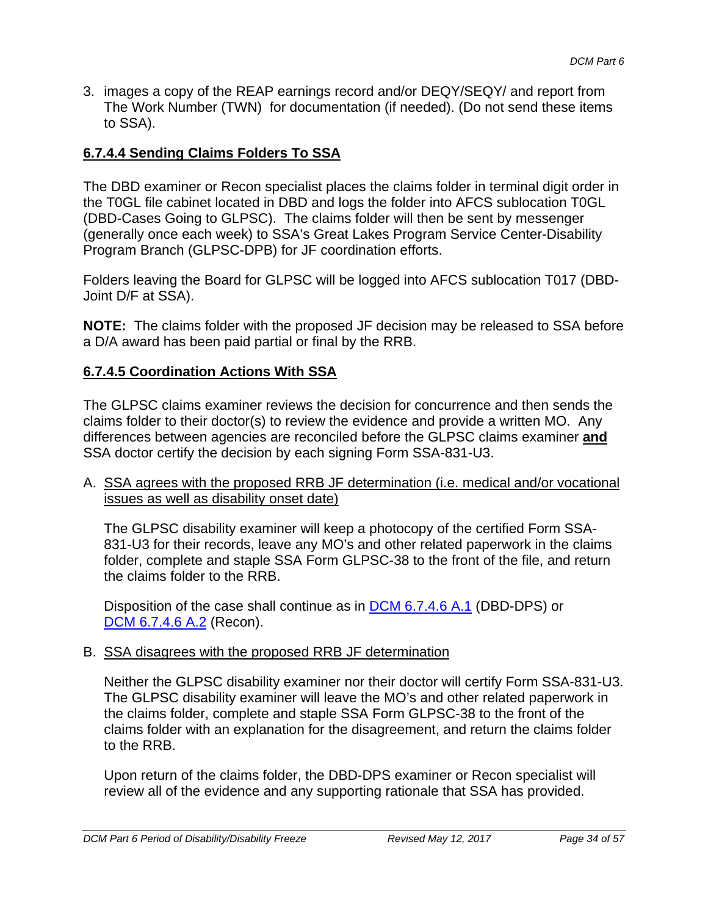3. images a copy of the REAP earnings record and/or DEQY/SEQY/ and report from The Work Number (TWN) for documentation (if needed). (Do not send these items to SSA).

#### **6.7.4.4 Sending Claims Folders To SSA**

The DBD examiner or Recon specialist places the claims folder in terminal digit order in the T0GL file cabinet located in DBD and logs the folder into AFCS sublocation T0GL (DBD-Cases Going to GLPSC). The claims folder will then be sent by messenger (generally once each week) to SSA's Great Lakes Program Service Center-Disability Program Branch (GLPSC-DPB) for JF coordination efforts.

Folders leaving the Board for GLPSC will be logged into AFCS sublocation T017 (DBD-Joint D/F at SSA).

**NOTE:** The claims folder with the proposed JF decision may be released to SSA before a D/A award has been paid partial or final by the RRB.

#### **6.7.4.5 Coordination Actions With SSA**

The GLPSC claims examiner reviews the decision for concurrence and then sends the claims folder to their doctor(s) to review the evidence and provide a written MO. Any differences between agencies are reconciled before the GLPSC claims examiner **and**  SSA doctor certify the decision by each signing Form SSA-831-U3.

A. SSA agrees with the proposed RRB JF determination (i.e. medical and/or vocational issues as well as disability onset date)

The GLPSC disability examiner will keep a photocopy of the certified Form SSA-831-U3 for their records, leave any MO's and other related paperwork in the claims folder, complete and staple SSA Form GLPSC-38 to the front of the file, and return the claims folder to the RRB.

Disposition of the case shall continue as in DCM 6.7.4.6 A.1 (DBD-DPS) or DCM 6.7.4.6 A.2 (Recon).

#### B. SSA disagrees with the proposed RRB JF determination

Neither the GLPSC disability examiner nor their doctor will certify Form SSA-831-U3. The GLPSC disability examiner will leave the MO's and other related paperwork in the claims folder, complete and staple SSA Form GLPSC-38 to the front of the claims folder with an explanation for the disagreement, and return the claims folder to the RRB.

Upon return of the claims folder, the DBD-DPS examiner or Recon specialist will review all of the evidence and any supporting rationale that SSA has provided.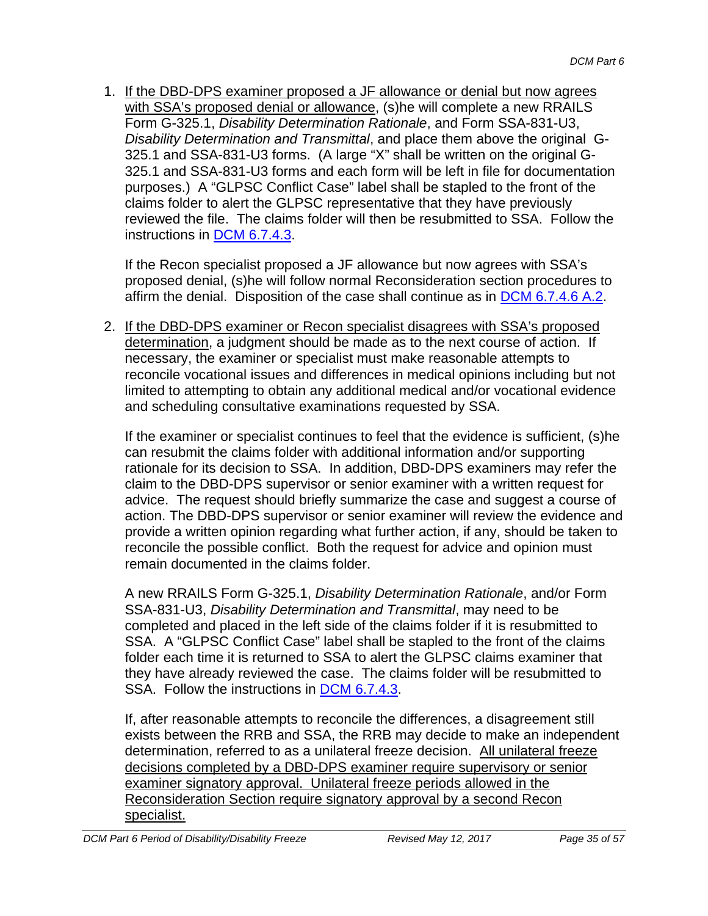1. If the DBD-DPS examiner proposed a JF allowance or denial but now agrees with SSA's proposed denial or allowance, (s)he will complete a new RRAILS Form G-325.1, *Disability Determination Rationale*, and Form SSA-831-U3, *Disability Determination and Transmittal*, and place them above the original G-325.1 and SSA-831-U3 forms. (A large "X" shall be written on the original G-325.1 and SSA-831-U3 forms and each form will be left in file for documentation purposes.) A "GLPSC Conflict Case" label shall be stapled to the front of the claims folder to alert the GLPSC representative that they have previously reviewed the file. The claims folder will then be resubmitted to SSA. Follow the instructions in DCM 6.7.4.3.

If the Recon specialist proposed a JF allowance but now agrees with SSA's proposed denial, (s)he will follow normal Reconsideration section procedures to affirm the denial. Disposition of the case shall continue as in DCM 6.7.4.6 A.2.

2. If the DBD-DPS examiner or Recon specialist disagrees with SSA's proposed determination, a judgment should be made as to the next course of action. If necessary, the examiner or specialist must make reasonable attempts to reconcile vocational issues and differences in medical opinions including but not limited to attempting to obtain any additional medical and/or vocational evidence and scheduling consultative examinations requested by SSA.

If the examiner or specialist continues to feel that the evidence is sufficient, (s)he can resubmit the claims folder with additional information and/or supporting rationale for its decision to SSA. In addition, DBD-DPS examiners may refer the claim to the DBD-DPS supervisor or senior examiner with a written request for advice. The request should briefly summarize the case and suggest a course of action. The DBD-DPS supervisor or senior examiner will review the evidence and provide a written opinion regarding what further action, if any, should be taken to reconcile the possible conflict. Both the request for advice and opinion must remain documented in the claims folder.

A new RRAILS Form G-325.1, *Disability Determination Rationale*, and/or Form SSA-831-U3, *Disability Determination and Transmittal*, may need to be completed and placed in the left side of the claims folder if it is resubmitted to SSA. A "GLPSC Conflict Case" label shall be stapled to the front of the claims folder each time it is returned to SSA to alert the GLPSC claims examiner that they have already reviewed the case. The claims folder will be resubmitted to SSA. Follow the instructions in DCM 6.7.4.3.

If, after reasonable attempts to reconcile the differences, a disagreement still exists between the RRB and SSA, the RRB may decide to make an independent determination, referred to as a unilateral freeze decision. All unilateral freeze decisions completed by a DBD-DPS examiner require supervisory or senior examiner signatory approval. Unilateral freeze periods allowed in the Reconsideration Section require signatory approval by a second Recon specialist.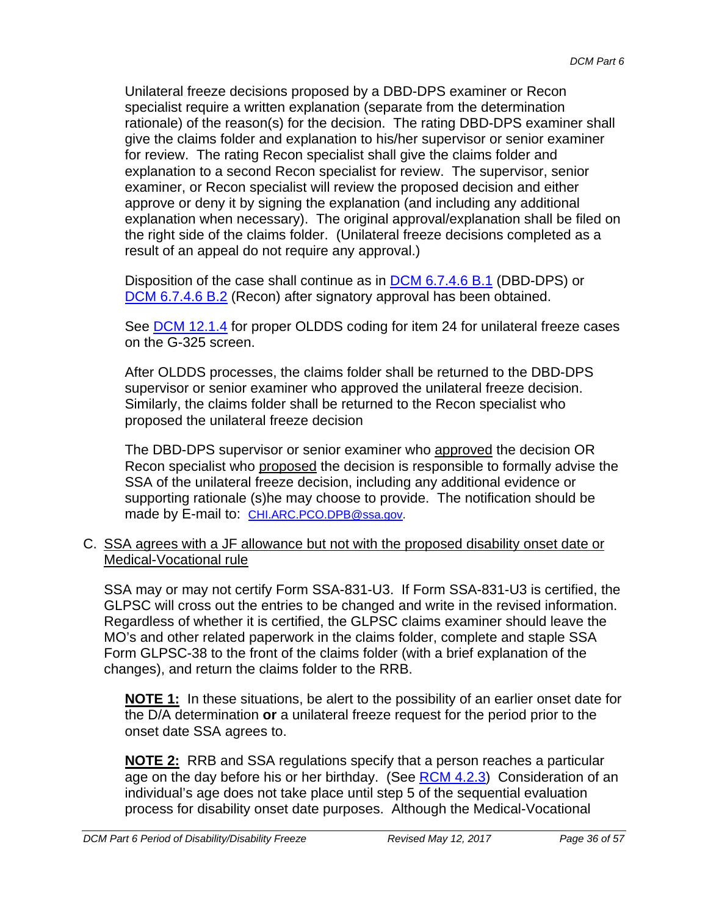Unilateral freeze decisions proposed by a DBD-DPS examiner or Recon specialist require a written explanation (separate from the determination rationale) of the reason(s) for the decision. The rating DBD-DPS examiner shall give the claims folder and explanation to his/her supervisor or senior examiner for review. The rating Recon specialist shall give the claims folder and explanation to a second Recon specialist for review. The supervisor, senior examiner, or Recon specialist will review the proposed decision and either approve or deny it by signing the explanation (and including any additional explanation when necessary). The original approval/explanation shall be filed on the right side of the claims folder. (Unilateral freeze decisions completed as a result of an appeal do not require any approval.)

Disposition of the case shall continue as in DCM 6.7.4.6 B.1 (DBD-DPS) or DCM 6.7.4.6 B.2 (Recon) after signatory approval has been obtained.

See DCM 12.1.4 for proper OLDDS coding for item 24 for unilateral freeze cases on the G-325 screen.

After OLDDS processes, the claims folder shall be returned to the DBD-DPS supervisor or senior examiner who approved the unilateral freeze decision. Similarly, the claims folder shall be returned to the Recon specialist who proposed the unilateral freeze decision

The DBD-DPS supervisor or senior examiner who approved the decision OR Recon specialist who proposed the decision is responsible to formally advise the SSA of the unilateral freeze decision, including any additional evidence or supporting rationale (s)he may choose to provide. The notification should be made by E-mail to: CHI.ARC.PCO.DPB@ssa.gov.

C. SSA agrees with a JF allowance but not with the proposed disability onset date or Medical-Vocational rule

SSA may or may not certify Form SSA-831-U3. If Form SSA-831-U3 is certified, the GLPSC will cross out the entries to be changed and write in the revised information. Regardless of whether it is certified, the GLPSC claims examiner should leave the MO's and other related paperwork in the claims folder, complete and staple SSA Form GLPSC-38 to the front of the claims folder (with a brief explanation of the changes), and return the claims folder to the RRB.

**NOTE 1:** In these situations, be alert to the possibility of an earlier onset date for the D/A determination **or** a unilateral freeze request for the period prior to the onset date SSA agrees to.

**NOTE 2:** RRB and SSA regulations specify that a person reaches a particular age on the day before his or her birthday. (See RCM 4.2.3) Consideration of an individual's age does not take place until step 5 of the sequential evaluation process for disability onset date purposes. Although the Medical-Vocational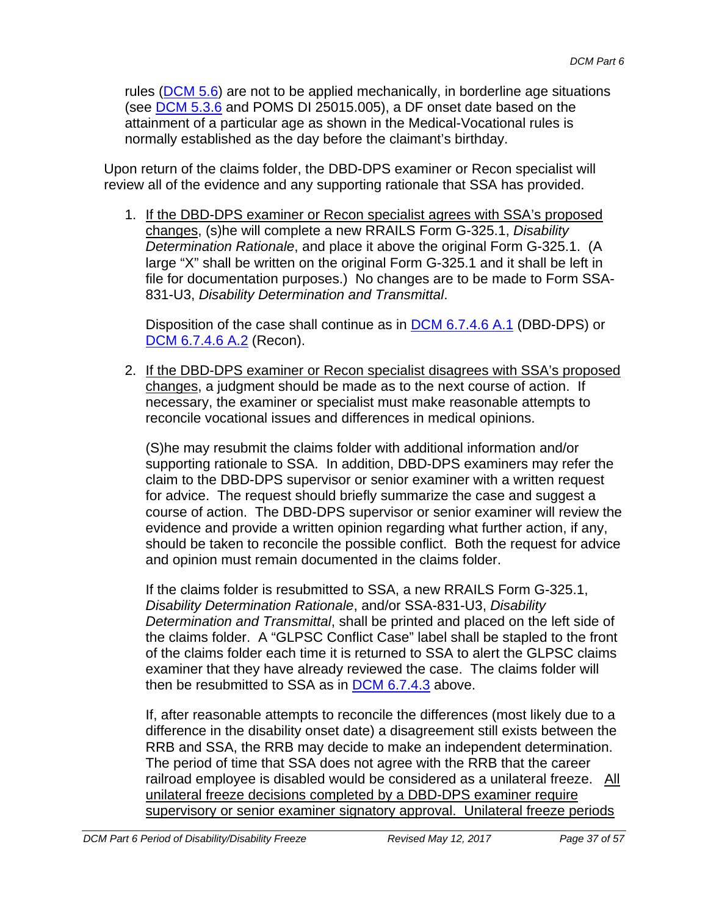rules (DCM 5.6) are not to be applied mechanically, in borderline age situations (see DCM 5.3.6 and POMS DI 25015.005), a DF onset date based on the attainment of a particular age as shown in the Medical-Vocational rules is normally established as the day before the claimant's birthday.

Upon return of the claims folder, the DBD-DPS examiner or Recon specialist will review all of the evidence and any supporting rationale that SSA has provided.

1. If the DBD-DPS examiner or Recon specialist agrees with SSA's proposed changes, (s)he will complete a new RRAILS Form G-325.1, *Disability Determination Rationale*, and place it above the original Form G-325.1. (A large "X" shall be written on the original Form G-325.1 and it shall be left in file for documentation purposes.) No changes are to be made to Form SSA-831-U3, *Disability Determination and Transmittal*.

Disposition of the case shall continue as in DCM 6.7.4.6 A.1 (DBD-DPS) or DCM 6.7.4.6 A.2 (Recon).

2. If the DBD-DPS examiner or Recon specialist disagrees with SSA's proposed changes, a judgment should be made as to the next course of action. If necessary, the examiner or specialist must make reasonable attempts to reconcile vocational issues and differences in medical opinions.

(S)he may resubmit the claims folder with additional information and/or supporting rationale to SSA. In addition, DBD-DPS examiners may refer the claim to the DBD-DPS supervisor or senior examiner with a written request for advice. The request should briefly summarize the case and suggest a course of action. The DBD-DPS supervisor or senior examiner will review the evidence and provide a written opinion regarding what further action, if any, should be taken to reconcile the possible conflict. Both the request for advice and opinion must remain documented in the claims folder.

If the claims folder is resubmitted to SSA, a new RRAILS Form G-325.1, *Disability Determination Rationale*, and/or SSA-831-U3, *Disability Determination and Transmittal*, shall be printed and placed on the left side of the claims folder. A "GLPSC Conflict Case" label shall be stapled to the front of the claims folder each time it is returned to SSA to alert the GLPSC claims examiner that they have already reviewed the case. The claims folder will then be resubmitted to SSA as in DCM 6.7.4.3 above.

If, after reasonable attempts to reconcile the differences (most likely due to a difference in the disability onset date) a disagreement still exists between the RRB and SSA, the RRB may decide to make an independent determination. The period of time that SSA does not agree with the RRB that the career railroad employee is disabled would be considered as a unilateral freeze. All unilateral freeze decisions completed by a DBD-DPS examiner require supervisory or senior examiner signatory approval. Unilateral freeze periods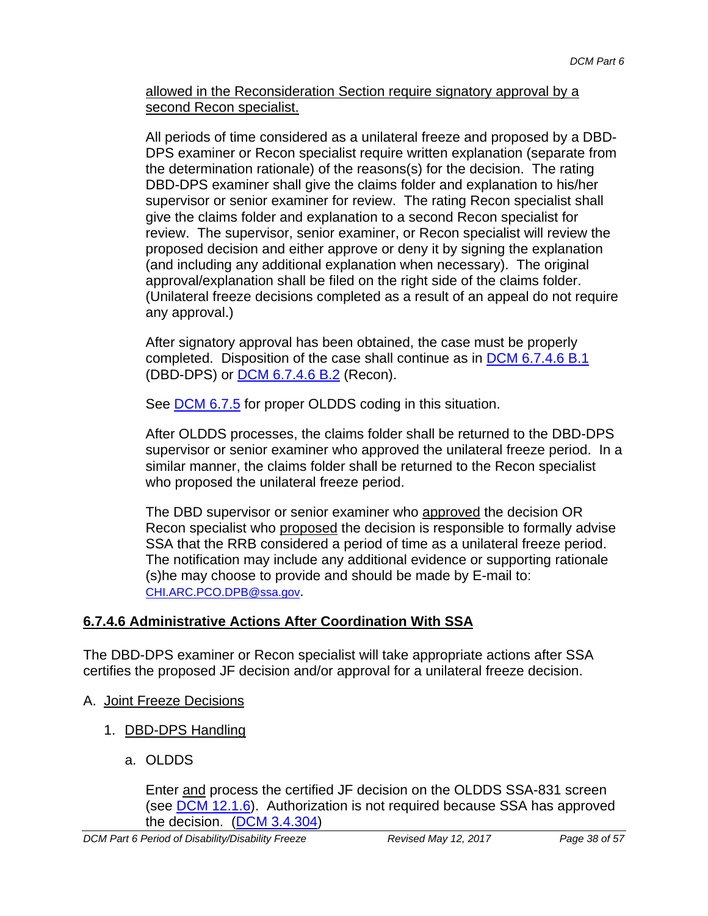allowed in the Reconsideration Section require signatory approval by a second Recon specialist.

All periods of time considered as a unilateral freeze and proposed by a DBD-DPS examiner or Recon specialist require written explanation (separate from the determination rationale) of the reasons(s) for the decision. The rating DBD-DPS examiner shall give the claims folder and explanation to his/her supervisor or senior examiner for review. The rating Recon specialist shall give the claims folder and explanation to a second Recon specialist for review. The supervisor, senior examiner, or Recon specialist will review the proposed decision and either approve or deny it by signing the explanation (and including any additional explanation when necessary). The original approval/explanation shall be filed on the right side of the claims folder. (Unilateral freeze decisions completed as a result of an appeal do not require any approval.)

After signatory approval has been obtained, the case must be properly completed. Disposition of the case shall continue as in DCM 6.7.4.6 B.1 (DBD-DPS) or DCM 6.7.4.6 B.2 (Recon).

See **DCM 6.7.5** for proper OLDDS coding in this situation.

After OLDDS processes, the claims folder shall be returned to the DBD-DPS supervisor or senior examiner who approved the unilateral freeze period. In a similar manner, the claims folder shall be returned to the Recon specialist who proposed the unilateral freeze period.

The DBD supervisor or senior examiner who approved the decision OR Recon specialist who proposed the decision is responsible to formally advise SSA that the RRB considered a period of time as a unilateral freeze period. The notification may include any additional evidence or supporting rationale (s)he may choose to provide and should be made by E-mail to: CHI.ARC.PCO.DPB@ssa.gov.

### **6.7.4.6 Administrative Actions After Coordination With SSA**

The DBD-DPS examiner or Recon specialist will take appropriate actions after SSA certifies the proposed JF decision and/or approval for a unilateral freeze decision.

- A. Joint Freeze Decisions
	- 1. DBD-DPS Handling
		- a. OLDDS

Enter and process the certified JF decision on the OLDDS SSA-831 screen (see **DCM 12.1.6**). Authorization is not required because SSA has approved the decision. (DCM 3.4.304)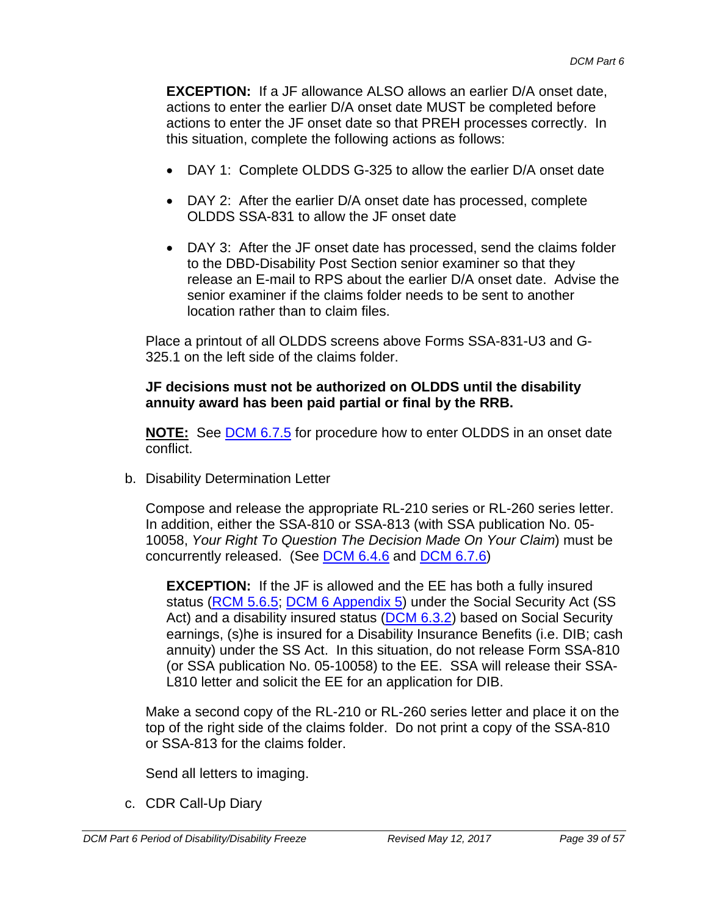**EXCEPTION:** If a JF allowance ALSO allows an earlier D/A onset date. actions to enter the earlier D/A onset date MUST be completed before actions to enter the JF onset date so that PREH processes correctly. In this situation, complete the following actions as follows:

- DAY 1: Complete OLDDS G-325 to allow the earlier D/A onset date
- DAY 2: After the earlier D/A onset date has processed, complete OLDDS SSA-831 to allow the JF onset date
- DAY 3: After the JF onset date has processed, send the claims folder to the DBD-Disability Post Section senior examiner so that they release an E-mail to RPS about the earlier D/A onset date. Advise the senior examiner if the claims folder needs to be sent to another location rather than to claim files.

Place a printout of all OLDDS screens above Forms SSA-831-U3 and G-325.1 on the left side of the claims folder.

#### **JF decisions must not be authorized on OLDDS until the disability annuity award has been paid partial or final by the RRB.**

**NOTE:** See DCM 6.7.5 for procedure how to enter OLDDS in an onset date conflict.

b. Disability Determination Letter

Compose and release the appropriate RL-210 series or RL-260 series letter. In addition, either the SSA-810 or SSA-813 (with SSA publication No. 05- 10058, *Your Right To Question The Decision Made On Your Claim*) must be concurrently released. (See DCM 6.4.6 and DCM 6.7.6)

**EXCEPTION:** If the JF is allowed and the EE has both a fully insured status (RCM 5.6.5; DCM 6 Appendix 5) under the Social Security Act (SS Act) and a disability insured status (DCM 6.3.2) based on Social Security earnings, (s)he is insured for a Disability Insurance Benefits (i.e. DIB; cash annuity) under the SS Act. In this situation, do not release Form SSA-810 (or SSA publication No. 05-10058) to the EE. SSA will release their SSA-L810 letter and solicit the EE for an application for DIB.

Make a second copy of the RL-210 or RL-260 series letter and place it on the top of the right side of the claims folder. Do not print a copy of the SSA-810 or SSA-813 for the claims folder.

Send all letters to imaging.

c. CDR Call-Up Diary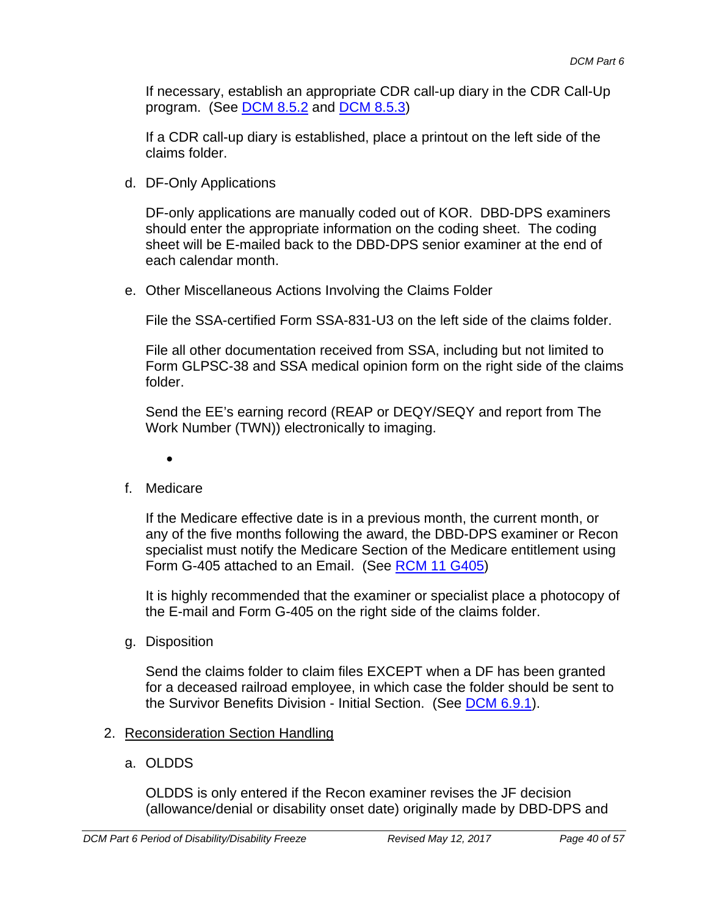If necessary, establish an appropriate CDR call-up diary in the CDR Call-Up program. (See **DCM 8.5.2** and **DCM 8.5.3**)

If a CDR call-up diary is established, place a printout on the left side of the claims folder.

d. DF-Only Applications

DF-only applications are manually coded out of KOR. DBD-DPS examiners should enter the appropriate information on the coding sheet. The coding sheet will be E-mailed back to the DBD-DPS senior examiner at the end of each calendar month.

e. Other Miscellaneous Actions Involving the Claims Folder

File the SSA-certified Form SSA-831-U3 on the left side of the claims folder.

File all other documentation received from SSA, including but not limited to Form GLPSC-38 and SSA medical opinion form on the right side of the claims folder.

Send the EE's earning record (REAP or DEQY/SEQY and report from The Work Number (TWN)) electronically to imaging.

- $\bullet$
- f. Medicare

If the Medicare effective date is in a previous month, the current month, or any of the five months following the award, the DBD-DPS examiner or Recon specialist must notify the Medicare Section of the Medicare entitlement using Form G-405 attached to an Email. (See RCM 11 G405)

It is highly recommended that the examiner or specialist place a photocopy of the E-mail and Form G-405 on the right side of the claims folder.

g. Disposition

Send the claims folder to claim files EXCEPT when a DF has been granted for a deceased railroad employee, in which case the folder should be sent to the Survivor Benefits Division - Initial Section. (See DCM 6.9.1).

- 2. Reconsideration Section Handling
	- a. OLDDS

OLDDS is only entered if the Recon examiner revises the JF decision (allowance/denial or disability onset date) originally made by DBD-DPS and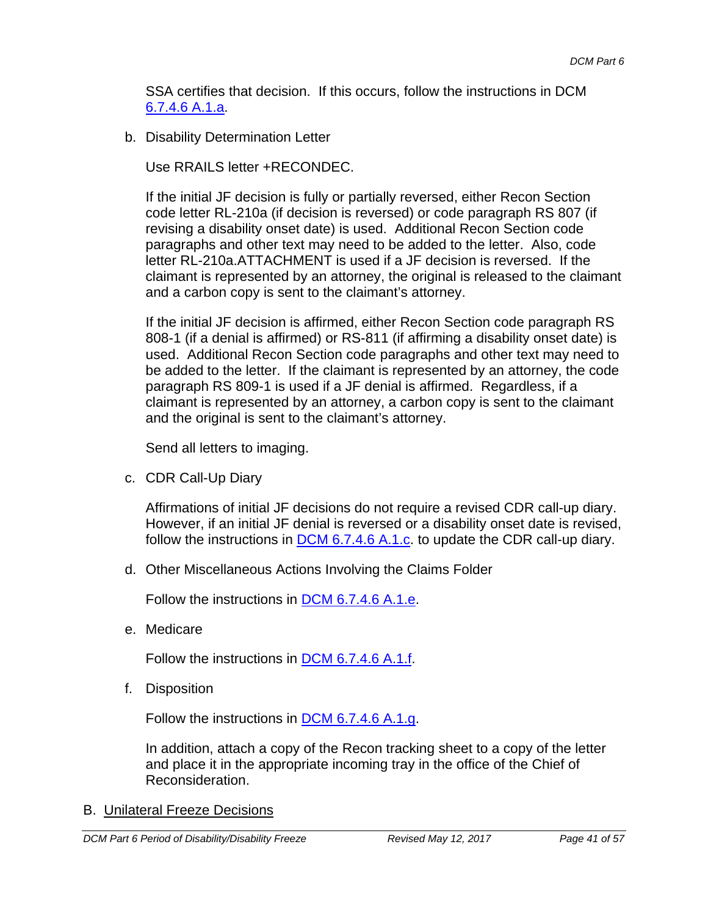SSA certifies that decision. If this occurs, follow the instructions in DCM 6.7.4.6 A.1.a.

b. Disability Determination Letter

Use RRAILS letter +RECONDEC.

If the initial JF decision is fully or partially reversed, either Recon Section code letter RL-210a (if decision is reversed) or code paragraph RS 807 (if revising a disability onset date) is used. Additional Recon Section code paragraphs and other text may need to be added to the letter. Also, code letter RL-210a.ATTACHMENT is used if a JF decision is reversed. If the claimant is represented by an attorney, the original is released to the claimant and a carbon copy is sent to the claimant's attorney.

If the initial JF decision is affirmed, either Recon Section code paragraph RS 808-1 (if a denial is affirmed) or RS-811 (if affirming a disability onset date) is used. Additional Recon Section code paragraphs and other text may need to be added to the letter. If the claimant is represented by an attorney, the code paragraph RS 809-1 is used if a JF denial is affirmed. Regardless, if a claimant is represented by an attorney, a carbon copy is sent to the claimant and the original is sent to the claimant's attorney.

Send all letters to imaging.

c. CDR Call-Up Diary

Affirmations of initial JF decisions do not require a revised CDR call-up diary. However, if an initial JF denial is reversed or a disability onset date is revised, follow the instructions in  $\underline{DCM}$  6.7.4.6 A.1.c. to update the CDR call-up diary.

d. Other Miscellaneous Actions Involving the Claims Folder

Follow the instructions in DCM 6.7.4.6 A.1.e.

e. Medicare

Follow the instructions in **DCM 6.7.4.6 A.1.f.** 

f. Disposition

Follow the instructions in **DCM 6.7.4.6 A.1.g.** 

In addition, attach a copy of the Recon tracking sheet to a copy of the letter and place it in the appropriate incoming tray in the office of the Chief of Reconsideration.

#### B. Unilateral Freeze Decisions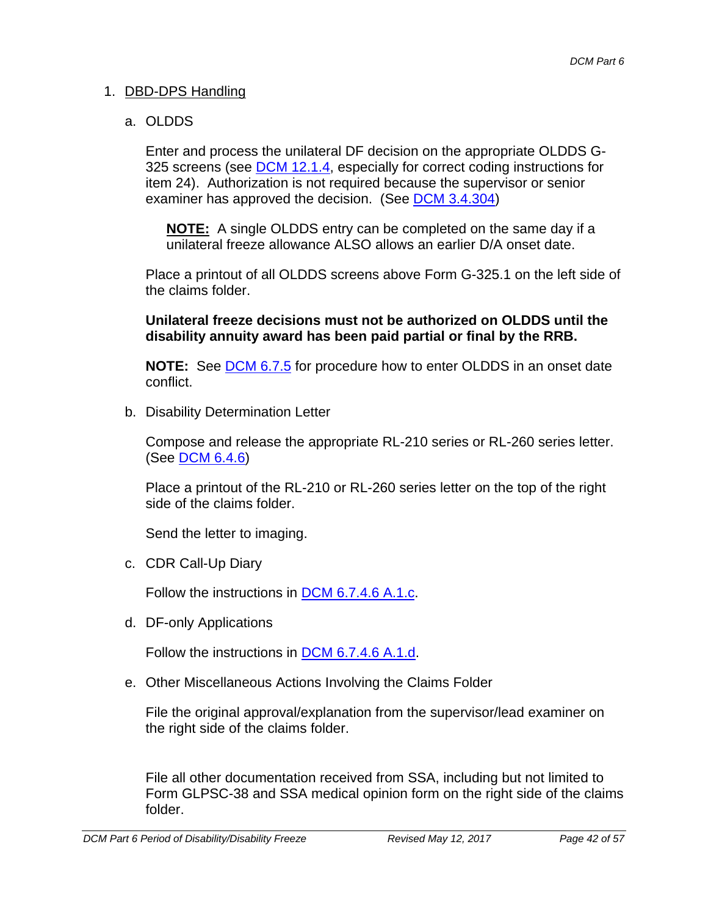#### 1. DBD-DPS Handling

#### a. OLDDS

Enter and process the unilateral DF decision on the appropriate OLDDS G-325 screens (see DCM 12.1.4, especially for correct coding instructions for item 24). Authorization is not required because the supervisor or senior examiner has approved the decision. (See DCM 3.4.304)

**NOTE:** A single OLDDS entry can be completed on the same day if a unilateral freeze allowance ALSO allows an earlier D/A onset date.

Place a printout of all OLDDS screens above Form G-325.1 on the left side of the claims folder.

#### **Unilateral freeze decisions must not be authorized on OLDDS until the disability annuity award has been paid partial or final by the RRB.**

**NOTE:** See **DCM 6.7.5** for procedure how to enter OLDDS in an onset date conflict.

b. Disability Determination Letter

Compose and release the appropriate RL-210 series or RL-260 series letter. (See DCM 6.4.6)

Place a printout of the RL-210 or RL-260 series letter on the top of the right side of the claims folder.

Send the letter to imaging.

c. CDR Call-Up Diary

Follow the instructions in DCM 6.7.4.6 A.1.c.

d. DF-only Applications

Follow the instructions in DCM 6.7.4.6 A.1.d.

e. Other Miscellaneous Actions Involving the Claims Folder

File the original approval/explanation from the supervisor/lead examiner on the right side of the claims folder.

File all other documentation received from SSA, including but not limited to Form GLPSC-38 and SSA medical opinion form on the right side of the claims folder.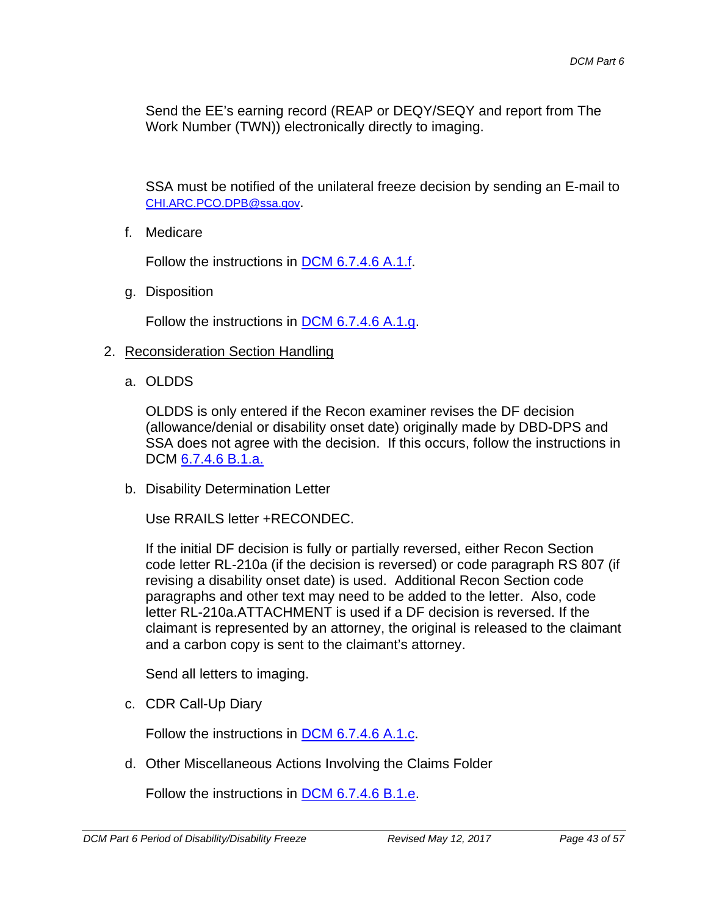Send the EE's earning record (REAP or DEQY/SEQY and report from The Work Number (TWN)) electronically directly to imaging.

SSA must be notified of the unilateral freeze decision by sending an E-mail to CHI.ARC.PCO.DPB@ssa.gov.

f. Medicare

Follow the instructions in DCM 6.7.4.6 A.1.f.

g. Disposition

Follow the instructions in DCM 6.7.4.6 A.1.g.

#### 2. Reconsideration Section Handling

a. OLDDS

OLDDS is only entered if the Recon examiner revises the DF decision (allowance/denial or disability onset date) originally made by DBD-DPS and SSA does not agree with the decision. If this occurs, follow the instructions in DCM  $6.7.4.6$  B.1.a.

b. Disability Determination Letter

Use RRAILS letter +RECONDEC.

If the initial DF decision is fully or partially reversed, either Recon Section code letter RL-210a (if the decision is reversed) or code paragraph RS 807 (if revising a disability onset date) is used. Additional Recon Section code paragraphs and other text may need to be added to the letter. Also, code letter RL-210a.ATTACHMENT is used if a DF decision is reversed. If the claimant is represented by an attorney, the original is released to the claimant and a carbon copy is sent to the claimant's attorney.

Send all letters to imaging.

c. CDR Call-Up Diary

Follow the instructions in DCM 6.7.4.6 A.1.c.

d. Other Miscellaneous Actions Involving the Claims Folder

Follow the instructions in DCM 6.7.4.6 B.1.e.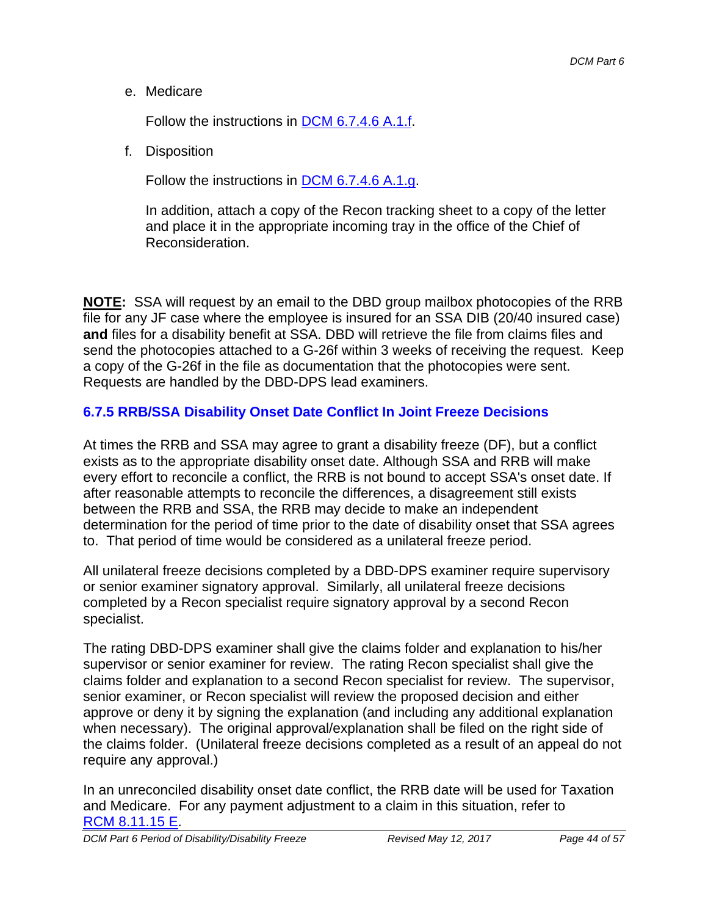e. Medicare

Follow the instructions in DCM 6.7.4.6 A.1.f.

f. Disposition

Follow the instructions in DCM 6.7.4.6 A.1.g.

In addition, attach a copy of the Recon tracking sheet to a copy of the letter and place it in the appropriate incoming tray in the office of the Chief of Reconsideration.

**NOTE:** SSA will request by an email to the DBD group mailbox photocopies of the RRB file for any JF case where the employee is insured for an SSA DIB (20/40 insured case) **and** files for a disability benefit at SSA. DBD will retrieve the file from claims files and send the photocopies attached to a G-26f within 3 weeks of receiving the request. Keep a copy of the G-26f in the file as documentation that the photocopies were sent. Requests are handled by the DBD-DPS lead examiners.

### **6.7.5 RRB/SSA Disability Onset Date Conflict In Joint Freeze Decisions**

At times the RRB and SSA may agree to grant a disability freeze (DF), but a conflict exists as to the appropriate disability onset date. Although SSA and RRB will make every effort to reconcile a conflict, the RRB is not bound to accept SSA's onset date. If after reasonable attempts to reconcile the differences, a disagreement still exists between the RRB and SSA, the RRB may decide to make an independent determination for the period of time prior to the date of disability onset that SSA agrees to. That period of time would be considered as a unilateral freeze period.

All unilateral freeze decisions completed by a DBD-DPS examiner require supervisory or senior examiner signatory approval. Similarly, all unilateral freeze decisions completed by a Recon specialist require signatory approval by a second Recon specialist.

The rating DBD-DPS examiner shall give the claims folder and explanation to his/her supervisor or senior examiner for review. The rating Recon specialist shall give the claims folder and explanation to a second Recon specialist for review. The supervisor, senior examiner, or Recon specialist will review the proposed decision and either approve or deny it by signing the explanation (and including any additional explanation when necessary). The original approval/explanation shall be filed on the right side of the claims folder. (Unilateral freeze decisions completed as a result of an appeal do not require any approval.)

In an unreconciled disability onset date conflict, the RRB date will be used for Taxation and Medicare. For any payment adjustment to a claim in this situation, refer to RCM 8.11.15 E.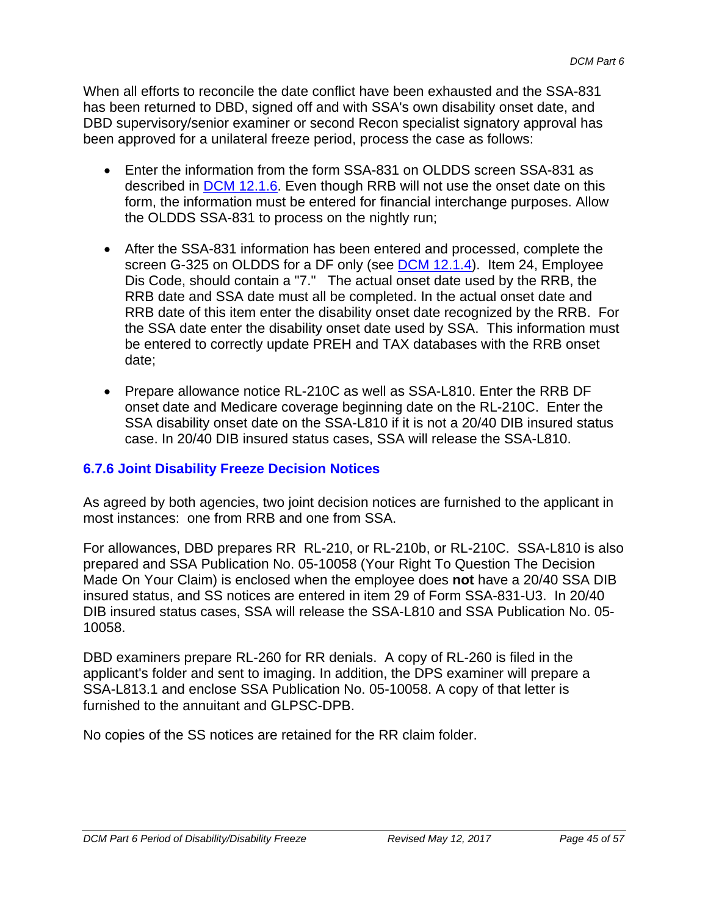When all efforts to reconcile the date conflict have been exhausted and the SSA-831 has been returned to DBD, signed off and with SSA's own disability onset date, and DBD supervisory/senior examiner or second Recon specialist signatory approval has been approved for a unilateral freeze period, process the case as follows:

- Enter the information from the form SSA-831 on OLDDS screen SSA-831 as described in DCM 12.1.6. Even though RRB will not use the onset date on this form, the information must be entered for financial interchange purposes. Allow the OLDDS SSA-831 to process on the nightly run;
- After the SSA-831 information has been entered and processed, complete the screen G-325 on OLDDS for a DF only (see DCM 12.1.4). Item 24, Employee Dis Code, should contain a "7." The actual onset date used by the RRB, the RRB date and SSA date must all be completed. In the actual onset date and RRB date of this item enter the disability onset date recognized by the RRB. For the SSA date enter the disability onset date used by SSA. This information must be entered to correctly update PREH and TAX databases with the RRB onset date;
- Prepare allowance notice RL-210C as well as SSA-L810. Enter the RRB DF onset date and Medicare coverage beginning date on the RL-210C. Enter the SSA disability onset date on the SSA-L810 if it is not a 20/40 DIB insured status case. In 20/40 DIB insured status cases, SSA will release the SSA-L810.

#### **6.7.6 Joint Disability Freeze Decision Notices**

As agreed by both agencies, two joint decision notices are furnished to the applicant in most instances: one from RRB and one from SSA.

For allowances, DBD prepares RR RL-210, or RL-210b, or RL-210C. SSA-L810 is also prepared and SSA Publication No. 05-10058 (Your Right To Question The Decision Made On Your Claim) is enclosed when the employee does **not** have a 20/40 SSA DIB insured status, and SS notices are entered in item 29 of Form SSA-831-U3. In 20/40 DIB insured status cases, SSA will release the SSA-L810 and SSA Publication No. 05- 10058.

DBD examiners prepare RL-260 for RR denials. A copy of RL-260 is filed in the applicant's folder and sent to imaging. In addition, the DPS examiner will prepare a SSA-L813.1 and enclose SSA Publication No. 05-10058. A copy of that letter is furnished to the annuitant and GLPSC-DPB.

No copies of the SS notices are retained for the RR claim folder.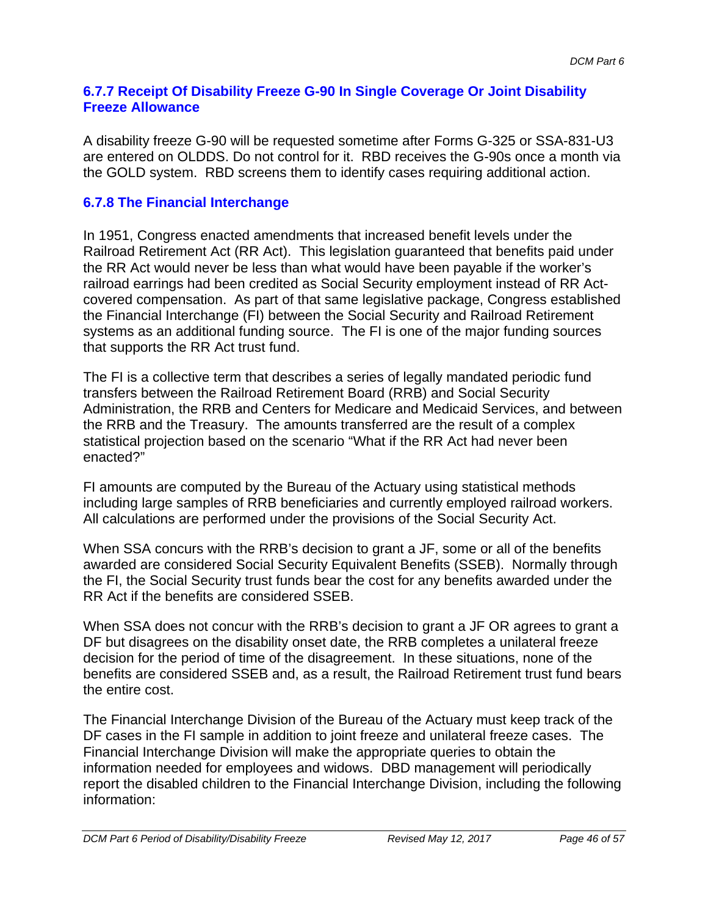#### **6.7.7 Receipt Of Disability Freeze G-90 In Single Coverage Or Joint Disability Freeze Allowance**

A disability freeze G-90 will be requested sometime after Forms G-325 or SSA-831-U3 are entered on OLDDS. Do not control for it. RBD receives the G-90s once a month via the GOLD system. RBD screens them to identify cases requiring additional action.

### **6.7.8 The Financial Interchange**

In 1951, Congress enacted amendments that increased benefit levels under the Railroad Retirement Act (RR Act). This legislation guaranteed that benefits paid under the RR Act would never be less than what would have been payable if the worker's railroad earrings had been credited as Social Security employment instead of RR Actcovered compensation. As part of that same legislative package, Congress established the Financial Interchange (FI) between the Social Security and Railroad Retirement systems as an additional funding source. The FI is one of the major funding sources that supports the RR Act trust fund.

The FI is a collective term that describes a series of legally mandated periodic fund transfers between the Railroad Retirement Board (RRB) and Social Security Administration, the RRB and Centers for Medicare and Medicaid Services, and between the RRB and the Treasury. The amounts transferred are the result of a complex statistical projection based on the scenario "What if the RR Act had never been enacted?"

FI amounts are computed by the Bureau of the Actuary using statistical methods including large samples of RRB beneficiaries and currently employed railroad workers. All calculations are performed under the provisions of the Social Security Act.

When SSA concurs with the RRB's decision to grant a JF, some or all of the benefits awarded are considered Social Security Equivalent Benefits (SSEB). Normally through the FI, the Social Security trust funds bear the cost for any benefits awarded under the RR Act if the benefits are considered SSEB.

When SSA does not concur with the RRB's decision to grant a JF OR agrees to grant a DF but disagrees on the disability onset date, the RRB completes a unilateral freeze decision for the period of time of the disagreement. In these situations, none of the benefits are considered SSEB and, as a result, the Railroad Retirement trust fund bears the entire cost.

The Financial Interchange Division of the Bureau of the Actuary must keep track of the DF cases in the FI sample in addition to joint freeze and unilateral freeze cases. The Financial Interchange Division will make the appropriate queries to obtain the information needed for employees and widows. DBD management will periodically report the disabled children to the Financial Interchange Division, including the following information: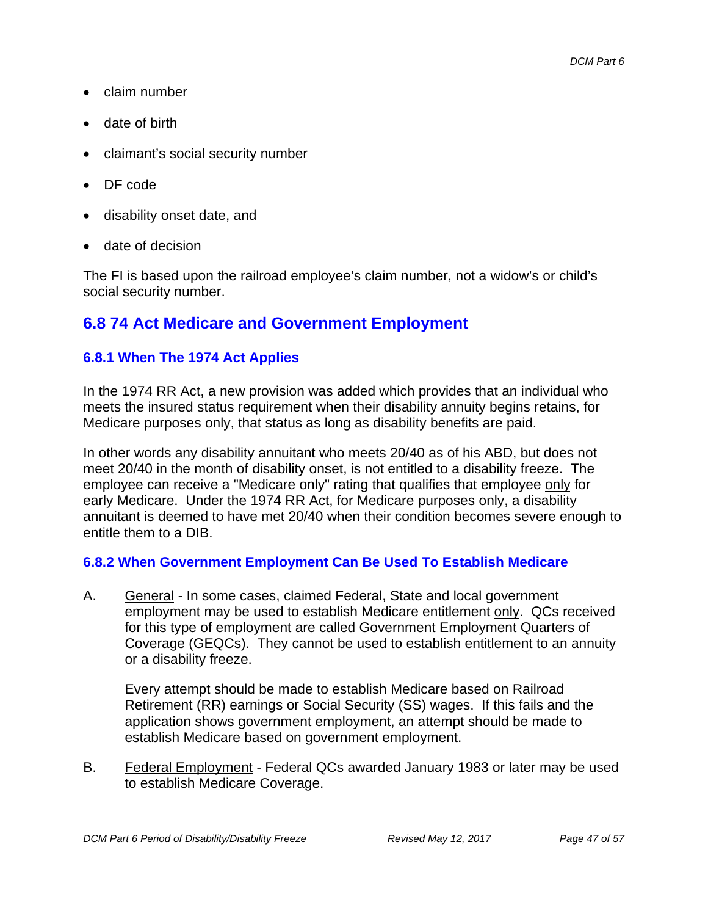- claim number
- date of birth
- claimant's social security number
- DF code
- disability onset date, and
- date of decision

The FI is based upon the railroad employee's claim number, not a widow's or child's social security number.

### **6.8 74 Act Medicare and Government Employment**

#### **6.8.1 When The 1974 Act Applies**

In the 1974 RR Act, a new provision was added which provides that an individual who meets the insured status requirement when their disability annuity begins retains, for Medicare purposes only, that status as long as disability benefits are paid.

In other words any disability annuitant who meets 20/40 as of his ABD, but does not meet 20/40 in the month of disability onset, is not entitled to a disability freeze. The employee can receive a "Medicare only" rating that qualifies that employee only for early Medicare. Under the 1974 RR Act, for Medicare purposes only, a disability annuitant is deemed to have met 20/40 when their condition becomes severe enough to entitle them to a DIB.

#### **6.8.2 When Government Employment Can Be Used To Establish Medicare**

A. General - In some cases, claimed Federal, State and local government employment may be used to establish Medicare entitlement only. QCs received for this type of employment are called Government Employment Quarters of Coverage (GEQCs). They cannot be used to establish entitlement to an annuity or a disability freeze.

Every attempt should be made to establish Medicare based on Railroad Retirement (RR) earnings or Social Security (SS) wages. If this fails and the application shows government employment, an attempt should be made to establish Medicare based on government employment.

B. Federal Employment - Federal QCs awarded January 1983 or later may be used to establish Medicare Coverage.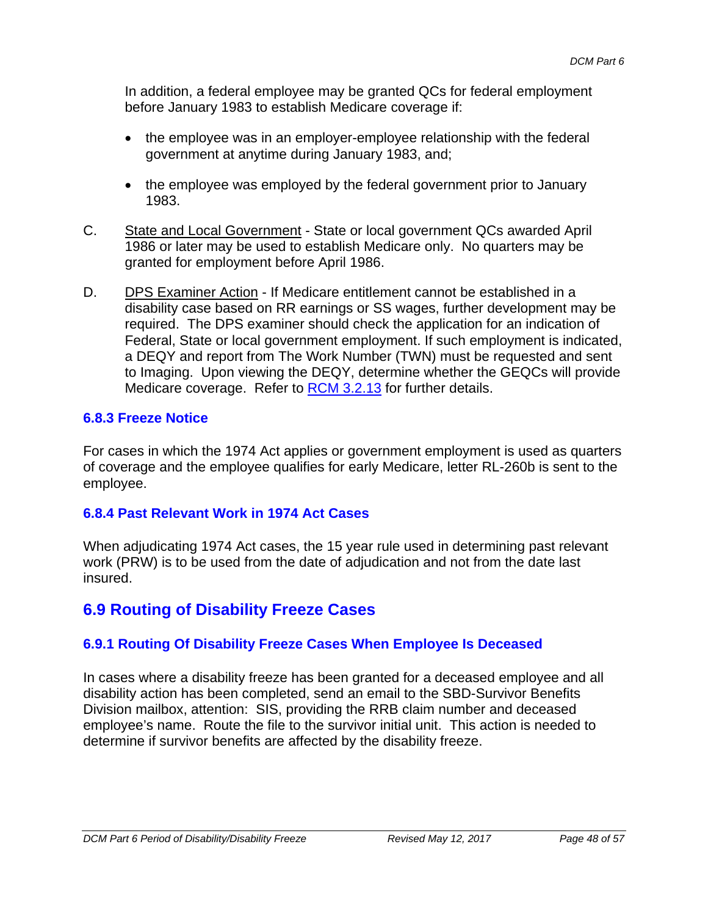In addition, a federal employee may be granted QCs for federal employment before January 1983 to establish Medicare coverage if:

- the employee was in an employer-employee relationship with the federal government at anytime during January 1983, and;
- the employee was employed by the federal government prior to January 1983.
- C. State and Local Government State or local government QCs awarded April 1986 or later may be used to establish Medicare only. No quarters may be granted for employment before April 1986.
- D. DPS Examiner Action If Medicare entitlement cannot be established in a disability case based on RR earnings or SS wages, further development may be required. The DPS examiner should check the application for an indication of Federal, State or local government employment. If such employment is indicated, a DEQY and report from The Work Number (TWN) must be requested and sent to Imaging. Upon viewing the DEQY, determine whether the GEQCs will provide Medicare coverage. Refer to RCM 3.2.13 for further details.

#### **6.8.3 Freeze Notice**

For cases in which the 1974 Act applies or government employment is used as quarters of coverage and the employee qualifies for early Medicare, letter RL-260b is sent to the employee.

#### **6.8.4 Past Relevant Work in 1974 Act Cases**

When adjudicating 1974 Act cases, the 15 year rule used in determining past relevant work (PRW) is to be used from the date of adjudication and not from the date last insured.

### **6.9 Routing of Disability Freeze Cases**

#### **6.9.1 Routing Of Disability Freeze Cases When Employee Is Deceased**

In cases where a disability freeze has been granted for a deceased employee and all disability action has been completed, send an email to the SBD-Survivor Benefits Division mailbox, attention: SIS, providing the RRB claim number and deceased employee's name. Route the file to the survivor initial unit. This action is needed to determine if survivor benefits are affected by the disability freeze.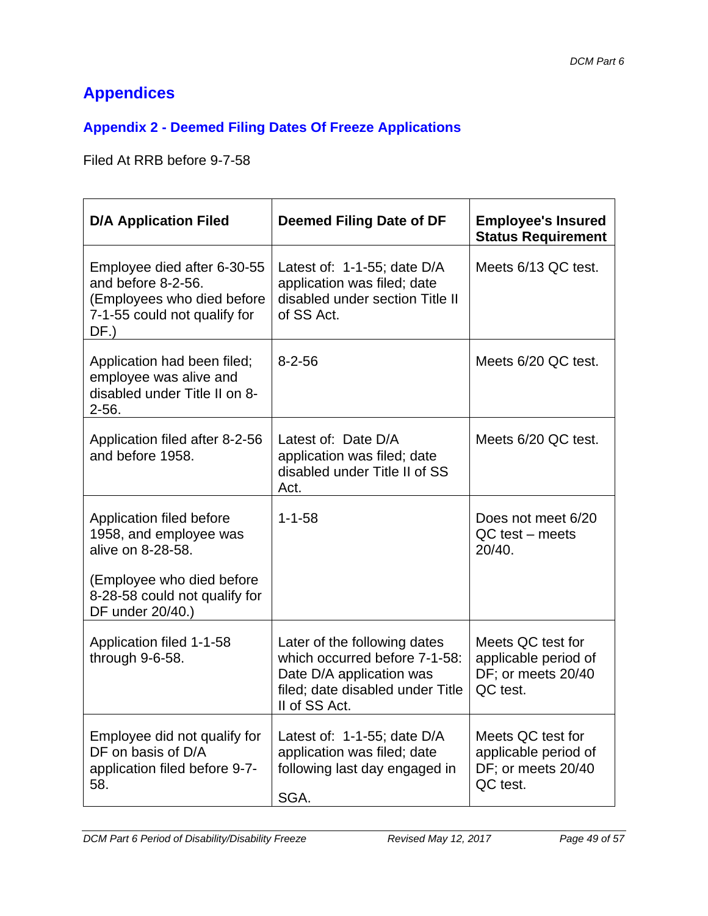# **Appendices**

### **Appendix 2 - Deemed Filing Dates Of Freeze Applications**

Filed At RRB before 9-7-58

| <b>D/A Application Filed</b>                                                                                                                              | Deemed Filing Date of DF                                                                                                                       | <b>Employee's Insured</b><br><b>Status Requirement</b>                      |
|-----------------------------------------------------------------------------------------------------------------------------------------------------------|------------------------------------------------------------------------------------------------------------------------------------------------|-----------------------------------------------------------------------------|
| Employee died after 6-30-55<br>and before 8-2-56.<br>(Employees who died before<br>7-1-55 could not qualify for<br>DF.)                                   | Latest of: $1-1-55$ ; date D/A<br>application was filed; date<br>disabled under section Title II<br>of SS Act.                                 | Meets 6/13 QC test.                                                         |
| Application had been filed;<br>employee was alive and<br>disabled under Title II on 8-<br>$2 - 56.$                                                       | $8 - 2 - 56$                                                                                                                                   | Meets 6/20 QC test.                                                         |
| Application filed after 8-2-56<br>and before 1958.                                                                                                        | Latest of: Date D/A<br>application was filed; date<br>disabled under Title II of SS<br>Act.                                                    | Meets 6/20 QC test.                                                         |
| Application filed before<br>1958, and employee was<br>alive on 8-28-58.<br>(Employee who died before<br>8-28-58 could not qualify for<br>DF under 20/40.) | $1 - 1 - 58$                                                                                                                                   | Does not meet 6/20<br>$QC$ test – meets<br>20/40.                           |
| Application filed 1-1-58<br>through 9-6-58.                                                                                                               | Later of the following dates<br>which occurred before 7-1-58:<br>Date D/A application was<br>filed; date disabled under Title<br>II of SS Act. | Meets QC test for<br>applicable period of<br>DF; or meets 20/40<br>QC test. |
| Employee did not qualify for<br>DF on basis of D/A<br>application filed before 9-7-<br>58.                                                                | Latest of: 1-1-55; date D/A<br>application was filed; date<br>following last day engaged in<br>SGA.                                            | Meets QC test for<br>applicable period of<br>DF; or meets 20/40<br>QC test. |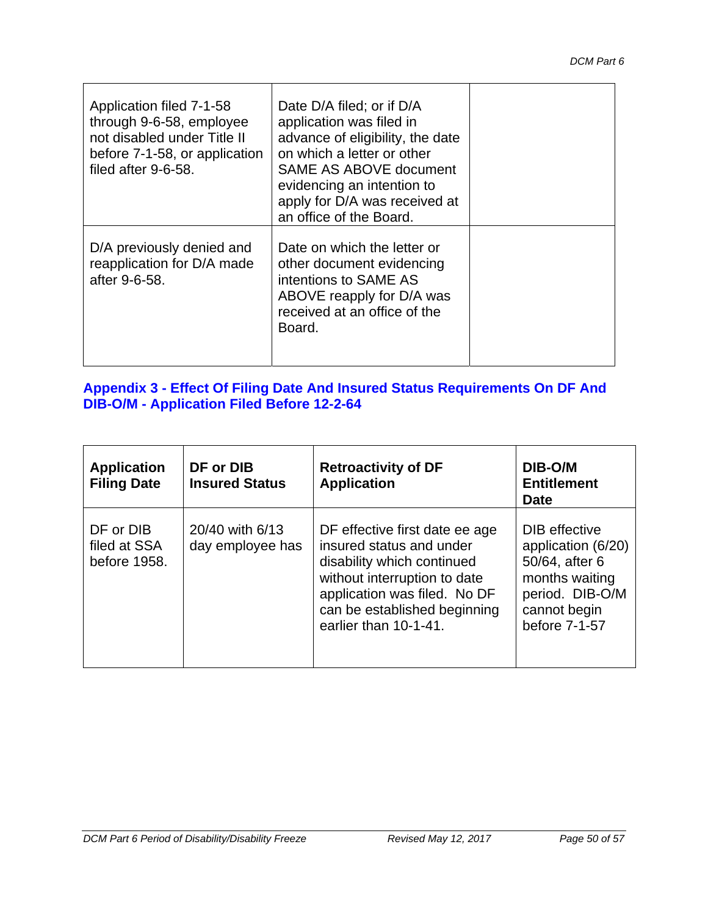| Application filed 7-1-58<br>through 9-6-58, employee<br>not disabled under Title II<br>before 7-1-58, or application<br>filed after 9-6-58. | Date D/A filed; or if D/A<br>application was filed in<br>advance of eligibility, the date<br>on which a letter or other<br><b>SAME AS ABOVE document</b><br>evidencing an intention to<br>apply for D/A was received at<br>an office of the Board. |  |
|---------------------------------------------------------------------------------------------------------------------------------------------|----------------------------------------------------------------------------------------------------------------------------------------------------------------------------------------------------------------------------------------------------|--|
| D/A previously denied and<br>reapplication for D/A made<br>after 9-6-58.                                                                    | Date on which the letter or<br>other document evidencing<br>intentions to SAME AS<br>ABOVE reapply for D/A was<br>received at an office of the<br>Board.                                                                                           |  |

#### **Appendix 3 - Effect Of Filing Date And Insured Status Requirements On DF And DIB-O/M - Application Filed Before 12-2-64**

| <b>Application</b><br><b>Filing Date</b>  | DF or DIB<br><b>Insured Status</b>  | <b>Retroactivity of DF</b><br><b>Application</b>                                                                                                                                                                  | DIB-O/M<br><b>Entitlement</b><br><b>Date</b>                                                                                |
|-------------------------------------------|-------------------------------------|-------------------------------------------------------------------------------------------------------------------------------------------------------------------------------------------------------------------|-----------------------------------------------------------------------------------------------------------------------------|
| DF or DIB<br>filed at SSA<br>before 1958. | 20/40 with 6/13<br>day employee has | DF effective first date ee age<br>insured status and under<br>disability which continued<br>without interruption to date<br>application was filed. No DF<br>can be established beginning<br>earlier than 10-1-41. | DIB effective<br>application (6/20)<br>50/64, after 6<br>months waiting<br>period. DIB-O/M<br>cannot begin<br>before 7-1-57 |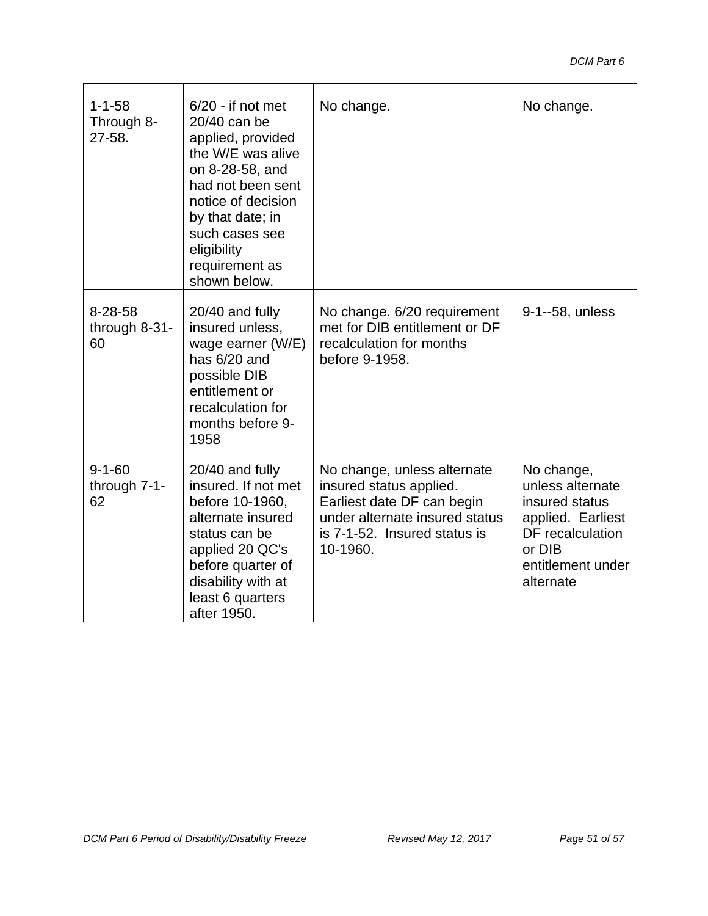| $1 - 1 - 58$<br>Through 8-<br>27-58. | $6/20$ - if not met<br>20/40 can be<br>applied, provided<br>the W/E was alive<br>on 8-28-58, and<br>had not been sent<br>notice of decision<br>by that date; in<br>such cases see<br>eligibility<br>requirement as<br>shown below. | No change.                                                                                                                                                         | No change.                                                                                                                            |
|--------------------------------------|------------------------------------------------------------------------------------------------------------------------------------------------------------------------------------------------------------------------------------|--------------------------------------------------------------------------------------------------------------------------------------------------------------------|---------------------------------------------------------------------------------------------------------------------------------------|
| 8-28-58<br>through 8-31-<br>60       | 20/40 and fully<br>insured unless,<br>wage earner (W/E)<br>has 6/20 and<br>possible DIB<br>entitlement or<br>recalculation for<br>months before 9-<br>1958                                                                         | No change. 6/20 requirement<br>met for DIB entitlement or DF<br>recalculation for months<br>before 9-1958.                                                         | 9-1--58, unless                                                                                                                       |
| $9 - 1 - 60$<br>through 7-1-<br>62   | 20/40 and fully<br>insured. If not met<br>before 10-1960,<br>alternate insured<br>status can be<br>applied 20 QC's<br>before quarter of<br>disability with at<br>least 6 quarters<br>after 1950.                                   | No change, unless alternate<br>insured status applied.<br>Earliest date DF can begin<br>under alternate insured status<br>is 7-1-52. Insured status is<br>10-1960. | No change,<br>unless alternate<br>insured status<br>applied. Earliest<br>DF recalculation<br>or DIB<br>entitlement under<br>alternate |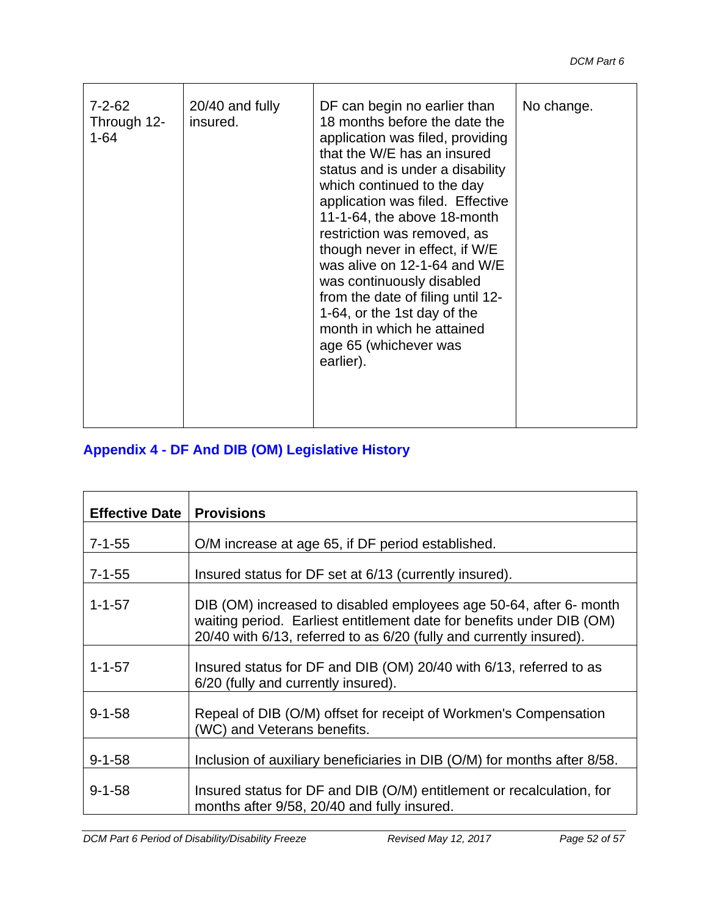| $7 - 2 - 62$<br>Through 12-<br>$1 - 64$ | 20/40 and fully<br>insured. | DF can begin no earlier than<br>18 months before the date the<br>application was filed, providing<br>that the W/E has an insured<br>status and is under a disability<br>which continued to the day<br>application was filed. Effective<br>11-1-64, the above 18-month<br>restriction was removed, as<br>though never in effect, if W/E<br>was alive on 12-1-64 and W/E<br>was continuously disabled<br>from the date of filing until 12-<br>1-64, or the 1st day of the<br>month in which he attained<br>age 65 (whichever was | No change. |
|-----------------------------------------|-----------------------------|--------------------------------------------------------------------------------------------------------------------------------------------------------------------------------------------------------------------------------------------------------------------------------------------------------------------------------------------------------------------------------------------------------------------------------------------------------------------------------------------------------------------------------|------------|
|                                         |                             | earlier).                                                                                                                                                                                                                                                                                                                                                                                                                                                                                                                      |            |

### **Appendix 4 - DF And DIB (OM) Legislative History**

| <b>Effective Date   Provisions</b> |                                                                                                                                                                                                                    |
|------------------------------------|--------------------------------------------------------------------------------------------------------------------------------------------------------------------------------------------------------------------|
| $7 - 1 - 55$                       | O/M increase at age 65, if DF period established.                                                                                                                                                                  |
| $7 - 1 - 55$                       | Insured status for DF set at 6/13 (currently insured).                                                                                                                                                             |
| $1 - 1 - 57$                       | DIB (OM) increased to disabled employees age 50-64, after 6- month<br>waiting period. Earliest entitlement date for benefits under DIB (OM)<br>20/40 with 6/13, referred to as 6/20 (fully and currently insured). |
| $1 - 1 - 57$                       | Insured status for DF and DIB (OM) 20/40 with 6/13, referred to as<br>6/20 (fully and currently insured).                                                                                                          |
| $9 - 1 - 58$                       | Repeal of DIB (O/M) offset for receipt of Workmen's Compensation<br>(WC) and Veterans benefits.                                                                                                                    |
| $9 - 1 - 58$                       | Inclusion of auxiliary beneficiaries in DIB (O/M) for months after 8/58.                                                                                                                                           |
| $9 - 1 - 58$                       | Insured status for DF and DIB (O/M) entitlement or recalculation, for<br>months after 9/58, 20/40 and fully insured.                                                                                               |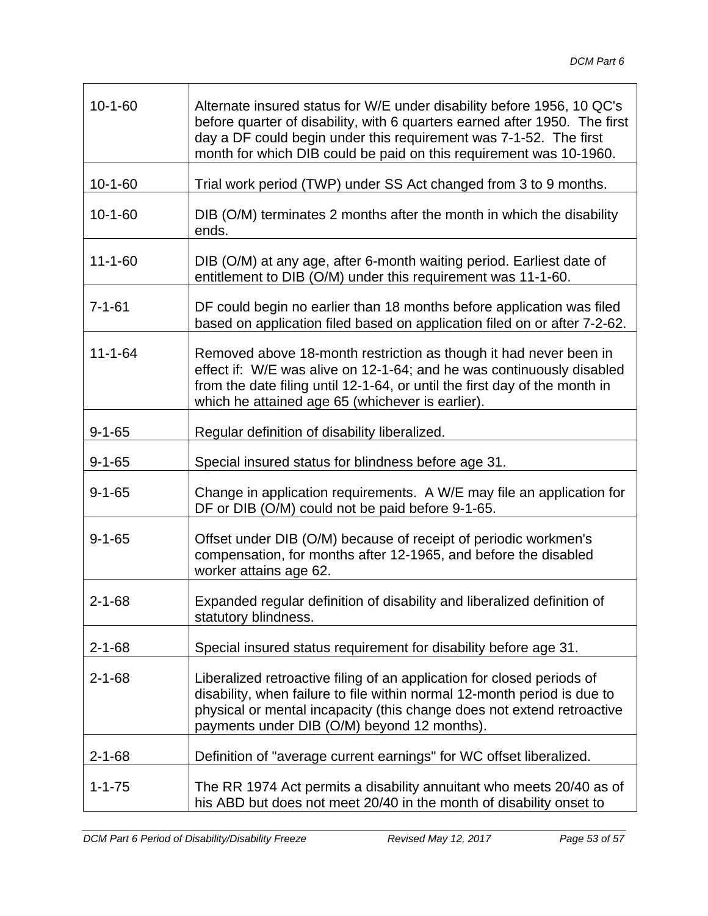| $10 - 1 - 60$ | Alternate insured status for W/E under disability before 1956, 10 QC's<br>before quarter of disability, with 6 quarters earned after 1950. The first<br>day a DF could begin under this requirement was 7-1-52. The first<br>month for which DIB could be paid on this requirement was 10-1960. |
|---------------|-------------------------------------------------------------------------------------------------------------------------------------------------------------------------------------------------------------------------------------------------------------------------------------------------|
| $10 - 1 - 60$ | Trial work period (TWP) under SS Act changed from 3 to 9 months.                                                                                                                                                                                                                                |
| $10 - 1 - 60$ | DIB (O/M) terminates 2 months after the month in which the disability<br>ends.                                                                                                                                                                                                                  |
| $11 - 1 - 60$ | DIB (O/M) at any age, after 6-month waiting period. Earliest date of<br>entitlement to DIB (O/M) under this requirement was 11-1-60.                                                                                                                                                            |
| $7 - 1 - 61$  | DF could begin no earlier than 18 months before application was filed<br>based on application filed based on application filed on or after 7-2-62.                                                                                                                                              |
| $11 - 1 - 64$ | Removed above 18-month restriction as though it had never been in<br>effect if: W/E was alive on 12-1-64; and he was continuously disabled<br>from the date filing until 12-1-64, or until the first day of the month in<br>which he attained age 65 (whichever is earlier).                    |
| $9 - 1 - 65$  | Regular definition of disability liberalized.                                                                                                                                                                                                                                                   |
| $9 - 1 - 65$  | Special insured status for blindness before age 31.                                                                                                                                                                                                                                             |
| $9 - 1 - 65$  | Change in application requirements. A W/E may file an application for<br>DF or DIB (O/M) could not be paid before 9-1-65.                                                                                                                                                                       |
| $9 - 1 - 65$  | Offset under DIB (O/M) because of receipt of periodic workmen's<br>compensation, for months after 12-1965, and before the disabled<br>worker attains age 62.                                                                                                                                    |
| $2 - 1 - 68$  | Expanded regular definition of disability and liberalized definition of<br>statutory blindness.                                                                                                                                                                                                 |
| $2 - 1 - 68$  | Special insured status requirement for disability before age 31.                                                                                                                                                                                                                                |
| $2 - 1 - 68$  | Liberalized retroactive filing of an application for closed periods of<br>disability, when failure to file within normal 12-month period is due to<br>physical or mental incapacity (this change does not extend retroactive<br>payments under DIB (O/M) beyond 12 months).                     |
| $2 - 1 - 68$  | Definition of "average current earnings" for WC offset liberalized.                                                                                                                                                                                                                             |
| $1 - 1 - 75$  | The RR 1974 Act permits a disability annuitant who meets 20/40 as of<br>his ABD but does not meet 20/40 in the month of disability onset to                                                                                                                                                     |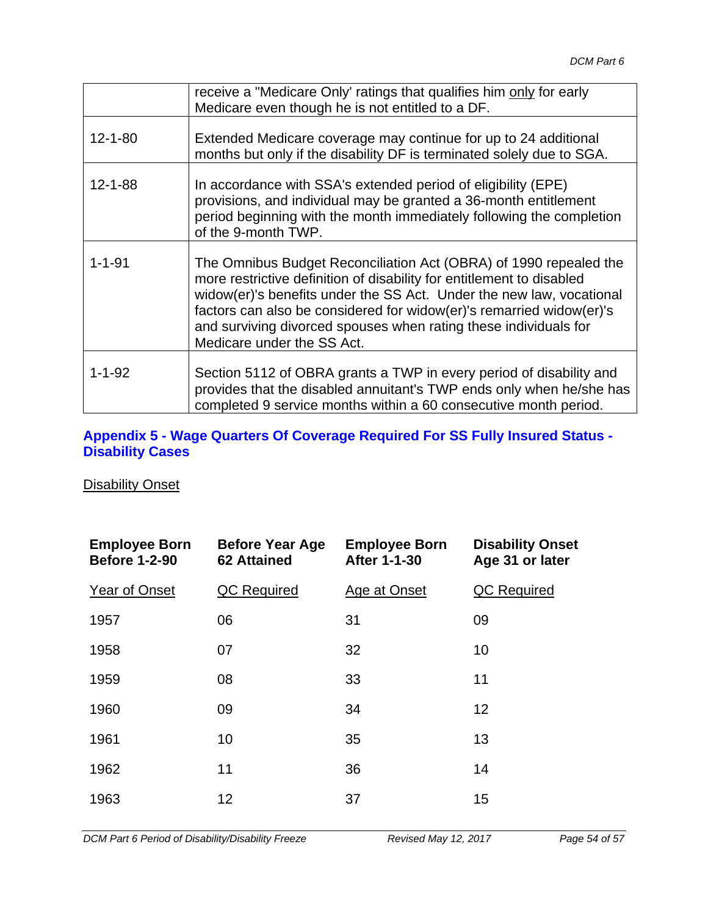|               | receive a "Medicare Only' ratings that qualifies him only for early<br>Medicare even though he is not entitled to a DF.                                                                                                                                                                                                                                                                      |
|---------------|----------------------------------------------------------------------------------------------------------------------------------------------------------------------------------------------------------------------------------------------------------------------------------------------------------------------------------------------------------------------------------------------|
| $12 - 1 - 80$ | Extended Medicare coverage may continue for up to 24 additional<br>months but only if the disability DF is terminated solely due to SGA.                                                                                                                                                                                                                                                     |
| $12 - 1 - 88$ | In accordance with SSA's extended period of eligibility (EPE)<br>provisions, and individual may be granted a 36-month entitlement<br>period beginning with the month immediately following the completion<br>of the 9-month TWP.                                                                                                                                                             |
| $1 - 1 - 91$  | The Omnibus Budget Reconciliation Act (OBRA) of 1990 repealed the<br>more restrictive definition of disability for entitlement to disabled<br>widow(er)'s benefits under the SS Act. Under the new law, vocational<br>factors can also be considered for widow(er)'s remarried widow(er)'s<br>and surviving divorced spouses when rating these individuals for<br>Medicare under the SS Act. |
| $1 - 1 - 92$  | Section 5112 of OBRA grants a TWP in every period of disability and<br>provides that the disabled annuitant's TWP ends only when he/she has<br>completed 9 service months within a 60 consecutive month period.                                                                                                                                                                              |

#### **Appendix 5 - Wage Quarters Of Coverage Required For SS Fully Insured Status - Disability Cases**

#### **Disability Onset**

| <b>Employee Born</b><br><b>Before 1-2-90</b> | <b>Before Year Age</b><br><b>62 Attained</b> | <b>Employee Born</b><br><b>After 1-1-30</b> | <b>Disability Onset</b><br>Age 31 or later |
|----------------------------------------------|----------------------------------------------|---------------------------------------------|--------------------------------------------|
| Year of Onset                                | QC Required                                  | Age at Onset                                | QC Required                                |
| 1957                                         | 06                                           | 31                                          | 09                                         |
| 1958                                         | 07                                           | 32                                          | 10                                         |
| 1959                                         | 08                                           | 33                                          | 11                                         |
| 1960                                         | 09                                           | 34                                          | 12                                         |
| 1961                                         | 10                                           | 35                                          | 13                                         |
| 1962                                         | 11                                           | 36                                          | 14                                         |
| 1963                                         | 12                                           | 37                                          | 15                                         |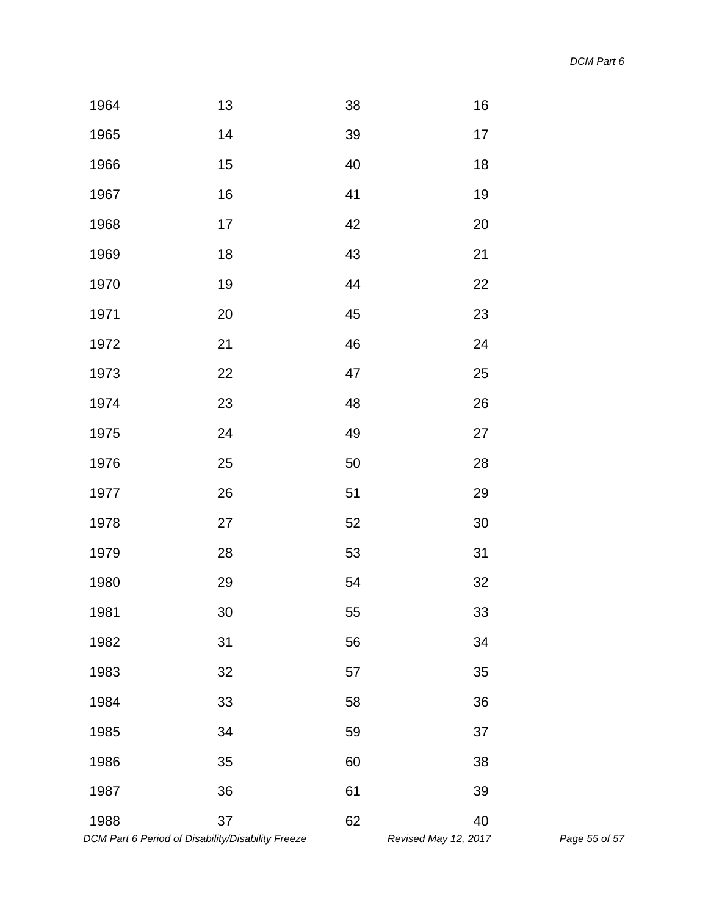| 1964 | 13              | 38 | 16     |  |
|------|-----------------|----|--------|--|
| 1965 | 14              | 39 | 17     |  |
| 1966 | 15              | 40 | 18     |  |
| 1967 | 16              | 41 | 19     |  |
| 1968 | 17              | 42 | 20     |  |
| 1969 | 18              | 43 | 21     |  |
| 1970 | 19              | 44 | 22     |  |
| 1971 | 20              | 45 | 23     |  |
| 1972 | 21              | 46 | 24     |  |
| 1973 | 22              | 47 | 25     |  |
| 1974 | 23              | 48 | 26     |  |
| 1975 | 24              | 49 | 27     |  |
| 1976 | 25              | 50 | 28     |  |
| 1977 | 26              | 51 | 29     |  |
| 1978 | 27              | 52 | $30\,$ |  |
| 1979 | 28              | 53 | 31     |  |
| 1980 | 29              | 54 | 32     |  |
| 1981 | 30 <sup>°</sup> | 55 | 33     |  |
| 1982 | 31              | 56 | 34     |  |
| 1983 | 32              | 57 | 35     |  |
| 1984 | 33              | 58 | 36     |  |
| 1985 | 34              | 59 | 37     |  |
| 1986 | 35              | 60 | 38     |  |
| 1987 | 36              | 61 | 39     |  |
| 1988 | 37              | 62 | 40     |  |

 *DCM Part 6 Period of Disability/Disability Freeze Revised May 12, 2017 Page 55 of 57*